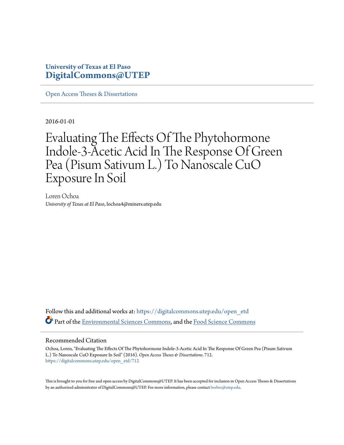# **University of Texas at El Paso [DigitalCommons@UTEP](https://digitalcommons.utep.edu/?utm_source=digitalcommons.utep.edu%2Fopen_etd%2F712&utm_medium=PDF&utm_campaign=PDFCoverPages)**

[Open Access Theses & Dissertations](https://digitalcommons.utep.edu/open_etd?utm_source=digitalcommons.utep.edu%2Fopen_etd%2F712&utm_medium=PDF&utm_campaign=PDFCoverPages)

2016-01-01

# Evaluating The Effects Of The Phytohormone Indole-3-Acetic Acid In The Response Of Green Pea (Pisum Sativum L.) To Nanoscale CuO Exposure In Soil

Loren Ochoa *University of Texas at El Paso*, lochoa4@miners.utep.edu

Follow this and additional works at: [https://digitalcommons.utep.edu/open\\_etd](https://digitalcommons.utep.edu/open_etd?utm_source=digitalcommons.utep.edu%2Fopen_etd%2F712&utm_medium=PDF&utm_campaign=PDFCoverPages) Part of the [Environmental Sciences Commons,](http://network.bepress.com/hgg/discipline/167?utm_source=digitalcommons.utep.edu%2Fopen_etd%2F712&utm_medium=PDF&utm_campaign=PDFCoverPages) and the [Food Science Commons](http://network.bepress.com/hgg/discipline/84?utm_source=digitalcommons.utep.edu%2Fopen_etd%2F712&utm_medium=PDF&utm_campaign=PDFCoverPages)

#### Recommended Citation

Ochoa, Loren, "Evaluating The Effects Of The Phytohormone Indole-3-Acetic Acid In The Response Of Green Pea (Pisum Sativum L.) To Nanoscale CuO Exposure In Soil" (2016). *Open Access Theses & Dissertations*. 712. [https://digitalcommons.utep.edu/open\\_etd/712](https://digitalcommons.utep.edu/open_etd/712?utm_source=digitalcommons.utep.edu%2Fopen_etd%2F712&utm_medium=PDF&utm_campaign=PDFCoverPages)

This is brought to you for free and open access by DigitalCommons@UTEP. It has been accepted for inclusion in Open Access Theses & Dissertations by an authorized administrator of DigitalCommons@UTEP. For more information, please contact [lweber@utep.edu.](mailto:lweber@utep.edu)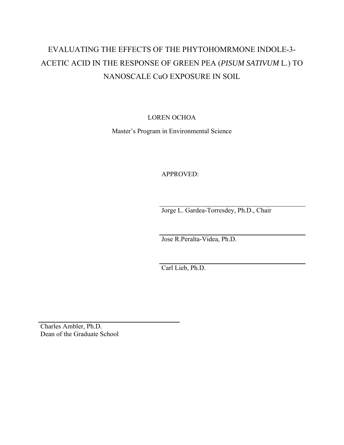# EVALUATING THE EFFECTS OF THE PHYTOHOMRMONE INDOLE-3- ACETIC ACID IN THE RESPONSE OF GREEN PEA (*PISUM SATIVUM* L.) TO NANOSCALE CuO EXPOSURE IN SOIL

LOREN OCHOA

Master's Program in Environmental Science

APPROVED:

Jorge L. Gardea-Torresdey, Ph.D., Chair

Jose R.Peralta-Videa, Ph.D.

Carl Lieb, Ph.D.

Charles Ambler, Ph.D. Dean of the Graduate School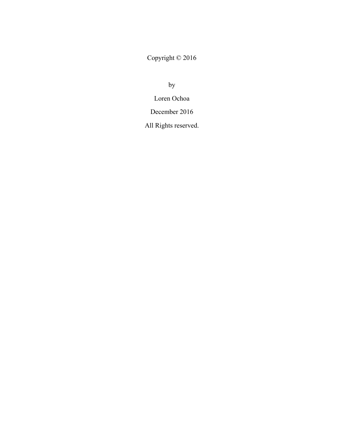Copyright © 2016

by

Loren Ochoa

December 2016

All Rights reserved.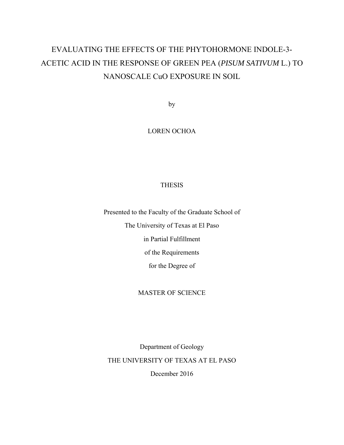# EVALUATING THE EFFECTS OF THE PHYTOHORMONE INDOLE-3- ACETIC ACID IN THE RESPONSE OF GREEN PEA (*PISUM SATIVUM* L.) TO NANOSCALE CuO EXPOSURE IN SOIL

by

# LOREN OCHOA

# THESIS

Presented to the Faculty of the Graduate School of

The University of Texas at El Paso

in Partial Fulfillment

of the Requirements

for the Degree of

## MASTER OF SCIENCE

Department of Geology THE UNIVERSITY OF TEXAS AT EL PASO

December 2016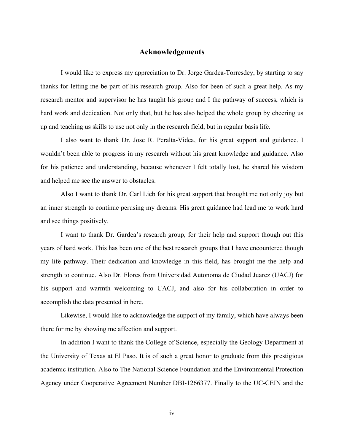# **Acknowledgements**

I would like to express my appreciation to Dr. Jorge Gardea-Torresdey, by starting to say thanks for letting me be part of his research group. Also for been of such a great help. As my research mentor and supervisor he has taught his group and I the pathway of success, which is hard work and dedication. Not only that, but he has also helped the whole group by cheering us up and teaching us skills to use not only in the research field, but in regular basis life.

I also want to thank Dr. Jose R. Peralta-Videa, for his great support and guidance. I wouldn't been able to progress in my research without his great knowledge and guidance. Also for his patience and understanding, because whenever I felt totally lost, he shared his wisdom and helped me see the answer to obstacles.

Also I want to thank Dr. Carl Lieb for his great support that brought me not only joy but an inner strength to continue perusing my dreams. His great guidance had lead me to work hard and see things positively.

I want to thank Dr. Gardea's research group, for their help and support though out this years of hard work. This has been one of the best research groups that I have encountered though my life pathway. Their dedication and knowledge in this field, has brought me the help and strength to continue. Also Dr. Flores from Universidad Autonoma de Ciudad Juarez (UACJ) for his support and warmth welcoming to UACJ, and also for his collaboration in order to accomplish the data presented in here.

Likewise, I would like to acknowledge the support of my family, which have always been there for me by showing me affection and support.

In addition I want to thank the College of Science, especially the Geology Department at the University of Texas at El Paso. It is of such a great honor to graduate from this prestigious academic institution. Also to The National Science Foundation and the Environmental Protection Agency under Cooperative Agreement Number DBI-1266377. Finally to the UC-CEIN and the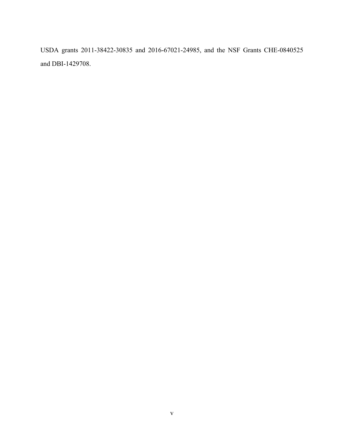USDA grants 2011-38422-30835 and 2016-67021-24985, and the NSF Grants CHE-0840525 and DBI-1429708.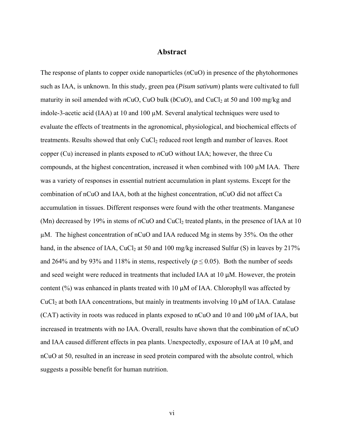# **Abstract**

The response of plants to copper oxide nanoparticles (*n*CuO) in presence of the phytohormones such as IAA, is unknown. In this study, green pea (*Pisum sativum*) plants were cultivated to full maturity in soil amended with  $nCuO$ , CuO bulk ( $bCuO$ ), and CuCl<sub>2</sub> at 50 and 100 mg/kg and indole-3-acetic acid (IAA) at 10 and 100 µM. Several analytical techniques were used to evaluate the effects of treatments in the agronomical, physiological, and biochemical effects of treatments. Results showed that only CuCl<sub>2</sub> reduced root length and number of leaves. Root copper (Cu) increased in plants exposed to *n*CuO without IAA; however, the three Cu compounds, at the highest concentration, increased it when combined with  $100 \mu M IAA$ . There was a variety of responses in essential nutrient accumulation in plant systems. Except for the combination of nCuO and IAA, both at the highest concentration, nCuO did not affect Ca accumulation in tissues. Different responses were found with the other treatments. Manganese (Mn) decreased by 19% in stems of *n*CuO and CuCl<sub>2</sub> treated plants, in the presence of IAA at 10 µM. The highest concentration of nCuO and IAA reduced Mg in stems by 35%. On the other hand, in the absence of IAA, CuCl<sub>2</sub> at 50 and 100 mg/kg increased Sulfur (S) in leaves by 217% and 264% and by 93% and 118% in stems, respectively ( $p \le 0.05$ ). Both the number of seeds and seed weight were reduced in treatments that included IAA at 10 µM. However, the protein content  $(\%)$  was enhanced in plants treated with 10  $\mu$ M of IAA. Chlorophyll was affected by  $CuCl<sub>2</sub>$  at both IAA concentrations, but mainly in treatments involving 10  $\mu$ M of IAA. Catalase (CAT) activity in roots was reduced in plants exposed to nCuO and 10 and 100 µM of IAA, but increased in treatments with no IAA. Overall, results have shown that the combination of nCuO and IAA caused different effects in pea plants. Unexpectedly, exposure of IAA at 10  $\mu$ M, and nCuO at 50, resulted in an increase in seed protein compared with the absolute control, which suggests a possible benefit for human nutrition.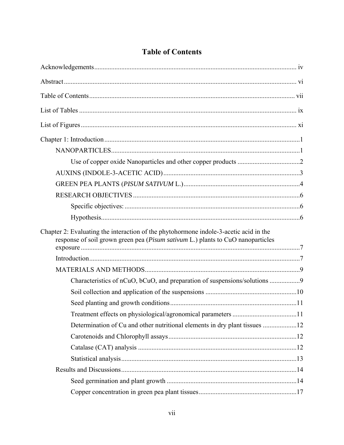| Chapter 2: Evaluating the interaction of the phytohormone indole-3-acetic acid in the<br>response of soil grown green pea (Pisum sativum L.) plants to CuO nanoparticles |  |
|--------------------------------------------------------------------------------------------------------------------------------------------------------------------------|--|
|                                                                                                                                                                          |  |
|                                                                                                                                                                          |  |
| Characteristics of nCuO, bCuO, and preparation of suspensions/solutions 9                                                                                                |  |
|                                                                                                                                                                          |  |
|                                                                                                                                                                          |  |
|                                                                                                                                                                          |  |
|                                                                                                                                                                          |  |
|                                                                                                                                                                          |  |
|                                                                                                                                                                          |  |
|                                                                                                                                                                          |  |
|                                                                                                                                                                          |  |
|                                                                                                                                                                          |  |
|                                                                                                                                                                          |  |

# **Table of Contents**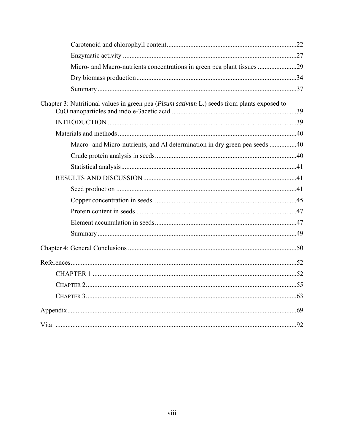| Micro- and Macro-nutrients concentrations in green pea plant tissues 29                    |  |
|--------------------------------------------------------------------------------------------|--|
|                                                                                            |  |
|                                                                                            |  |
| Chapter 3: Nutritional values in green pea (Pisum sativum L.) seeds from plants exposed to |  |
|                                                                                            |  |
|                                                                                            |  |
| Macro- and Micro-nutrients, and Al determination in dry green pea seeds 40                 |  |
|                                                                                            |  |
|                                                                                            |  |
|                                                                                            |  |
|                                                                                            |  |
|                                                                                            |  |
|                                                                                            |  |
|                                                                                            |  |
|                                                                                            |  |
|                                                                                            |  |
|                                                                                            |  |
|                                                                                            |  |
|                                                                                            |  |
|                                                                                            |  |
|                                                                                            |  |
|                                                                                            |  |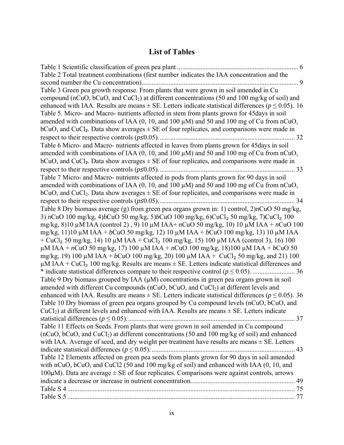# **List of Tables**

| . 6                                                                                                                                                                                                           |
|---------------------------------------------------------------------------------------------------------------------------------------------------------------------------------------------------------------|
| Table 2 Total treatment combinations (first number indicates the IAA concentration and the                                                                                                                    |
| . 9                                                                                                                                                                                                           |
| Table 3 Green pea growth response. From plants that were grown in soil amended in Cu                                                                                                                          |
| compound (nCuO, bCuO, and CuCl <sub>2</sub> ) at different concentrations (50 and 100 mg/kg of soil) and                                                                                                      |
| enhanced with IAA. Results are means $\pm$ SE. Letters indicate statistical differences ( $p \le 0.05$ ). 16                                                                                                  |
| Table 5. Micro- and Macro- nutrients affected in stem from plants grown for 45 days in soil                                                                                                                   |
| amended with combinations of IAA $(0, 10,$ and $100 \mu M)$ and 50 and 100 mg of Cu from nCuO,                                                                                                                |
| $bcuO$ , and CuCl <sub>2</sub> . Data show averages $\pm$ SE of four replicates, and comparisons were made in                                                                                                 |
| 32                                                                                                                                                                                                            |
| Table 6 Micro- and Macro- nutrients affected in leaves from plants grown for 45 days in soil                                                                                                                  |
| amended with combinations of IAA $(0, 10,$ and $100 \mu M)$ and 50 and 100 mg of Cu from nCuO,                                                                                                                |
| $bcuO$ , and CuCl <sub>2</sub> . Data show averages $\pm$ SE of four replicates, and comparisons were made in                                                                                                 |
| 33                                                                                                                                                                                                            |
| Table 7 Micro- and Macro- nutrients affected in pods from plants grown for 90 days in soil                                                                                                                    |
| amended with combinations of IAA $(0, 10,$ and $100 \mu M)$ and 50 and 100 mg of Cu from nCuO,                                                                                                                |
| bCuO, and CuCl <sub>2</sub> . Data show averages $\pm$ SE of four replicates, and comparisons were made in                                                                                                    |
| 34                                                                                                                                                                                                            |
| Table 8 Dry biomass average (g) from green pea organs grown in: 1) control, $2)nCuO$ 50 mg/kg,<br>3) nCuO 100 mg/kg, 4)bCuO 50 mg/kg, 5)bCuO 100 mg/kg, 6)CuCl <sub>2</sub> 50 mg/kg, 7)CuCl <sub>2</sub> 100 |
| mg/kg, 8)10 $\mu$ M IAA (control 2), 9) 10 $\mu$ M IAA+ nCuO 50 mg/kg, 10) 10 $\mu$ M IAA + nCuO 100                                                                                                          |
| mg/kg, 11)10 $\mu$ M IAA + bCuO 50 mg/kg, 12) 10 $\mu$ M IAA + bCuO 100 mg/kg, 13) 10 $\mu$ M IAA                                                                                                             |
| + CuCl <sub>2</sub> 50 mg/kg, 14) 10 µM IAA + CuCl <sub>2</sub> 100 mg/kg, 15) 100 µM IAA (control 3), 16) 100                                                                                                |
| μM IAA + nCuO 50 mg/kg, 17) 100 μM IAA + nCuO 100 mg/kg, 18)100 μM IAA + bCuO 50                                                                                                                              |
| mg/kg, 19) 100 $\mu$ M IAA + bCuO 100 mg/kg, 20) 100 $\mu$ M IAA + CuCl <sub>2</sub> 50 mg/kg, and 21) 100                                                                                                    |
| $\mu$ M IAA + CuCl <sub>2</sub> 100 mg/kg. Results are means $\pm$ SE. Letters indicate statistical differences and                                                                                           |
|                                                                                                                                                                                                               |
| Table 9 Dry biomass grouped by IAA $(\mu M)$ concentrations in green pea organs grown in soil                                                                                                                 |
| amended with different Cu compounds (nCuO, bCuO, and CuCl2) at different levels and                                                                                                                           |
| enhanced with IAA. Results are means $\pm$ SE. Letters indicate statistical differences ( $p \le 0.05$ ). 36                                                                                                  |
| Table 10 Dry biomass of green pea organs grouped by Cu compound levels (nCuO, bCuO, and                                                                                                                       |
| $CuCl2$ ) at different levels and enhanced with IAA. Results are means $\pm$ SE. Letters indicate                                                                                                             |
|                                                                                                                                                                                                               |
| Table 11 Effects on Seeds. From plants that were grown in soil amended in Cu compound                                                                                                                         |
| $(nCuO, bCuO, and CuCl2)$ at different concentrations (50 and 100 mg/kg of soil) and enhanced                                                                                                                 |
| with IAA. Average of seed, and dry weight per treatment have results are means $\pm$ SE. Letters                                                                                                              |
| 43                                                                                                                                                                                                            |
| Table 12 Elements affected on green pea seeds from plants grown for 90 days in soil amended                                                                                                                   |
| with nCuO, bCuO, and CuCl2 (50 and 100 mg/kg of soil) and enhanced with IAA (0, 10, and                                                                                                                       |
| 100 $\mu$ M). Data are average $\pm$ SE of four replicates. Comparisons were against controls, arrows                                                                                                         |
| 49                                                                                                                                                                                                            |
|                                                                                                                                                                                                               |
|                                                                                                                                                                                                               |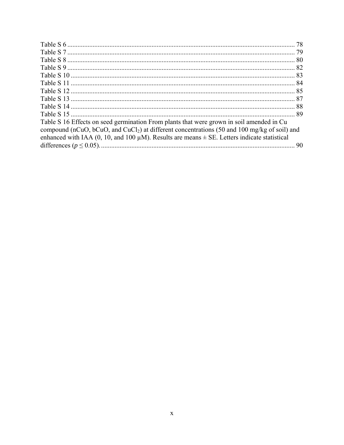| Table S 16 Effects on seed germination From plants that were grown in soil amended in Cu                 |  |
|----------------------------------------------------------------------------------------------------------|--|
| compound (nCuO, bCuO, and CuCl <sub>2</sub> ) at different concentrations (50 and 100 mg/kg of soil) and |  |
| enhanced with IAA (0, 10, and 100 $\mu$ M). Results are means $\pm$ SE. Letters indicate statistical     |  |
|                                                                                                          |  |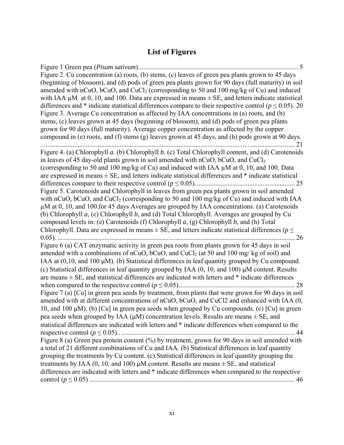# **List of Figures**

Figure 1 Green pea (*Pisum sativum*) ............................................................................................... 5 Figure 2. Cu concentration (a) roots, (b) stems, (c) leaves of green pea plants grown to 45 days (beginning of blossom), and (d) pods of green pea plants grown for 90 days (full maturity) in soil amended with nCuO,  $bCuO$ , and CuCl<sub>2</sub> (corresponding to 50 and 100 mg/kg of Cu) and induced with IAA  $\mu$ M at 0, 10, and 100. Data are expressed in means  $\pm$  SE, and letters indicate statistical differences and  $*$  indicate statistical differences compare to their respective control ( $p \le 0.05$ ). 20 Figure 3. Average Cu concentration as affected by IAA concentrations in (a) roots, and (b) stems, (c) leaves grown at 45 days (beginning of blossom), and (d) pods of green pea plants grown for 90 days (full maturity). Average copper concentration as affected by the copper compound in (e) roots, and (f) stems (g) leaves grown at 45 days, and (h) pods grown at 90 days. ....................................................................................................................................................... 21 Figure 4. (a) Chlorophyll *a.* (b) Chlorophyll *b.* (c) Total Chlorophyll content, and (d) Carotenoids in leaves of 45 day-old plants grown in soil amended with  $nCuO$ ,  $bCuO$ , and  $CuCl<sub>2</sub>$ (corresponding to 50 and 100 mg/kg of Cu) and induced with IAA µM at 0, 10, and 100. Data are expressed in means  $\pm$  SE, and letters indicate statistical differences and  $*$  indicate statistical differences compare to their respective control (*p* ≤ 0.05). .......................................................... 25 Figure 5. Carotenoids and Chlorophyll in leaves from green pea plants grown in soil amended with nCuO, bCuO, and CuCl<sub>2</sub> (corresponding to 50 and 100 mg/kg of Cu) and induced with IAA µM at 0, 10, and 100.for 45 days Averages are grouped by IAA concentrations. (a) Carotenoids (b) Chlorophyll *a*, (c) Chlorophyll *b,* and (d) Total Chlorophyll. Averages are grouped by Cu compound levels in: (e) Carotenoids (f) Chlorophyll *a*, (g) Chlorophyll *b,* and (h) Total Chlorophyll. Data are expressed in means  $\pm$  SE, and letters indicate statistical differences ( $p \leq$ 0.05). ............................................................................................................................................. 26 Figure 6 (a) CAT enzymatic activity in green pea roots from plants grown for 45 days in soil amended with a combinations of nCuO, bCuO, and CuCl<sub>2</sub> (at 50 and 100 mg/ kg of soil) and IAA at  $(0,10, \text{ and } 100 \,\mu\text{M})$ . (b) Statistical differences in leaf quantity grouped by Cu compound. (c) Statistical differences in leaf quantity grouped by IAA (0, 10, and 100) µM content. Results are means  $\pm$  SE, and statistical differences are indicated with letters and  $*$  indicate differences when compared to the respective control (*p* ≤ 0.05) ..................................................................... 28 Figure 7 (a) [Cu] in green pea seeds by treatment, from plants that were grown for 90 days in soil amended with at different concentrations of nCuO, bCuO, and CuCl2 and enhanced with IAA (0, 10, and 100  $\mu$ M). (b) [Cu] in green pea seeds when grouped by Cu compounds. (c) [Cu] in green pea seeds when grouped by IAA  $(\mu M)$  concentration levels. Results are means  $\pm$  SE, and statistical differences are indicated with letters and \* indicate differences when compared to the respective control (*p* ≤ 0.05).. ....................................................................................................... 44 Figure 8 (a) Green pea protein content (%) by treatment, grown for 90 days in soil amended with a total of 21 different combinations of Cu and IAA. (b) Statistical differences in leaf quantity grouping the treatments by Cu content. (c) Statistical differences in leaf quantity grouping the treatments by IAA  $(0, 10, \text{ and } 100)$   $\mu$ M content. Results are means  $\pm$  SE, and statistical differences are indicated with letters and \* indicate differences when compared to the respective control (*p* ≤ 0.05) .......................................................................................................................... 46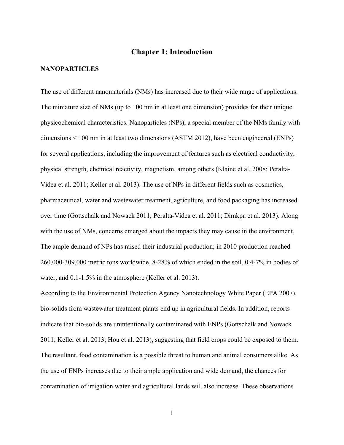# **Chapter 1: Introduction**

#### **NANOPARTICLES**

The use of different nanomaterials (NMs) has increased due to their wide range of applications. The miniature size of NMs (up to 100 nm in at least one dimension) provides for their unique physicochemical characteristics. Nanoparticles (NPs), a special member of the NMs family with dimensions < 100 nm in at least two dimensions (ASTM 2012), have been engineered (ENPs) for several applications, including the improvement of features such as electrical conductivity, physical strength, chemical reactivity, magnetism, among others (Klaine et al. 2008; Peralta-Videa et al. 2011; Keller et al. 2013). The use of NPs in different fields such as cosmetics, pharmaceutical, water and wastewater treatment, agriculture, and food packaging has increased over time (Gottschalk and Nowack 2011; Peralta-Videa et al. 2011; Dimkpa et al. 2013). Along with the use of NMs, concerns emerged about the impacts they may cause in the environment. The ample demand of NPs has raised their industrial production; in 2010 production reached 260,000-309,000 metric tons worldwide, 8-28% of which ended in the soil, 0.4-7% in bodies of water, and 0.1-1.5% in the atmosphere (Keller et al. 2013).

According to the Environmental Protection Agency Nanotechnology White Paper (EPA 2007), bio-solids from wastewater treatment plants end up in agricultural fields. In addition, reports indicate that bio-solids are unintentionally contaminated with ENPs (Gottschalk and Nowack 2011; Keller et al. 2013; Hou et al. 2013), suggesting that field crops could be exposed to them. The resultant, food contamination is a possible threat to human and animal consumers alike. As the use of ENPs increases due to their ample application and wide demand, the chances for contamination of irrigation water and agricultural lands will also increase. These observations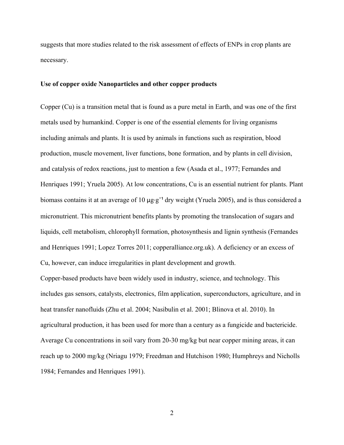suggests that more studies related to the risk assessment of effects of ENPs in crop plants are necessary.

# **Use of copper oxide Nanoparticles and other copper products**

Copper (Cu) is a transition metal that is found as a pure metal in Earth, and was one of the first metals used by humankind. Copper is one of the essential elements for living organisms including animals and plants. It is used by animals in functions such as respiration, blood production, muscle movement, liver functions, bone formation, and by plants in cell division, and catalysis of redox reactions, just to mention a few (Asada et al., 1977; Fernandes and Henriques 1991; Yruela 2005). At low concentrations, Cu is an essential nutrient for plants. Plant biomass contains it at an average of 10 μg⋅g<sup>-1</sup> dry weight (Yruela 2005), and is thus considered a micronutrient. This micronutrient benefits plants by promoting the translocation of sugars and liquids, cell metabolism, chlorophyll formation, photosynthesis and lignin synthesis (Fernandes and Henriques 1991; Lopez Torres 2011; copperalliance.org.uk). A deficiency or an excess of Cu, however, can induce irregularities in plant development and growth.

Copper-based products have been widely used in industry, science, and technology. This includes gas sensors, catalysts, electronics, film application, superconductors, agriculture, and in heat transfer nanofluids (Zhu et al. 2004; Nasibulin et al. 2001; Blinova et al. 2010). In agricultural production, it has been used for more than a century as a fungicide and bactericide. Average Cu concentrations in soil vary from 20-30 mg/kg but near copper mining areas, it can reach up to 2000 mg/kg (Nriagu 1979; Freedman and Hutchison 1980; Humphreys and Nicholls 1984; Fernandes and Henriques 1991).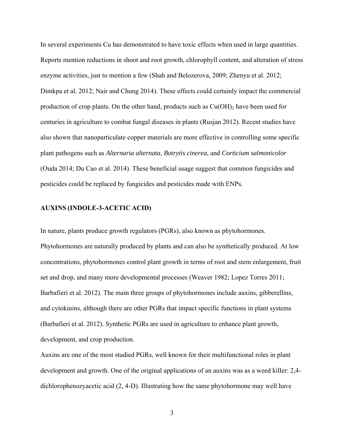In several experiments Cu has demonstrated to have toxic effects when used in large quantities. Reports mention reductions in shoot and root growth, chlorophyll content, and alteration of stress enzyme activities, just to mention a few (Shah and Belozerova, 2009; Zhenyu et al. 2012; Dimkpa et al. 2012; Nair and Chung 2014). These effects could certainly impact the commercial production of crop plants. On the other hand, products such as  $Cu(OH)$ <sub>2</sub> have been used for centuries in agriculture to combat fungal diseases in plants (Rusjan 2012). Recent studies have also shown that nanoparticulate copper materials are more effective in controlling some specific plant pathogens such as *Alternaria alternata*, *Botrytis cinerea,* and *Corticium salmonicolor* (Ouda 2014; Du Cao et al. 2014). These beneficial usage suggest that common fungicides and pesticides could be replaced by fungicides and pesticides made with ENPs.

### **AUXINS (INDOLE-3-ACETIC ACID)**

In nature, plants produce growth regulators (PGRs), also known as phytohormones. Phytohormones are naturally produced by plants and can also be synthetically produced. At low concentrations, phytohormones control plant growth in terms of root and stem enlargement, fruit set and drop, and many more developmental processes (Weaver 1982; Lopez Torres 2011; Barbafieri et al. 2012). The main three groups of phytohormones include auxins, gibberellins, and cytokinins, although there are other PGRs that impact specific functions in plant systems (Barbafieri et al. 2012). Synthetic PGRs are used in agriculture to enhance plant growth, development, and crop production.

Auxins are one of the most studied PGRs, well known for their multifunctional roles in plant development and growth. One of the original applications of an auxins was as a weed killer: 2,4 dichlorophenozyacetic acid (2, 4-D). Illustrating how the same phytohormone may well have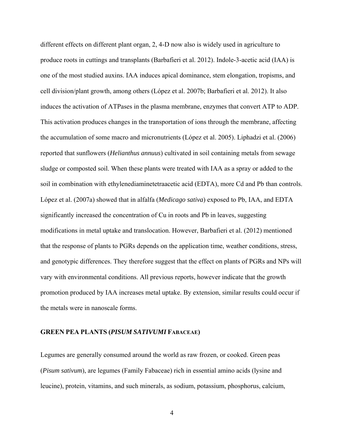different effects on different plant organ, 2, 4-D now also is widely used in agriculture to produce roots in cuttings and transplants (Barbafieri et al. 2012). Indole-3-acetic acid (IAA) is one of the most studied auxins. IAA induces apical dominance, stem elongation, tropisms, and cell division/plant growth, among others (López et al. 2007b; Barbafieri et al. 2012). It also induces the activation of ATPases in the plasma membrane, enzymes that convert ATP to ADP. This activation produces changes in the transportation of ions through the membrane, affecting the accumulation of some macro and micronutrients (López et al. 2005). Liphadzi et al. (2006) reported that sunflowers (*Helianthus annuus*) cultivated in soil containing metals from sewage sludge or composted soil. When these plants were treated with IAA as a spray or added to the soil in combination with ethylenediaminetetraacetic acid (EDTA), more Cd and Pb than controls. López et al. (2007a) showed that in alfalfa (*Medicago sativa*) exposed to Pb, IAA, and EDTA significantly increased the concentration of Cu in roots and Pb in leaves, suggesting modifications in metal uptake and translocation. However, Barbafieri et al. (2012) mentioned that the response of plants to PGRs depends on the application time, weather conditions, stress, and genotypic differences. They therefore suggest that the effect on plants of PGRs and NPs will vary with environmental conditions. All previous reports, however indicate that the growth promotion produced by IAA increases metal uptake. By extension, similar results could occur if the metals were in nanoscale forms.

### **GREEN PEA PLANTS (***PISUM SATIVUMI* **FABACEAE)**

Legumes are generally consumed around the world as raw frozen, or cooked. Green peas (*Pisum sativum*), are legumes (Family Fabaceae) rich in essential amino acids (lysine and leucine), protein, vitamins, and such minerals, as sodium, potassium, phosphorus, calcium,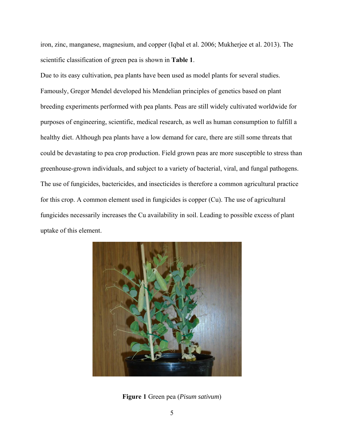iron, zinc, manganese, magnesium, and copper (Iqbal et al. 2006; Mukherjee et al. 2013). The scientific classification of green pea is shown in **Table 1**.

Due to its easy cultivation, pea plants have been used as model plants for several studies. Famously, Gregor Mendel developed his Mendelian principles of genetics based on plant breeding experiments performed with pea plants. Peas are still widely cultivated worldwide for purposes of engineering, scientific, medical research, as well as human consumption to fulfill a healthy diet. Although pea plants have a low demand for care, there are still some threats that could be devastating to pea crop production. Field grown peas are more susceptible to stress than greenhouse-grown individuals, and subject to a variety of bacterial, viral, and fungal pathogens. The use of fungicides, bactericides, and insecticides is therefore a common agricultural practice for this crop. A common element used in fungicides is copper (Cu). The use of agricultural fungicides necessarily increases the Cu availability in soil. Leading to possible excess of plant uptake of this element.



**Figure 1** Green pea (*Pisum sativum*)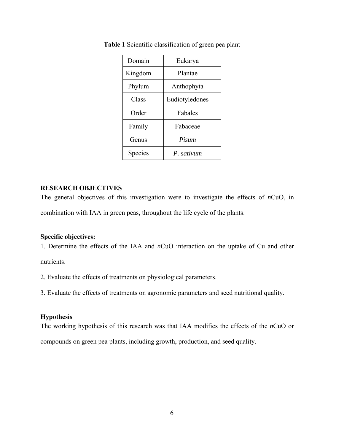| Domain  | Eukarya        |
|---------|----------------|
| Kingdom | Plantae        |
| Phylum  | Anthophyta     |
| Class   | Eudiotyledones |
| Order   | Fabales        |
| Family  | Fabaceae       |
| Genus   | Pisum          |
| Species | P. sativum     |

**Table 1** Scientific classification of green pea plant

# **RESEARCH OBJECTIVES**

The general objectives of this investigation were to investigate the effects of *n*CuO, in combination with IAA in green peas, throughout the life cycle of the plants.

# **Specific objectives:**

1. Determine the effects of the IAA and *n*CuO interaction on the uptake of Cu and other nutrients.

2. Evaluate the effects of treatments on physiological parameters.

3. Evaluate the effects of treatments on agronomic parameters and seed nutritional quality.

## **Hypothesis**

The working hypothesis of this research was that IAA modifies the effects of the *n*CuO or compounds on green pea plants, including growth, production, and seed quality.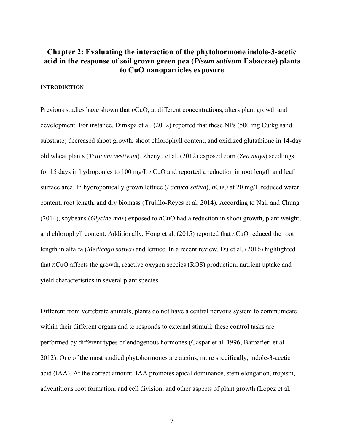# **Chapter 2: Evaluating the interaction of the phytohormone indole-3-acetic acid in the response of soil grown green pea (***Pisum sativum* **Fabaceae) plants to CuO nanoparticles exposure**

# **INTRODUCTION**

Previous studies have shown that *n*CuO, at different concentrations, alters plant growth and development. For instance, Dimkpa et al. (2012) reported that these NPs (500 mg Cu/kg sand substrate) decreased shoot growth, shoot chlorophyll content, and oxidized glutathione in 14-day old wheat plants (*Triticum aestivum*). Zhenyu et al. (2012) exposed corn (*Zea mays*) seedlings for 15 days in hydroponics to 100 mg/L *n*CuO and reported a reduction in root length and leaf surface area. In hydroponically grown lettuce (*Lactuca sativa*), *n*CuO at 20 mg/L reduced water content, root length, and dry biomass (Trujillo-Reyes et al. 2014). According to Nair and Chung (2014), soybeans (*Glycine max*) exposed to *n*CuO had a reduction in shoot growth, plant weight, and chlorophyll content. Additionally, Hong et al. (2015) reported that *n*CuO reduced the root length in alfalfa (*Medicago sativa*) and lettuce. In a recent review, Du et al. (2016) highlighted that *n*CuO affects the growth, reactive oxygen species (ROS) production, nutrient uptake and yield characteristics in several plant species.

Different from vertebrate animals, plants do not have a central nervous system to communicate within their different organs and to responds to external stimuli; these control tasks are performed by different types of endogenous hormones (Gaspar et al. 1996; Barbafieri et al. 2012). One of the most studied phytohormones are auxins, more specifically, indole-3-acetic acid (IAA). At the correct amount, IAA promotes apical dominance, stem elongation, tropism, adventitious root formation, and cell division, and other aspects of plant growth (López et al.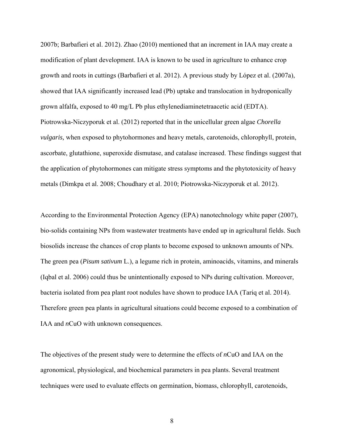2007b; Barbafieri et al. 2012). Zhao (2010) mentioned that an increment in IAA may create a modification of plant development. IAA is known to be used in agriculture to enhance crop growth and roots in cuttings (Barbafieri et al. 2012). A previous study by López et al. (2007a), showed that IAA significantly increased lead (Pb) uptake and translocation in hydroponically grown alfalfa, exposed to 40 mg/L Pb plus ethylenediaminetetraacetic acid (EDTA). Piotrowska-Niczyporuk et al. (2012) reported that in the unicellular green algae *Chorella vulgaris,* when exposed to phytohormones and heavy metals, carotenoids, chlorophyll, protein, ascorbate, glutathione, superoxide dismutase, and catalase increased. These findings suggest that the application of phytohormones can mitigate stress symptoms and the phytotoxicity of heavy metals (Dimkpa et al. 2008; Choudhary et al. 2010; Piotrowska-Niczyporuk et al. 2012).

According to the Environmental Protection Agency (EPA) nanotechnology white paper (2007), bio-solids containing NPs from wastewater treatments have ended up in agricultural fields. Such biosolids increase the chances of crop plants to become exposed to unknown amounts of NPs. The green pea (*Pisum sativum* L.), a legume rich in protein, aminoacids, vitamins, and minerals (Iqbal et al. 2006) could thus be unintentionally exposed to NPs during cultivation. Moreover, bacteria isolated from pea plant root nodules have shown to produce IAA (Tariq et al. 2014). Therefore green pea plants in agricultural situations could become exposed to a combination of IAA and *n*CuO with unknown consequences.

The objectives of the present study were to determine the effects of *n*CuO and IAA on the agronomical, physiological, and biochemical parameters in pea plants. Several treatment techniques were used to evaluate effects on germination, biomass, chlorophyll, carotenoids,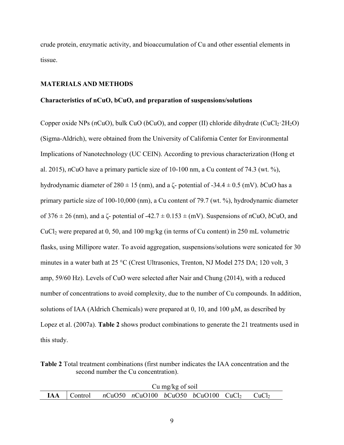crude protein, enzymatic activity, and bioaccumulation of Cu and other essential elements in tissue.

# **MATERIALS AND METHODS**

### **Characteristics of nCuO, bCuO, and preparation of suspensions/solutions**

Copper oxide NPs ( $nCuO$ ), bulk CuO ( $bCuO$ ), and copper (II) chloride dihydrate (CuCl<sub>2</sub>·2H<sub>2</sub>O) (Sigma-Aldrich), were obtained from the University of California Center for Environmental Implications of Nanotechnology (UC CEIN). According to previous characterization (Hong et al. 2015), *n*CuO have a primary particle size of 10-100 nm, a Cu content of 74.3 (wt. %), hydrodynamic diameter of  $280 \pm 15$  (nm), and a  $\zeta$ - potential of -34.4  $\pm$  0.5 (mV). *b*CuO has a primary particle size of 100-10,000 (nm), a Cu content of 79.7 (wt. %), hydrodynamic diameter of 376 ± 26 (nm), and a ζ- potential of -42.7 ± 0.153 ± (mV). Suspensions of *n*CuO, *b*CuO, and CuCl2 were prepared at 0, 50, and 100 mg/kg (in terms of Cu content) in 250 mL volumetric flasks, using Millipore water. To avoid aggregation, suspensions/solutions were sonicated for 30 minutes in a water bath at 25 °C (Crest Ultrasonics, Trenton, NJ Model 275 DA; 120 volt, 3 amp, 59/60 Hz). Levels of CuO were selected after Nair and Chung (2014), with a reduced number of concentrations to avoid complexity, due to the number of Cu compounds. In addition, solutions of IAA (Aldrich Chemicals) were prepared at 0, 10, and 100 μM, as described by Lopez et al. (2007a). **Table 2** shows product combinations to generate the 21 treatments used in this study.

**Table 2** Total treatment combinations (first number indicates the IAA concentration and the second number the Cu concentration).

| Cu mg/kg of soil |  |  |  |                                                                                  |  |  |  |
|------------------|--|--|--|----------------------------------------------------------------------------------|--|--|--|
|                  |  |  |  | <b>IAA</b> $\vert$ Control $nCuO50$ $nCuO100$ $bCuO50$ $bCuO100$ $CuCl2$ $CuCl2$ |  |  |  |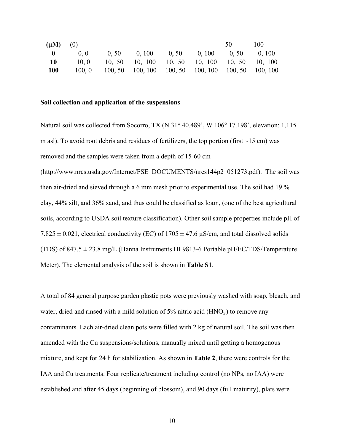| $(\mu M)$ (0) |        |                                                                |  | 50. | 100 |
|---------------|--------|----------------------------------------------------------------|--|-----|-----|
|               | 0, 0   | $0, 50$ $0, 100$ $0, 50$ $0, 100$ $0, 50$ $0, 100$             |  |     |     |
| 10            |        | 10, 0 10, 50 10, 100 10, 50 10, 100 10, 50 10, 100             |  |     |     |
| <b>100</b>    | 100, 0 | $100, 50$ $100, 100$ $100, 50$ $100, 100$ $100, 50$ $100, 100$ |  |     |     |

#### **Soil collection and application of the suspensions**

Natural soil was collected from Socorro, TX (N 31° 40.489', W 106° 17.198', elevation: 1,115 m asl). To avoid root debris and residues of fertilizers, the top portion (first  $\sim$ 15 cm) was removed and the samples were taken from a depth of 15-60 cm (http://www.nrcs.usda.gov/Internet/FSE\_DOCUMENTS/nrcs144p2\_051273.pdf). The soil was then air-dried and sieved through a 6 mm mesh prior to experimental use. The soil had 19 % clay, 44% silt, and 36% sand, and thus could be classified as loam, (one of the best agricultural soils, according to USDA soil texture classification). Other soil sample properties include pH of 7.825  $\pm$  0.021, electrical conductivity (EC) of 1705  $\pm$  47.6  $\mu$ S/cm, and total dissolved solids (TDS) of  $847.5 \pm 23.8$  mg/L (Hanna Instruments HI 9813-6 Portable pH/EC/TDS/Temperature Meter). The elemental analysis of the soil is shown in **Table S1**.

A total of 84 general purpose garden plastic pots were previously washed with soap, bleach, and water, dried and rinsed with a mild solution of  $5\%$  nitric acid (HNO<sub>3</sub>) to remove any contaminants. Each air-dried clean pots were filled with 2 kg of natural soil. The soil was then amended with the Cu suspensions/solutions, manually mixed until getting a homogenous mixture, and kept for 24 h for stabilization. As shown in **Table 2**, there were controls for the IAA and Cu treatments. Four replicate/treatment including control (no NPs, no IAA) were established and after 45 days (beginning of blossom), and 90 days (full maturity), plats were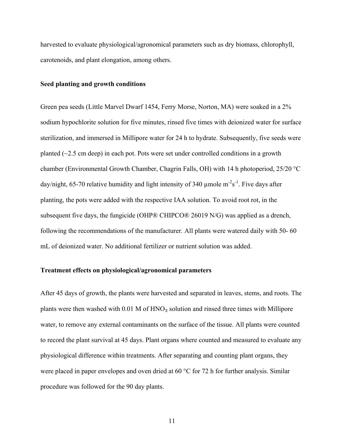harvested to evaluate physiological/agronomical parameters such as dry biomass, chlorophyll, carotenoids, and plant elongation, among others.

#### **Seed planting and growth conditions**

Green pea seeds (Little Marvel Dwarf 1454, Ferry Morse, Norton, MA) were soaked in a 2% sodium hypochlorite solution for five minutes, rinsed five times with deionized water for surface sterilization, and immersed in Millipore water for 24 h to hydrate. Subsequently, five seeds were planted  $(\sim 2.5 \text{ cm}$  deep) in each pot. Pots were set under controlled conditions in a growth chamber (Environmental Growth Chamber, Chagrin Falls, OH) with 14 h photoperiod, 25/20 °C day/night, 65-70 relative humidity and light intensity of 340 µmole  $m^2s^{-1}$ . Five days after planting, the pots were added with the respective IAA solution. To avoid root rot, in the subsequent five days, the fungicide (OHP® CHIPCO® 26019 N/G) was applied as a drench, following the recommendations of the manufacturer. All plants were watered daily with 50- 60 mL of deionized water. No additional fertilizer or nutrient solution was added.

## **Treatment effects on physiological/agronomical parameters**

After 45 days of growth, the plants were harvested and separated in leaves, stems, and roots. The plants were then washed with  $0.01$  M of  $HNO<sub>3</sub>$  solution and rinsed three times with Millipore water, to remove any external contaminants on the surface of the tissue. All plants were counted to record the plant survival at 45 days. Plant organs where counted and measured to evaluate any physiological difference within treatments. After separating and counting plant organs, they were placed in paper envelopes and oven dried at 60 °C for 72 h for further analysis. Similar procedure was followed for the 90 day plants.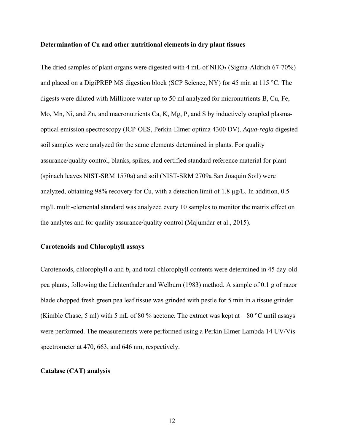#### **Determination of Cu and other nutritional elements in dry plant tissues**

The dried samples of plant organs were digested with  $4 \text{ mL of } NHO<sub>3</sub>$  (Sigma-Aldrich 67-70%) and placed on a DigiPREP MS digestion block (SCP Science, NY) for 45 min at 115 °C. The digests were diluted with Millipore water up to 50 ml analyzed for micronutrients B, Cu, Fe, Mo, Mn, Ni, and Zn, and macronutrients Ca, K, Mg, P, and S by inductively coupled plasmaoptical emission spectroscopy (ICP-OES, Perkin-Elmer optima 4300 DV). *Aqua-regia* digested soil samples were analyzed for the same elements determined in plants. For quality assurance/quality control, blanks, spikes, and certified standard reference material for plant (spinach leaves NIST-SRM 1570a) and soil (NIST-SRM 2709a San Joaquin Soil) were analyzed, obtaining 98% recovery for Cu, with a detection limit of 1.8 µg/L. In addition, 0.5 mg/L multi-elemental standard was analyzed every 10 samples to monitor the matrix effect on the analytes and for quality assurance/quality control (Majumdar et al., 2015).

### **Carotenoids and Chlorophyll assays**

Carotenoids, chlorophyll *a* and *b*, and total chlorophyll contents were determined in 45 day-old pea plants, following the Lichtenthaler and Welburn (1983) method. A sample of 0.1 g of razor blade chopped fresh green pea leaf tissue was grinded with pestle for 5 min in a tissue grinder (Kimble Chase, 5 ml) with 5 mL of 80 % acetone. The extract was kept at  $-80$  °C until assays were performed. The measurements were performed using a Perkin Elmer Lambda 14 UV/Vis spectrometer at 470, 663, and 646 nm, respectively.

#### **Catalase (CAT) analysis**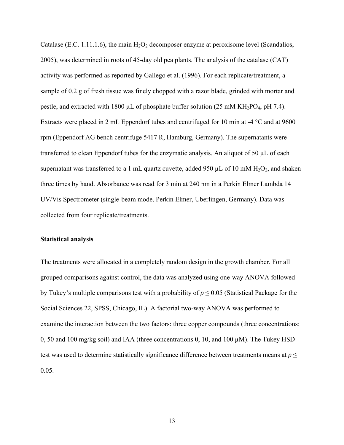Catalase (E.C. 1.11.1.6), the main  $H_2O_2$  decomposer enzyme at peroxisome level (Scandalios, 2005), was determined in roots of 45-day old pea plants. The analysis of the catalase (CAT) activity was performed as reported by Gallego et al. (1996). For each replicate/treatment, a sample of 0.2 g of fresh tissue was finely chopped with a razor blade, grinded with mortar and pestle, and extracted with 1800  $\mu$ L of phosphate buffer solution (25 mM KH<sub>2</sub>PO<sub>4</sub>, pH 7.4). Extracts were placed in 2 mL Eppendorf tubes and centrifuged for 10 min at -4 °C and at 9600 rpm (Eppendorf AG bench centrifuge 5417 R, Hamburg, Germany). The supernatants were transferred to clean Eppendorf tubes for the enzymatic analysis. An aliquot of 50 µL of each supernatant was transferred to a 1 mL quartz cuvette, added 950  $\mu$ L of 10 mM H<sub>2</sub>O<sub>2</sub>, and shaken three times by hand. Absorbance was read for 3 min at 240 nm in a Perkin Elmer Lambda 14 UV/Vis Spectrometer (single-beam mode, Perkin Elmer, Uberlingen, Germany). Data was collected from four replicate/treatments.

## **Statistical analysis**

The treatments were allocated in a completely random design in the growth chamber. For all grouped comparisons against control, the data was analyzed using one-way ANOVA followed by Tukey's multiple comparisons test with a probability of  $p \le 0.05$  (Statistical Package for the Social Sciences 22, SPSS, Chicago, IL). A factorial two-way ANOVA was performed to examine the interaction between the two factors: three copper compounds (three concentrations: 0, 50 and 100 mg/kg soil) and IAA (three concentrations 0, 10, and 100  $\mu$ M). The Tukey HSD test was used to determine statistically significance difference between treatments means at  $p \leq$ 0.05.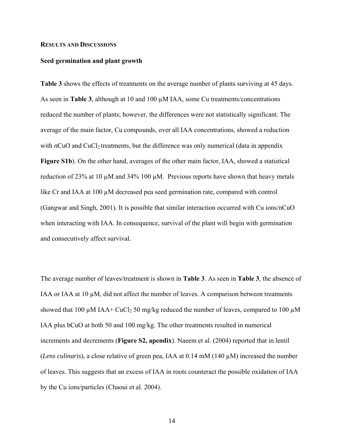#### **RESULTS AND DISCUSSIONS**

#### **Seed germination and plant growth**

**Table 3** shows the effects of treatments on the average number of plants surviving at 45 days. As seen in **Table 3**, although at 10 and 100 µM IAA, some Cu treatments/concentrations reduced the number of plants; however, the differences were not statistically significant. The average of the main factor, Cu compounds, over all IAA concentrations, showed a reduction with  $nCuO$  and  $CuCl<sub>2</sub>$  treatments, but the difference was only numerical (data in appendix **Figure S1b**). On the other hand, averages of the other main factor, IAA, showed a statistical reduction of 23% at 10 µM and 34% 100 µM. Previous reports have shown that heavy metals like Cr and IAA at 100  $\mu$ M decreased pea seed germination rate, compared with control (Gangwar and Singh, 2001). It is possible that similar interaction occurred with Cu ions/nCuO when interacting with IAA. In consequence, survival of the plant will begin with germination and consecutively affect survival.

The average number of leaves/treatment is shown in **Table 3**. As seen in **Table 3**, the absence of IAA or IAA at  $10 \mu M$ , did not affect the number of leaves. A comparison between treatments showed that 100  $\mu$ M IAA+ CuCl<sub>2</sub> 50 mg/kg reduced the number of leaves, compared to 100  $\mu$ M IAA plus bCuO at both 50 and 100 mg/kg. The other treatments resulted in numerical increments and decrements (**Figure S2, apendix**). Naeem et al. (2004) reported that in lentil (*Lens culinaris*), a close relative of green pea, IAA at 0.14 mM (140 µM) increased the number of leaves. This suggests that an excess of IAA in roots counteract the possible oxidation of IAA by the Cu ions/particles (Chaoui et al. 2004).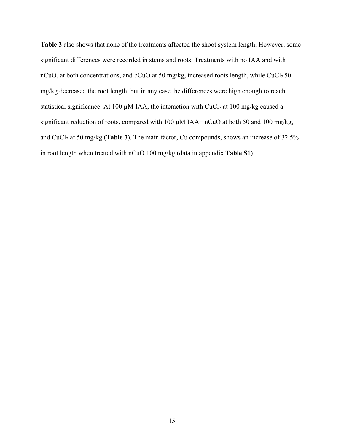**Table 3** also shows that none of the treatments affected the shoot system length. However, some significant differences were recorded in stems and roots. Treatments with no IAA and with nCuO, at both concentrations, and bCuO at 50 mg/kg, increased roots length, while  $CuCl<sub>2</sub> 50$ mg/kg decreased the root length, but in any case the differences were high enough to reach statistical significance. At 100  $\mu$ M IAA, the interaction with CuCl<sub>2</sub> at 100 mg/kg caused a significant reduction of roots, compared with 100  $\mu$ M IAA+ nCuO at both 50 and 100 mg/kg, and CuCl<sub>2</sub> at 50 mg/kg (**Table 3**). The main factor, Cu compounds, shows an increase of 32.5% in root length when treated with nCuO 100 mg/kg (data in appendix **Table S1**).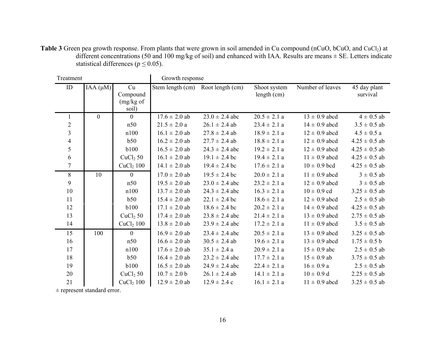Table 3 Green pea growth response. From plants that were grown in soil amended in Cu compound (nCuO, bCuO, and CuCl<sub>2</sub>) at different concentrations (50 and 100 mg/kg of soil) and enhanced with IAA. Results are means  $\pm$  SE. Letters indicate statistical differences ( $p \le 0.05$ ).

| Treatment               |                |                                      | Growth response   |                    |                             |                   |                          |  |
|-------------------------|----------------|--------------------------------------|-------------------|--------------------|-----------------------------|-------------------|--------------------------|--|
| ${\rm ID}$              | IAA $(\mu M)$  | Cu<br>Compound<br>(mg/kg of<br>soil) | Stem length (cm)  | Root length (cm)   | Shoot system<br>length (cm) | Number of leaves  | 45 day plant<br>survival |  |
| 1                       | $\overline{0}$ | $\overline{0}$                       | $17.6 \pm 2.0$ ab | $23.0 \pm 2.4$ abc | $20.5 \pm 2.1 a$            | $13 \pm 0.9$ abcd | $4 \pm 0.5$ ab           |  |
| $\overline{2}$          |                | n50                                  | $21.5 \pm 2.0 a$  | $26.1 \pm 2.4$ ab  | $23.4 \pm 2.1 a$            | $14 \pm 0.9$ abcd | $3.5 \pm 0.5$ ab         |  |
| $\overline{\mathbf{3}}$ |                | n100                                 | $16.1 \pm 2.0$ ab | $27.8 \pm 2.4$ ab  | $18.9 \pm 2.1 a$            | $12 \pm 0.9$ abcd | $4.5 \pm 0.5 a$          |  |
| $\overline{4}$          |                | b50                                  | $16.2 \pm 2.0$ ab | $27.7 \pm 2.4$ ab  | $18.8 \pm 2.1 a$            | $12 \pm 0.9$ abcd | $4.25 \pm 0.5$ ab        |  |
| 5                       |                | <b>b100</b>                          | $16.5 \pm 2.0$ ab | $24.3 \pm 2.4$ abc | $19.2 \pm 2.1$ a            | $12 \pm 0.9$ abcd | $4.25 \pm 0.5$ ab        |  |
| 6                       |                | CuCl <sub>2</sub> 50                 | $16.1 \pm 2.0$ ab | $19.1 \pm 2.4$ bc  | $19.4 \pm 2.1 a$            | $11 \pm 0.9$ abcd | $4.25 \pm 0.5$ ab        |  |
| $\overline{7}$          |                | $CuCl2$ 100                          | $14.1 \pm 2.0$ ab | $19.4 \pm 2.4$ bc  | $17.6 \pm 2.1$ a            | $10 \pm 0.9$ bcd  | $4.25 \pm 0.5$ ab        |  |
| $8\,$                   | 10             | $\overline{0}$                       | $17.0 \pm 2.0$ ab | $19.5 \pm 2.4$ bc  | $20.0 \pm 2.1 a$            | $11 \pm 0.9$ abcd | $3 \pm 0.5$ ab           |  |
| 9                       |                | n50                                  | $19.5 \pm 2.0$ ab | $23.0 \pm 2.4$ abc | $23.2 \pm 2.1$ a            | $12 \pm 0.9$ abcd | $3 \pm 0.5$ ab           |  |
| 10                      |                | n100                                 | $13.7 \pm 2.0$ ab | $24.3 \pm 2.4$ abc | $16.3 \pm 2.1 a$            | $10 \pm 0.9$ cd   | $3.25 \pm 0.5$ ab        |  |
| 11                      |                | b50                                  | $15.4 \pm 2.0$ ab | $22.1 \pm 2.4$ bc  | $18.6 \pm 2.1 a$            | $12 \pm 0.9$ abcd | $2.5 \pm 0.5$ ab         |  |
| 12                      |                | <b>b100</b>                          | $17.1 \pm 2.0$ ab | $18.6 \pm 2.4$ bc  | $20.2 \pm 2.1$ a            | $14 \pm 0.9$ abcd | $4.25 \pm 0.5$ ab        |  |
| 13                      |                | CuCl <sub>2</sub> 50                 | $17.4 \pm 2.0$ ab | $23.8 \pm 2.4$ abc | $21.4 \pm 2.1 a$            | $13 \pm 0.9$ abcd | $2.75 \pm 0.5$ ab        |  |
| 14                      |                | $CuCl2$ 100                          | $13.8 \pm 2.0$ ab | $23.9 \pm 2.4$ abc | $17.2 \pm 2.1$ a            | $11 \pm 0.9$ abcd | $3.5 \pm 0.5$ ab         |  |
| 15                      | 100            | $\mathbf{0}$                         | $16.9 \pm 2.0$ ab | $23.4 \pm 2.4$ abc | $20.5 \pm 2.1$ a            | $13 \pm 0.9$ abcd | $3.25 \pm 0.5$ ab        |  |
| 16                      |                | n50                                  | $16.6 \pm 2.0$ ab | $30.5 \pm 2.4$ ab  | $19.6 \pm 2.1 a$            | $13 \pm 0.9$ abcd | $1.75 \pm 0.5$ b         |  |
| 17                      |                | n100                                 | $17.6 \pm 2.0$ ab | $35.1 \pm 2.4 a$   | $20.9 \pm 2.1$ a            | $15 \pm 0.9$ abc  | $2.5 \pm 0.5$ ab         |  |
| 18                      |                | b50                                  | $16.4 \pm 2.0$ ab | $23.2 \pm 2.4$ abc | $17.7 \pm 2.1$ a            | $15 \pm 0.9$ ab   | $3.75 \pm 0.5$ ab        |  |
| 19                      |                | <b>b</b> 100                         | $16.5 \pm 2.0$ ab | $24.9 \pm 2.4$ abc | $22.4 \pm 2.1$ a            | $16 \pm 0.9 a$    | $2.5 \pm 0.5$ ab         |  |
| 20                      |                | CuCl <sub>2</sub> 50                 | $10.7 \pm 2.0 b$  | $26.1 \pm 2.4$ ab  | $14.1 \pm 2.1 a$            | $10 \pm 0.9$ d    | $2.25 \pm 0.5$ ab        |  |
| 21                      |                | $CuCl2$ 100                          | $12.9 \pm 2.0$ ab | $12.9 \pm 2.4$ c   | $16.1 \pm 2.1 a$            | $11 \pm 0.9$ abcd | $3.25 \pm 0.5$ ab        |  |

± represent standard error.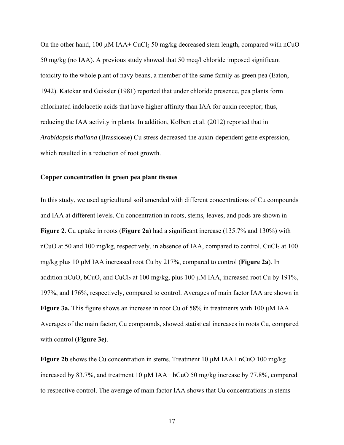On the other hand, 100  $\mu$ M IAA+ CuCl<sub>2</sub> 50 mg/kg decreased stem length, compared with nCuO 50 mg/kg (no IAA). A previous study showed that 50 meq/l chloride imposed significant toxicity to the whole plant of navy beans, a member of the same family as green pea (Eaton, 1942). Katekar and Geissler (1981) reported that under chloride presence, pea plants form chlorinated indolacetic acids that have higher affinity than IAA for auxin receptor; thus, reducing the IAA activity in plants. In addition, Kolbert et al. (2012) reported that in *Arabidopsis thaliana* (Brassiceae) Cu stress decreased the auxin-dependent gene expression, which resulted in a reduction of root growth.

## **Copper concentration in green pea plant tissues**

In this study, we used agricultural soil amended with different concentrations of Cu compounds and IAA at different levels. Cu concentration in roots, stems, leaves, and pods are shown in **Figure 2**. Cu uptake in roots (**Figure 2a**) had a significant increase (135.7% and 130%) with nCuO at 50 and 100 mg/kg, respectively, in absence of IAA, compared to control. CuCl<sub>2</sub> at 100 mg/kg plus 10 µM IAA increased root Cu by 217%, compared to control (**Figure 2a**). In addition nCuO, bCuO, and CuCl<sub>2</sub> at 100 mg/kg, plus 100  $\mu$ M IAA, increased root Cu by 191%, 197%, and 176%, respectively, compared to control. Averages of main factor IAA are shown in **Figure 3a.** This figure shows an increase in root Cu of 58% in treatments with 100 µM IAA. Averages of the main factor, Cu compounds, showed statistical increases in roots Cu, compared with control (**Figure 3e)**.

**Figure 2b** shows the Cu concentration in stems. Treatment  $10 \mu M IAA + nCuO$   $100 \text{ mg/kg}$ increased by 83.7%, and treatment 10 µM IAA+ bCuO 50 mg/kg increase by 77.8%, compared to respective control. The average of main factor IAA shows that Cu concentrations in stems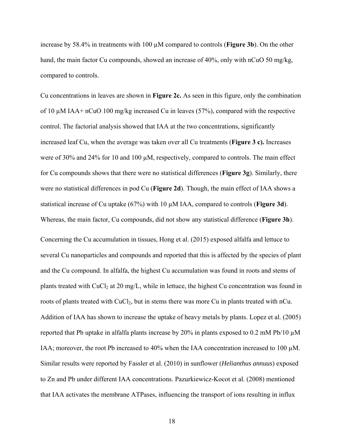increase by 58.4% in treatments with 100 µM compared to controls (**Figure 3b**). On the other hand, the main factor Cu compounds, showed an increase of 40%, only with nCuO 50 mg/kg, compared to controls.

Cu concentrations in leaves are shown in **Figure 2c.** As seen in this figure, only the combination of 10 µM IAA+ nCuO 100 mg/kg increased Cu in leaves (57%), compared with the respective control. The factorial analysis showed that IAA at the two concentrations, significantly increased leaf Cu, when the average was taken over all Cu treatments (**Figure 3 c).** Increases were of 30% and 24% for 10 and 100  $\mu$ M, respectively, compared to controls. The main effect for Cu compounds shows that there were no statistical differences (**Figure 3g**). Similarly, there were no statistical differences in pod Cu (**Figure 2d**). Though, the main effect of IAA shows a statistical increase of Cu uptake (67%) with 10 µM IAA, compared to controls (**Figure 3d**). Whereas, the main factor, Cu compounds, did not show any statistical difference (**Figure 3h**).

Concerning the Cu accumulation in tissues, Hong et al. (2015) exposed alfalfa and lettuce to several Cu nanoparticles and compounds and reported that this is affected by the species of plant and the Cu compound. In alfalfa, the highest Cu accumulation was found in roots and stems of plants treated with  $CuCl<sub>2</sub>$  at 20 mg/L, while in lettuce, the highest Cu concentration was found in roots of plants treated with CuCl<sub>2</sub>, but in stems there was more Cu in plants treated with nCu. Addition of IAA has shown to increase the uptake of heavy metals by plants. Lopez et al. (2005) reported that Pb uptake in alfalfa plants increase by 20% in plants exposed to 0.2 mM Pb/10  $\mu$ M IAA; moreover, the root Pb increased to 40% when the IAA concentration increased to 100  $\mu$ M. Similar results were reported by Fassler et al. (2010) in sunflower (*Helianthus annuus*) exposed to Zn and Pb under different IAA concentrations. Pazurkiewicz-Kocot et al. (2008) mentioned that IAA activates the membrane ATPases, influencing the transport of ions resulting in influx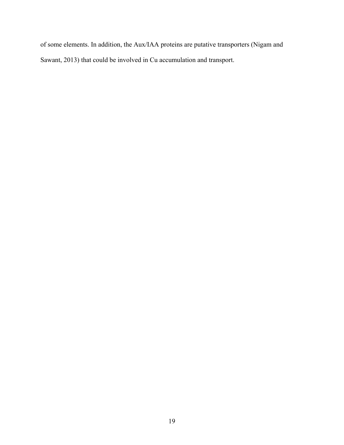of some elements. In addition, the Aux/IAA proteins are putative transporters (Nigam and Sawant, 2013) that could be involved in Cu accumulation and transport.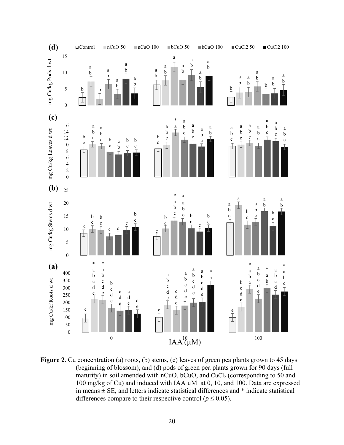

Figure 2. Cu concentration (a) roots, (b) stems, (c) leaves of green pea plants grown to 45 days (beginning of blossom), and (d) pods of green pea plants grown for 90 days (full maturity) in soil amended with nCuO,  $bcuO$ , and  $CuCl<sub>2</sub>$  (corresponding to 50 and 100 mg/kg of Cu) and induced with IAA µM at 0, 10, and 100. Data are expressed in means  $\pm$  SE, and letters indicate statistical differences and  $*$  indicate statistical differences compare to their respective control ( $p \le 0.05$ ).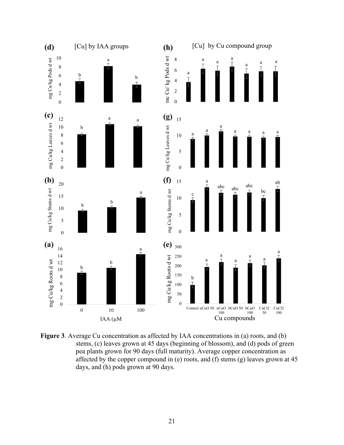

**Figure 3**. Average Cu concentration as affected by IAA concentrations in (a) roots, and (b) stems, (c) leaves grown at 45 days (beginning of blossom), and (d) pods of green pea plants grown for 90 days (full maturity). Average copper concentration as affected by the copper compound in (e) roots, and (f) stems (g) leaves grown at 45 days, and (h) pods grown at 90 days.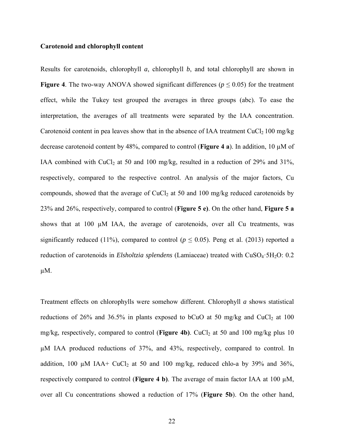## **Carotenoid and chlorophyll content**

Results for carotenoids, chlorophyll *a*, chlorophyll *b*, and total chlorophyll are shown in **Figure 4.** The two-way ANOVA showed significant differences ( $p \le 0.05$ ) for the treatment effect, while the Tukey test grouped the averages in three groups (abc). To ease the interpretation, the averages of all treatments were separated by the IAA concentration. Carotenoid content in pea leaves show that in the absence of IAA treatment  $CuCl<sub>2</sub> 100$  mg/kg decrease carotenoid content by 48%, compared to control (**Figure 4 a**). In addition, 10 µM of IAA combined with CuCl<sub>2</sub> at 50 and 100 mg/kg, resulted in a reduction of 29% and 31%, respectively, compared to the respective control. An analysis of the major factors, Cu compounds, showed that the average of CuCl<sub>2</sub> at 50 and 100 mg/kg reduced carotenoids by 23% and 26%, respectively, compared to control (**Figure 5 e)**. On the other hand, **Figure 5 a** shows that at 100 µM IAA, the average of carotenoids, over all Cu treatments, was significantly reduced (11%), compared to control ( $p \le 0.05$ ). Peng et al. (2013) reported a reduction of carotenoids in *Elsholtzia splendens* (Lamiaceae) treated with CuSO<sub>4</sub>·5H<sub>2</sub>O: 0.2  $\mu$ M.

Treatment effects on chlorophylls were somehow different. Chlorophyll *a* shows statistical reductions of 26% and 36.5% in plants exposed to bCuO at 50 mg/kg and CuCl<sub>2</sub> at 100 mg/kg, respectively, compared to control (Figure 4b). CuCl<sub>2</sub> at 50 and 100 mg/kg plus 10 µM IAA produced reductions of 37%, and 43%, respectively, compared to control. In addition, 100  $\mu$ M IAA+ CuCl<sub>2</sub> at 50 and 100 mg/kg, reduced chlo-a by 39% and 36%, respectively compared to control (**Figure 4 b)**. The average of main factor IAA at 100 µM, over all Cu concentrations showed a reduction of 17% (**Figure 5b**). On the other hand,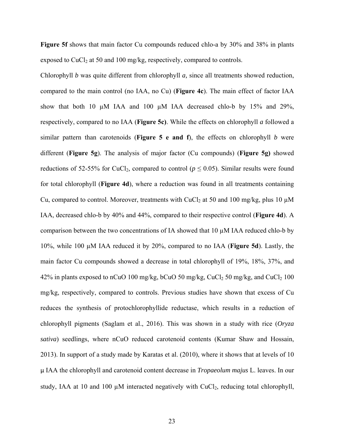**Figure 5f** shows that main factor Cu compounds reduced chlo-a by 30% and 38% in plants exposed to  $CuCl<sub>2</sub>$  at 50 and 100 mg/kg, respectively, compared to controls.

Chlorophyll *b* was quite different from chlorophyll *a,* since all treatments showed reduction, compared to the main control (no IAA, no Cu) (**Figure 4c**). The main effect of factor IAA show that both 10 µM IAA and 100 µM IAA decreased chlo-b by 15% and 29%, respectively, compared to no IAA (**Figure 5c)**. While the effects on chlorophyll *a* followed a similar pattern than carotenoids (**Figure 5 e and f**), the effects on chlorophyll *b* were different (**Figure 5g**). The analysis of major factor (Cu compounds) (**Figure 5g)** showed reductions of 52-55% for CuCl<sub>2</sub>, compared to control ( $p \le 0.05$ ). Similar results were found for total chlorophyll (**Figure 4d**), where a reduction was found in all treatments containing Cu, compared to control. Moreover, treatments with CuCl<sub>2</sub> at 50 and 100 mg/kg, plus 10  $\mu$ M IAA, decreased chlo-b by 40% and 44%, compared to their respective control (**Figure 4d**). A comparison between the two concentrations of IA showed that 10 µM IAA reduced chlo-b by 10%, while 100 µM IAA reduced it by 20%, compared to no IAA (**Figure 5d**). Lastly, the main factor Cu compounds showed a decrease in total chlorophyll of 19%, 18%, 37%, and 42% in plants exposed to nCuO 100 mg/kg, bCuO 50 mg/kg, CuCl<sub>2</sub> 50 mg/kg, and CuCl<sub>2</sub> 100 mg/kg, respectively, compared to controls. Previous studies have shown that excess of Cu reduces the synthesis of protochlorophyllide reductase, which results in a reduction of chlorophyll pigments (Saglam et al., 2016). This was shown in a study with rice (*Oryza sativa*) seedlings, where nCuO reduced carotenoid contents (Kumar Shaw and Hossain, 2013). In support of a study made by Karatas et al. (2010), where it shows that at levels of 10 µ IAA the chlorophyll and carotenoid content decrease in *Tropaeolum majus* L. leaves. In our study, IAA at 10 and 100 µM interacted negatively with CuCl<sub>2</sub>, reducing total chlorophyll,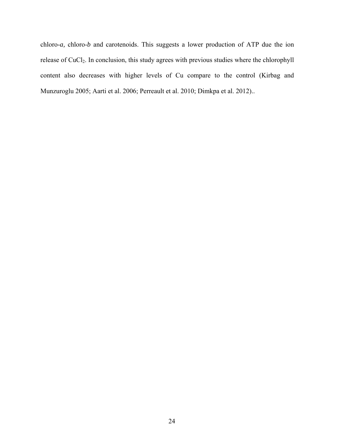chloro-*a,* chloro-*b* and carotenoids. This suggests a lower production of ATP due the ion release of CuCl<sub>2</sub>. In conclusion, this study agrees with previous studies where the chlorophyll content also decreases with higher levels of Cu compare to the control (Kirbag and Munzuroglu 2005; Aarti et al. 2006; Perreault et al. 2010; Dimkpa et al. 2012)..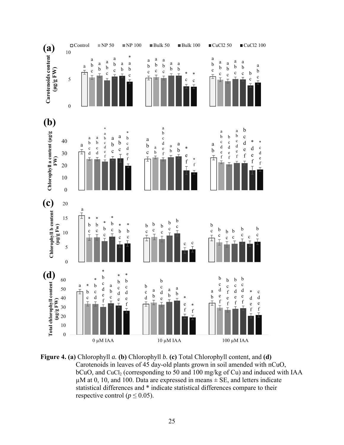

**Figure 4. (a)** Chlorophyll *a.* **(b)** Chlorophyll *b.* **(c)** Total Chlorophyll content, and **(d)** Carotenoids in leaves of 45 day-old plants grown in soil amended with nCuO,  $bCuO$ , and  $CuCl<sub>2</sub>$  (corresponding to 50 and 100 mg/kg of Cu) and induced with IAA  $\mu$ M at 0, 10, and 100. Data are expressed in means  $\pm$  SE, and letters indicate statistical differences and \* indicate statistical differences compare to their respective control ( $p \le 0.05$ ).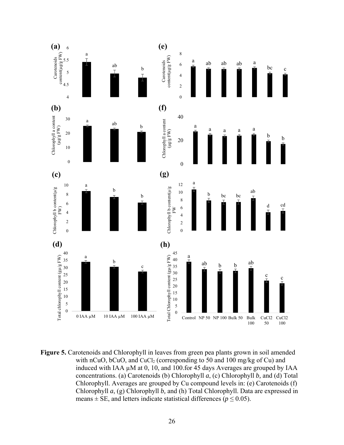

**Figure 5.** Carotenoids and Chlorophyll in leaves from green pea plants grown in soil amended with nCuO, bCuO, and CuCl<sub>2</sub> (corresponding to 50 and 100 mg/kg of Cu) and induced with IAA µM at 0, 10, and 100.for 45 days Averages are grouped by IAA concentrations. (a) Carotenoids (b) Chlorophyll *a*, (c) Chlorophyll *b,* and (d) Total Chlorophyll. Averages are grouped by Cu compound levels in: (e) Carotenoids (f) Chlorophyll *a*, (g) Chlorophyll *b,* and (h) Total Chlorophyll. Data are expressed in means  $\pm$  SE, and letters indicate statistical differences ( $p \le 0.05$ ).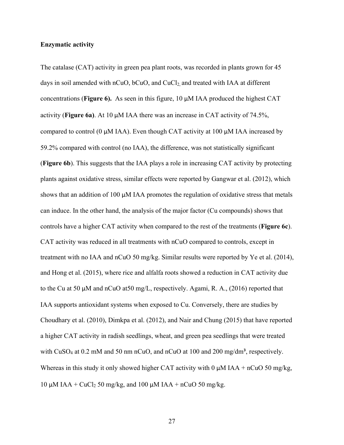## **Enzymatic activity**

The catalase (CAT) activity in green pea plant roots, was recorded in plants grown for 45 days in soil amended with nCuO,  $bCuO$ , and  $CuCl<sub>2</sub>$  and treated with IAA at different concentrations (**Figure 6).** As seen in this figure, 10 µM IAA produced the highest CAT activity (**Figure 6a)**. At 10 µM IAA there was an increase in CAT activity of 74.5%, compared to control (0  $\mu$ M IAA). Even though CAT activity at 100  $\mu$ M IAA increased by 59.2% compared with control (no IAA), the difference, was not statistically significant (**Figure 6b**). This suggests that the IAA plays a role in increasing CAT activity by protecting plants against oxidative stress, similar effects were reported by Gangwar et al. (2012), which shows that an addition of 100  $\mu$ M IAA promotes the regulation of oxidative stress that metals can induce. In the other hand, the analysis of the major factor (Cu compounds) shows that controls have a higher CAT activity when compared to the rest of the treatments (**Figure 6c**). CAT activity was reduced in all treatments with nCuO compared to controls, except in treatment with no IAA and nCuO 50 mg/kg. Similar results were reported by Ye et al. (2014), and Hong et al. (2015), where rice and alfalfa roots showed a reduction in CAT activity due to the Cu at 50 µM and nCuO at50 mg/L, respectively. Agami, R. A., (2016) reported that IAA supports antioxidant systems when exposed to Cu. Conversely, there are studies by Choudhary et al. (2010), Dimkpa et al. (2012), and Nair and Chung (2015) that have reported a higher CAT activity in radish seedlings, wheat, and green pea seedlings that were treated with  $CuSO_4$  at 0.2 mM and 50 nm nCuO, and nCuO at 100 and 200 mg/dm<sup>3</sup>, respectively. Whereas in this study it only showed higher CAT activity with 0  $\mu$ M IAA + nCuO 50 mg/kg, 10  $\mu$ M IAA + CuCl<sub>2</sub> 50 mg/kg, and 100  $\mu$ M IAA + nCuO 50 mg/kg.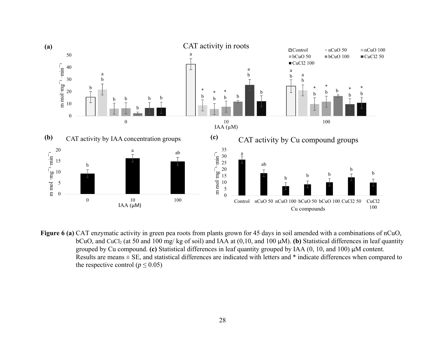

**Figure 6 (a)** CAT enzymatic activity in green pea roots from plants grown for 45 days in soil amended with a combinations of nCuO, bCuO, and CuCl<sub>2</sub> (at 50 and 100 mg/ kg of soil) and IAA at  $(0,10,$  and 100  $\mu$ M). **(b)** Statistical differences in leaf quantity grouped by Cu compound. **(c)** Statistical differences in leaf quantity grouped by IAA (0, 10, and 100) µM content. Results are means ± SE, and statistical differences are indicated with letters and \* indicate differences when compared to the respective control ( $p \le 0.05$ )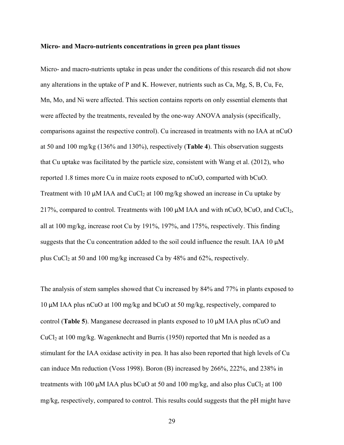#### **Micro- and Macro-nutrients concentrations in green pea plant tissues**

Micro- and macro-nutrients uptake in peas under the conditions of this research did not show any alterations in the uptake of P and K. However, nutrients such as Ca, Mg, S, B, Cu, Fe, Mn, Mo, and Ni were affected. This section contains reports on only essential elements that were affected by the treatments, revealed by the one-way ANOVA analysis (specifically, comparisons against the respective control). Cu increased in treatments with no IAA at nCuO at 50 and 100 mg/kg (136% and 130%), respectively (**Table 4**). This observation suggests that Cu uptake was facilitated by the particle size, consistent with Wang et al. (2012), who reported 1.8 times more Cu in maize roots exposed to nCuO, comparted with bCuO. Treatment with 10  $\mu$ M IAA and CuCl<sub>2</sub> at 100 mg/kg showed an increase in Cu uptake by 217%, compared to control. Treatments with 100  $\mu$ M IAA and with nCuO, bCuO, and CuCl<sub>2</sub>, all at 100 mg/kg, increase root Cu by 191%, 197%, and 175%, respectively. This finding suggests that the Cu concentration added to the soil could influence the result. IAA 10  $\mu$ M plus CuCl<sub>2</sub> at 50 and 100 mg/kg increased Ca by  $48\%$  and  $62\%$ , respectively.

The analysis of stem samples showed that Cu increased by 84% and 77% in plants exposed to 10 μM IAA plus nCuO at 100 mg/kg and bCuO at 50 mg/kg, respectively, compared to control (**Table 5**). Manganese decreased in plants exposed to 10 μM IAA plus nCuO and  $CuCl<sub>2</sub>$  at 100 mg/kg. Wagenknecht and Burris (1950) reported that Mn is needed as a stimulant for the IAA oxidase activity in pea. It has also been reported that high levels of Cu can induce Mn reduction (Voss 1998). Boron (B) increased by 266%, 222%, and 238% in treatments with 100  $\mu$ M IAA plus bCuO at 50 and 100 mg/kg, and also plus CuCl<sub>2</sub> at 100 mg/kg, respectively, compared to control. This results could suggests that the pH might have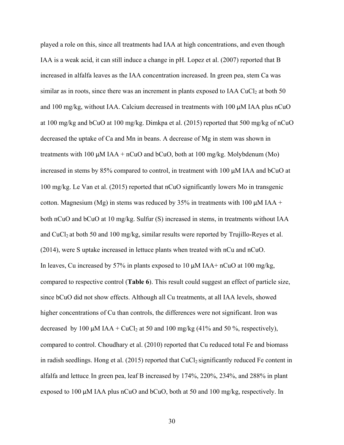played a role on this, since all treatments had IAA at high concentrations, and even though IAA is a weak acid, it can still induce a change in pH. Lopez et al. (2007) reported that B increased in alfalfa leaves as the IAA concentration increased. In green pea, stem Ca was similar as in roots, since there was an increment in plants exposed to IAA CuCl<sub>2</sub> at both 50 and 100 mg/kg, without IAA. Calcium decreased in treatments with 100 μM IAA plus nCuO at 100 mg/kg and bCuO at 100 mg/kg. Dimkpa et al. (2015) reported that 500 mg/kg of nCuO decreased the uptake of Ca and Mn in beans. A decrease of Mg in stem was shown in treatments with 100  $\mu$ M IAA + nCuO and bCuO, both at 100 mg/kg. Molybdenum (Mo) increased in stems by 85% compared to control, in treatment with 100 μM IAA and bCuO at 100 mg/kg. Le Van et al. (2015) reported that nCuO significantly lowers Mo in transgenic cotton. Magnesium (Mg) in stems was reduced by 35% in treatments with 100  $\mu$ M IAA + both nCuO and bCuO at 10 mg/kg. Sulfur (S) increased in stems, in treatments without IAA and  $CuCl<sub>2</sub>$  at both 50 and 100 mg/kg, similar results were reported by Trujillo-Reyes et al. (2014), were S uptake increased in lettuce plants when treated with nCu and nCuO. In leaves, Cu increased by 57% in plants exposed to 10  $\mu$ M IAA+ nCuO at 100 mg/kg, compared to respective control (**Table 6**). This result could suggest an effect of particle size, since bCuO did not show effects. Although all Cu treatments, at all IAA levels, showed higher concentrations of Cu than controls, the differences were not significant. Iron was decreased by 100 μM IAA + CuCl<sub>2</sub> at 50 and 100 mg/kg (41% and 50%, respectively), compared to control. Choudhary et al. (2010) reported that Cu reduced total Fe and biomass in radish seedlings. Hong et al.  $(2015)$  reported that CuCl<sub>2</sub> significantly reduced Fe content in alfalfa and lettuce. In green pea, leaf B increased by 174%, 220%, 234%, and 288% in plant exposed to 100 μM IAA plus nCuO and bCuO, both at 50 and 100 mg/kg, respectively. In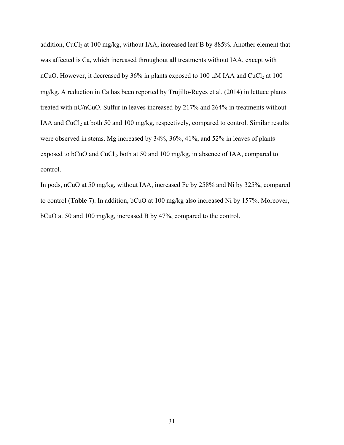addition, CuCl<sub>2</sub> at 100 mg/kg, without IAA, increased leaf B by 885%. Another element that was affected is Ca, which increased throughout all treatments without IAA, except with nCuO. However, it decreased by 36% in plants exposed to 100  $\mu$ M IAA and CuCl<sub>2</sub> at 100 mg/kg. A reduction in Ca has been reported by Trujillo-Reyes et al. (2014) in lettuce plants treated with nC/nCuO. Sulfur in leaves increased by 217% and 264% in treatments without IAA and CuCl<sub>2</sub> at both 50 and 100 mg/kg, respectively, compared to control. Similar results were observed in stems. Mg increased by 34%, 36%, 41%, and 52% in leaves of plants exposed to bCuO and CuCl<sub>2</sub>, both at 50 and 100 mg/kg, in absence of IAA, compared to control.

In pods, nCuO at 50 mg/kg, without IAA, increased Fe by 258% and Ni by 325%, compared to control (**Table 7**). In addition, bCuO at 100 mg/kg also increased Ni by 157%. Moreover, bCuO at 50 and 100 mg/kg, increased B by 47%, compared to the control.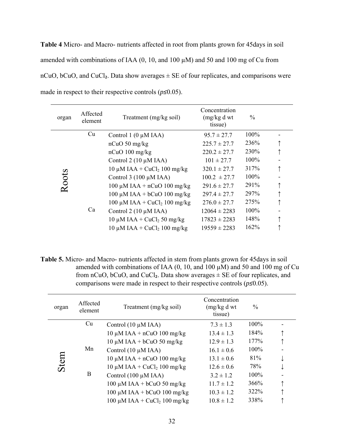**Table 4** Micro- and Macro- nutrients affected in root from plants grown for 45days in soil amended with combinations of IAA  $(0, 10,$  and  $100 \mu M)$  and  $50$  and  $100 \text{ mg}$  of Cu from nCuO, bCuO, and CuCl<sub>2</sub>. Data show averages  $\pm$  SE of four replicates, and comparisons were made in respect to their respective controls (*p≤*0.05).

| organ | Affected<br>element | Treatment (mg/kg soil)                   | Concentration<br>(mg/kg d wt)<br>tissue) | $\%$ |  |
|-------|---------------------|------------------------------------------|------------------------------------------|------|--|
|       | Cu                  | Control $1(0 \mu M IAA)$                 | $95.7 \pm 27.7$                          | 100% |  |
|       |                     | $nCuO$ 50 mg/kg                          | $225.7 \pm 27.7$                         | 236% |  |
| Roots |                     | $nCuO$ 100 mg/kg                         | $220.2 \pm 27.7$                         | 230% |  |
|       |                     | Control $2(10 \mu M IAA)$                | $101 \pm 27.7$                           | 100% |  |
|       |                     | $10 \mu M IAA + CuCl2 100 mg/kg$         | $320.1 \pm 27.7$                         | 317% |  |
|       |                     | Control $3(100 \mu M IAA)$               | $100.2 \pm 27.7$                         | 100% |  |
|       |                     | 100 $\mu$ M IAA + nCuO 100 mg/kg         | $291.6 \pm 27.7$                         | 291% |  |
|       |                     | 100 $\mu$ M IAA + bCuO 100 mg/kg         | $297.4 \pm 27.7$                         | 297% |  |
|       | Ca                  | 100 µM IAA + CuCl <sub>2</sub> 100 mg/kg | $276.0 \pm 27.7$                         | 275% |  |
|       |                     | Control $2(10 \mu M IAA)$                | $12064 \pm 2283$                         | 100% |  |
|       |                     | $10 \mu M IAA + CuCl2 50 mg/kg$          | $17823 \pm 2283$                         | 148% |  |
|       |                     | $10 \mu M IAA + CuCl2 100 mg/kg$         | $19559 \pm 2283$                         | 162% |  |

**Table 5.** Micro- and Macro- nutrients affected in stem from plants grown for 45days in soil amended with combinations of IAA  $(0, 10,$  and  $100 \mu M)$  and  $50$  and  $100 \text{ mg}$  of Cu from nCuO, bCuO, and CuCl<sub>2</sub>. Data show averages  $\pm$  SE of four replicates, and comparisons were made in respect to their respective controls (*p≤*0.05).

| organ | Affected<br>element | Treatment (mg/kg soil)               | Concentration<br>(mg/kg d wt<br>tissue) | $\frac{0}{0}$ |  |
|-------|---------------------|--------------------------------------|-----------------------------------------|---------------|--|
|       | Cu                  | Control $(10 \mu M IAA)$             | $7.3 \pm 1.3$                           | 100%          |  |
|       |                     | $10 \mu M IAA + nCuO$ $100 \, mg/kg$ | $13.4 \pm 1.3$                          | 184%          |  |
| Stem  |                     | $10 \mu M IAA + bCuO 50$ mg/kg       | $12.9 \pm 1.3$                          | 177%          |  |
|       | Mn                  | Control $(10 \mu M IAA)$             | $16.1 \pm 0.6$                          | $100\%$       |  |
|       |                     | $10 \mu M IAA + nCuO$ $100 \, mg/kg$ | $13.1 \pm 0.6$                          | 81%           |  |
|       | B                   | $10 \mu M IAA + CuCl2 100 mg/kg$     | $12.6 \pm 0.6$                          | 78%           |  |
|       |                     | Control $(100 \mu M IAA)$            | $3.2 \pm 1.2$                           | 100%          |  |
|       |                     | 100 $\mu$ M IAA + bCuO 50 mg/kg      | $11.7 \pm 1.2$                          | 366%          |  |
|       |                     | 100 μM IAA + bCuO 100 mg/kg          | $10.3 \pm 1.2$                          | 322%          |  |
|       |                     | 100 µM IAA + $CuCl2$ 100 mg/kg       | $10.8 \pm 1.2$                          | 338%          |  |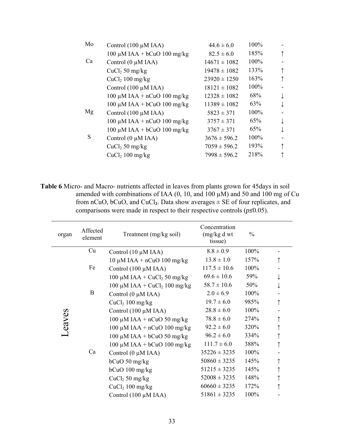| Control $(100 \mu M IAA)$        | $44.6 \pm 6.0$   | 100% |   |
|----------------------------------|------------------|------|---|
| 100 μM IAA + bCuO 100 mg/kg      | $82.5 \pm 6.0$   | 185% | ↑ |
| Control $(0 \mu M IAA)$          | $14671 \pm 1082$ | 100% |   |
| $CuCl2 50$ mg/kg                 | $19478 \pm 1082$ | 133% | ↑ |
| $CuCl2 100$ mg/kg                | $23920 \pm 1250$ | 163% | ↑ |
| Control $(100 \mu M IAA)$        | $18121 \pm 1082$ | 100% |   |
| 100 $\mu$ M IAA + nCuO 100 mg/kg | $12328 \pm 1082$ | 68%  |   |
| 100 μM IAA + bCuO 100 mg/kg      | $11389 \pm 1082$ | 63%  |   |
| Control $(100 \mu M IAA)$        | $5823 \pm 371$   | 100% |   |
| 100 $\mu$ M IAA + nCuO 100 mg/kg | $3757 \pm 371$   | 65%  |   |
| 100 μM IAA + bCuO 100 mg/kg      | $3767 \pm 371$   | 65%  |   |
| Control $(0 \mu M IAA)$          | $3676 \pm 596.2$ | 100% |   |
| $CuCl2 50$ mg/kg                 | $7059 \pm 596.2$ | 193% | ↑ |
| $CuCl2 100$ mg/kg                | $7998 \pm 596.2$ | 218% |   |
|                                  |                  |      |   |

**Table 6** Micro- and Macro- nutrients affected in leaves from plants grown for 45days in soil amended with combinations of IAA  $(0, 10,$  and  $100 \mu M)$  and  $50$  and  $100 \text{ mg}$  of Cu from nCuO, bCuO, and CuCl<sub>2</sub>. Data show averages  $\pm$  SE of four replicates, and comparisons were made in respect to their respective controls ( $p \le 0.05$ ).

| organ  | Affected<br>element | Treatment (mg/kg soil)                    | Concentration<br>(mg/kg dwt)<br>tissue) | $\frac{0}{0}$ |  |
|--------|---------------------|-------------------------------------------|-----------------------------------------|---------------|--|
|        | Cu                  | Control $(10 \mu M IAA)$                  | $8.8 \pm 0.9$                           | 100%          |  |
|        |                     | $10 \mu M IAA + nCuO$ $100 \frac{mg}{kg}$ | $13.8 \pm 1.0$                          | 157%          |  |
|        | Fe                  | Control (100 µM IAA)                      | $117.5 \pm 10.6$                        | 100%          |  |
|        |                     | 100 µM IAA + $CuCl2$ 50 mg/kg             | $69.6 \pm 10.6$                         | 59%           |  |
|        |                     | 100 µM IAA + $CuCl2$ 100 mg/kg            | $58.7 \pm 10.6$                         | 50%           |  |
| Leaves | B                   | Control $(0 \mu M IAA)$                   | $2.0 \pm 6.9$                           | 100%          |  |
|        |                     | CuCl <sub>2</sub> 100 mg/kg               | $19.7 \pm 6.0$                          | 985%          |  |
|        |                     | Control $(100 \mu M IAA)$                 | $28.8 \pm 6.0$                          | 100%          |  |
|        |                     | 100 µM IAA + nCuO 50 mg/kg                | $78.8 \pm 6.0$                          | 274%          |  |
|        |                     | 100 $\mu$ M IAA + nCuO 100 mg/kg          | $92.2 \pm 6.0$                          | 320%          |  |
|        | Ca                  | 100 µM IAA + bCuO 50 mg/kg                | $96.2 \pm 6.0$                          | 334%          |  |
|        |                     | 100 μM IAA + bCuO 100 mg/kg               | $111.7 \pm 6.0$                         | 388%          |  |
|        |                     | Control $(0 \mu M IAA)$                   | $35226 \pm 3235$                        | 100%          |  |
|        |                     | $bCuO$ 50 mg/kg                           | $50860 \pm 3235$                        | 145%          |  |
|        |                     | $bCuO$ 100 mg/kg                          | $51215 \pm 3235$                        | 145%          |  |
|        |                     | $CuCl2 50$ mg/kg                          | $52008 \pm 3235$                        | 148%          |  |
|        |                     | CuCl <sub>2</sub> 100 mg/kg               | $60660 \pm 3235$                        | 172%          |  |
|        |                     | Control $(100 \mu M IAA)$                 | $51861 \pm 3235$                        | 100%          |  |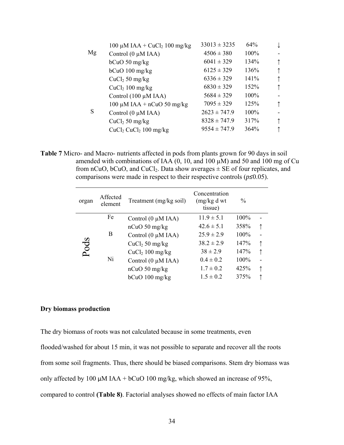|    | 100 $\mu$ M IAA + CuCl <sub>2</sub> 100 mg/kg | $33013 \pm 3235$ | 64%  |                          |
|----|-----------------------------------------------|------------------|------|--------------------------|
| Mg | Control $(0 \mu M IAA)$                       | $4506 \pm 380$   | 100% | $\blacksquare$           |
|    | $bCuO$ 50 mg/kg                               | $6041 \pm 329$   | 134% | $\uparrow$               |
|    | $bCuO$ 100 mg/kg                              | $6125 \pm 329$   | 136% | ↑                        |
|    | $CuCl2 50$ mg/kg                              | $6336 \pm 329$   | 141% | ↑                        |
|    | $CuCl2 100$ mg/kg                             | $6830 \pm 329$   | 152% | ↑                        |
|    | Control $(100 \mu M IAA)$                     | $5684 \pm 329$   | 100% |                          |
|    | 100 $\mu$ M IAA + nCuO 50 mg/kg               | $7095 \pm 329$   | 125% | $\uparrow$               |
| S  | Control (0 µM IAA)                            | $2623 \pm 747.9$ | 100% | $\overline{\phantom{a}}$ |
|    | $CuCl2 50$ mg/kg                              | $8328 \pm 747.9$ | 317% |                          |
|    | $CuCl2 CuCl2 100 mg/kg$                       | $9554 \pm 747.9$ | 364% | ↑                        |
|    |                                               |                  |      |                          |

**Table 7** Micro- and Macro- nutrients affected in pods from plants grown for 90 days in soil amended with combinations of IAA  $(0, 10, \text{ and } 100 \mu)$  and 50 and 100 mg of Cu from nCuO, bCuO, and CuCl<sub>2</sub>. Data show averages  $\pm$  SE of four replicates, and comparisons were made in respect to their respective controls (*p≤*0.05).

| organ | Affected<br>element | Treatment (mg/kg soil)      | Concentration<br>(mg/kg d wt)<br>tissue) | $\%$ |  |
|-------|---------------------|-----------------------------|------------------------------------------|------|--|
|       | Fe                  | Control $(0 \mu M IAA)$     | $11.9 \pm 5.1$                           | 100% |  |
|       |                     | $nCuO$ 50 mg/kg             | $42.6 \pm 5.1$                           | 358% |  |
|       | B                   | Control $(0 \mu M IAA)$     | $25.9 \pm 2.9$                           | 100% |  |
| Pods  |                     | $CuCl2 50$ mg/kg            | $38.2 \pm 2.9$                           | 147% |  |
|       |                     | CuCl <sub>2</sub> 100 mg/kg | $38 \pm 2.9$                             | 147% |  |
|       | Ni                  | Control (0 µM IAA)          | $0.4 \pm 0.2$                            | 100% |  |
|       |                     | $nCuO$ 50 mg/kg             | $1.7 \pm 0.2$                            | 425% |  |
|       |                     | bCuO 100 mg/kg              | $1.5 \pm 0.2$                            | 375% |  |

#### **Dry biomass production**

The dry biomass of roots was not calculated because in some treatments, even flooded/washed for about 15 min, it was not possible to separate and recover all the roots from some soil fragments. Thus, there should be biased comparisons. Stem dry biomass was only affected by 100  $\mu$ M IAA + bCuO 100 mg/kg, which showed an increase of 95%, compared to control **(Table 8)**. Factorial analyses showed no effects of main factor IAA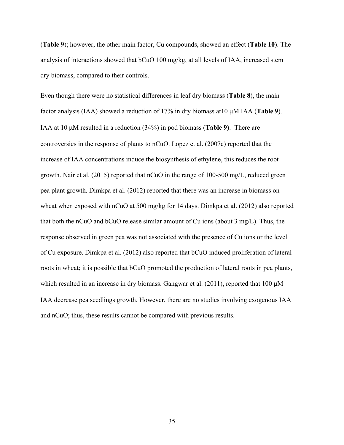(**Table 9**); however, the other main factor, Cu compounds, showed an effect (**Table 10**). The analysis of interactions showed that bCuO 100 mg/kg, at all levels of IAA, increased stem dry biomass, compared to their controls.

Even though there were no statistical differences in leaf dry biomass (**Table 8**), the main factor analysis (IAA) showed a reduction of 17% in dry biomass at10 µM IAA (**Table 9**). IAA at 10 µM resulted in a reduction (34%) in pod biomass (**Table 9)**.There are controversies in the response of plants to nCuO. Lopez et al. (2007c) reported that the increase of IAA concentrations induce the biosynthesis of ethylene, this reduces the root growth. Nair et al. (2015) reported that nCuO in the range of 100-500 mg/L, reduced green pea plant growth. Dimkpa et al. (2012) reported that there was an increase in biomass on wheat when exposed with nCuO at 500 mg/kg for 14 days. Dimkpa et al. (2012) also reported that both the nCuO and bCuO release similar amount of Cu ions (about 3 mg/L). Thus, the response observed in green pea was not associated with the presence of Cu ions or the level of Cu exposure. Dimkpa et al. (2012) also reported that bCuO induced proliferation of lateral roots in wheat; it is possible that bCuO promoted the production of lateral roots in pea plants, which resulted in an increase in dry biomass. Gangwar et al.  $(2011)$ , reported that 100  $\mu$ M IAA decrease pea seedlings growth. However, there are no studies involving exogenous IAA and nCuO; thus, these results cannot be compared with previous results.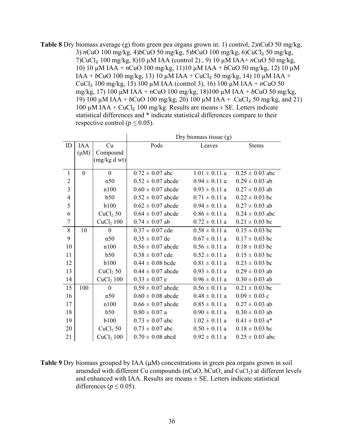**Table 8** Dry biomass average (g) from green pea organs grown in: 1) control, 2)*n*CuO 50 mg/kg, 3) *n*CuO 100 mg/kg, 4)*b*CuO 50 mg/kg, 5)*b*CuO 100 mg/kg, 6)CuCl₂ 50 mg/kg, 7)CuCl₂ 100 mg/kg, 8)10 µM IAA (control 2) , 9) 10 µM IAA+ *n*CuO 50 mg/kg, 10) 10 µM IAA + *n*CuO 100 mg/kg, 11)10 µM IAA + *b*CuO 50 mg/kg, 12) 10 µM  $IAA + bCuO$  100 mg/kg, 13) 10  $\mu$ M IAA + CuCl<sub>2</sub> 50 mg/kg, 14) 10  $\mu$ M IAA + CuCl<sub>2</sub> 100 mg/kg, 15) 100  $\mu$ M IAA (control 3), 16) 100  $\mu$ M IAA + *n*CuO 50 mg/kg, 17) 100 µM IAA + *n*CuO 100 mg/kg, 18)100 µM IAA + *b*CuO 50 mg/kg, 19) 100  $\mu$ M IAA + *b*CuO 100 mg/kg, 20) 100  $\mu$ M IAA + CuCl<sub>2</sub> 50 mg/kg, and 21) 100  $\mu$ M IAA + CuCl<sub>2</sub> 100 mg/kg. Results are means  $\pm$  SE. Letters indicate statistical differences and \* indicate statistical differences compare to their respective control ( $p \le 0.05$ ).

|                |            |                       |                       | Dry biomass tissue (g) |                     |
|----------------|------------|-----------------------|-----------------------|------------------------|---------------------|
| ID             | <b>IAA</b> | Cu                    | Pods                  | Leaves                 | <b>Stems</b>        |
|                | $(\mu M)$  | Compound              |                       |                        |                     |
|                |            | (mg/kg dwt)           |                       |                        |                     |
| $\mathbf{1}$   | $\theta$   | $\boldsymbol{0}$      | $0.72 \pm 0.07$ abc   | $1.01 \pm 0.11$ a      | $0.25 \pm 0.03$ abc |
| $\overline{2}$ |            | n50                   | $0.52 \pm 0.07$ abcde | $0.94 \pm 0.11$ a      | $0.29 \pm 0.03$ ab  |
| $\overline{3}$ |            | n100                  | $0.60 \pm 0.07$ abcde | $0.93 \pm 0.11$ a      | $0.27 \pm 0.03$ ab  |
| $\overline{4}$ |            | b50                   | $0.52 \pm 0.07$ abcde | $0.71 \pm 0.11$ a      | $0.22 \pm 0.03$ bc  |
| 5              |            | <b>b100</b>           | $0.62 \pm 0.07$ abcde | $0.94 \pm 0.11$ a      | $0.27 \pm 0.03$ ab  |
| 6              |            | CuCl <sub>2</sub> 50  | $0.64 \pm 0.07$ abcde | $0.86 \pm 0.11$ a      | $0.24 \pm 0.03$ abc |
| $\overline{7}$ |            | CuCl <sub>2</sub> 100 | $0.74 \pm 0.07$ ab    | $0.72 \pm 0.11$ a      | $0.21 \pm 0.03$ bc  |
| 8              | 10         | $\boldsymbol{0}$      | $0.37 \pm 0.07$ cde   | $0.58 \pm 0.11$ a      | $0.15 \pm 0.03$ bc  |
| 9              |            | n50                   | $0.35 \pm 0.07$ de    | $0.67 \pm 0.11$ a      | $0.17 \pm 0.03$ bc  |
| 10             |            | n100                  | $0.56 \pm 0.07$ abcde | $0.56 \pm 0.11$ a      | $0.18 \pm 0.03$ bc  |
| 11             |            | b50                   | $0.38 \pm 0.07$ cde   | $0.52 \pm 0.11$ a      | $0.15 \pm 0.03$ bc  |
| 12             |            | <b>b100</b>           | $0.44 \pm 0.08$ bcde  | $0.81 \pm 0.11$ a      | $0.23 \pm 0.03$ bc  |
| 13             |            | CuCl <sub>2</sub> 50  | $0.44 \pm 0.07$ abcde | $0.93 \pm 0.11$ a      | $0.29 \pm 0.03$ ab  |
| 14             |            | $CuCl2$ 100           | $0.33 \pm 0.07$ e     | $0.96 \pm 0.11$ a      | $0.30 \pm 0.03$ ab  |
| 15             | 100        | $\overline{0}$        | $0.59 \pm 0.07$ abcde | $0.56 \pm 0.11$ a      | $0.21 \pm 0.03$ bc  |
| 16             |            | n50                   | $0.60 \pm 0.08$ abcde | $0.48 \pm 0.11$ a      | $0.09 \pm 0.03$ c   |
| 17             |            | n100                  | $0.66 \pm 0.07$ abcde | $0.85 \pm 0.11$ a      | $0.27 \pm 0.03$ ab  |
| 18             |            | b50                   | $0.80 \pm 0.07$ a     | $0.90 \pm 0.11$ a      | $0.30 \pm 0.03$ ab  |
| 19             |            | <b>b100</b>           | $0.73 \pm 0.07$ abc   | $1.02 \pm 0.11$ a      | $0.41 \pm 0.03$ a*  |
| 20             |            | CuCl <sub>2</sub> 50  | $0.73 \pm 0.07$ abc   | $0.50 \pm 0.11$ a      | $0.18 \pm 0.03$ bc  |
| 21             |            | CuCl <sub>2</sub> 100 | $0.70 \pm 0.08$ abcd  | $0.92 \pm 0.11$ a      | $0.25 \pm 0.03$ abc |

**Table 9** Dry biomass grouped by IAA (μM) concentrations in green pea organs grown in soil amended with different Cu compounds ( $nCuO$ ,  $bCuO$ , and  $CuCl<sub>2</sub>$ ) at different levels and enhanced with IAA. Results are means  $\pm$  SE. Letters indicate statistical differences ( $p \le 0.05$ ).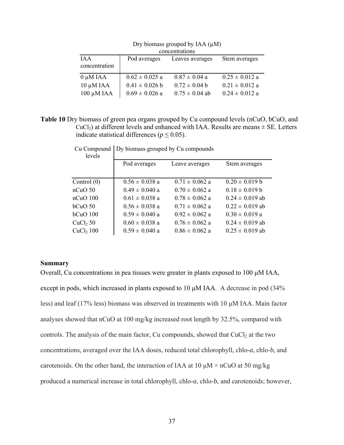|                | concentrations     |                    |                    |  |  |  |  |
|----------------|--------------------|--------------------|--------------------|--|--|--|--|
| <b>IAA</b>     | Pod averages       | Leaves averages    | Stem averages      |  |  |  |  |
| concentration  |                    |                    |                    |  |  |  |  |
| $0 \mu M IAA$  | $0.62 \pm 0.025$ a | $0.87 \pm 0.04$ a  | $0.25 \pm 0.012$ a |  |  |  |  |
| $10 \mu M IAA$ | $0.41 \pm 0.026$ b | $0.72 \pm 0.04$ b  | $0.21 \pm 0.012$ a |  |  |  |  |
| 100 μM IAA     | $0.69 \pm 0.026$ a | $0.75 \pm 0.04$ ab | $0.24 \pm 0.012$ a |  |  |  |  |

Dry biomass grouped by IAA  $(\mu M)$ concentrations

**Table 10** Dry biomass of green pea organs grouped by Cu compound levels (nCuO, bCuO, and  $CuCl<sub>2</sub>$ ) at different levels and enhanced with IAA. Results are means  $\pm$  SE. Letters indicate statistical differences ( $p \le 0.05$ ).

| Pod averages       | Leave averages     | Stem averages       |
|--------------------|--------------------|---------------------|
|                    |                    |                     |
| $0.56 \pm 0.038$ a | $0.71 \pm 0.062$ a | $0.20 \pm 0.019 b$  |
| $0.49 \pm 0.040$ a | $0.70 \pm 0.062$ a | $0.18 \pm 0.019 b$  |
| $0.61 \pm 0.038$ a | $0.78 \pm 0.062$ a | $0.24 \pm 0.019$ ab |
| $0.56 \pm 0.038$ a | $0.71 \pm 0.062$ a | $0.22 \pm 0.019$ ab |
| $0.59 \pm 0.040$ a | $0.92 \pm 0.062$ a | $0.30 \pm 0.019$ a  |
| $0.60 \pm 0.038$ a | $0.76 \pm 0.062$ a | $0.24 \pm 0.019$ ab |
| $0.59 \pm 0.040$ a | $0.86 \pm 0.062$ a | $0.25 \pm 0.019$ ab |
|                    |                    |                     |

Cu Compound Dy biomass grouped by Cu compounds

## **Summary**

Overall, Cu concentrations in pea tissues were greater in plants exposed to 100 μM IAA, except in pods, which increased in plants exposed to 10 μM IAA. A decrease in pod (34% less) and leaf (17% less) biomass was observed in treatments with 10 μM IAA. Main factor analyses showed that nCuO at 100 mg/kg increased root length by 32.5%, compared with controls. The analysis of the main factor, Cu compounds, showed that  $CuCl<sub>2</sub>$  at the two concentrations, averaged over the IAA doses, reduced total chlorophyll, chlo-*a*, chlo-*b,* and carotenoids. On the other hand, the interaction of IAA at 10  $\mu$ M × nCuO at 50 mg/kg produced a numerical increase in total chlorophyll, chlo-*a*, chlo-*b,* and carotenoids; however,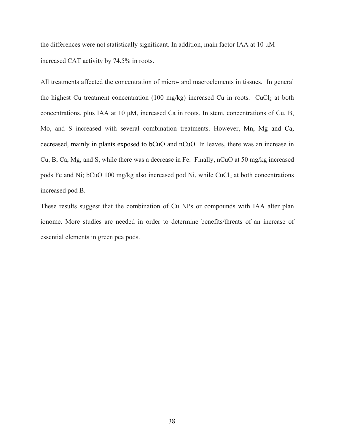the differences were not statistically significant. In addition, main factor IAA at 10 μM increased CAT activity by 74.5% in roots.

All treatments affected the concentration of micro- and macroelements in tissues. In general the highest Cu treatment concentration (100 mg/kg) increased Cu in roots. CuCl<sub>2</sub> at both concentrations, plus IAA at 10 μM, increased Ca in roots. In stem, concentrations of Cu, B, Mo, and S increased with several combination treatments. However, Mn, Mg and Ca, decreased, mainly in plants exposed to bCuO and nCuO. In leaves, there was an increase in Cu, B, Ca, Mg, and S, while there was a decrease in Fe. Finally, nCuO at 50 mg/kg increased pods Fe and Ni; bCuO 100 mg/kg also increased pod Ni, while CuCl<sub>2</sub> at both concentrations increased pod B.

These results suggest that the combination of Cu NPs or compounds with IAA alter plan ionome. More studies are needed in order to determine benefits/threats of an increase of essential elements in green pea pods.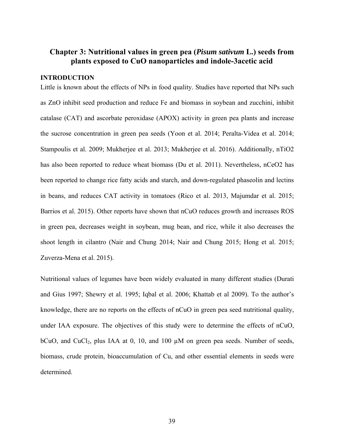# **Chapter 3: Nutritional values in green pea (***Pisum sativum* **L.) seeds from plants exposed to CuO nanoparticles and indole-3acetic acid**

## **INTRODUCTION**

Little is known about the effects of NPs in food quality. Studies have reported that NPs such as ZnO inhibit seed production and reduce Fe and biomass in soybean and zucchini, inhibit catalase (CAT) and ascorbate peroxidase (APOX) activity in green pea plants and increase the sucrose concentration in green pea seeds (Yoon et al. 2014; Peralta-Videa et al. 2014; Stampoulis et al. 2009; Mukherjee et al. 2013; Mukherjee et al. 2016). Additionally, nTiO2 has also been reported to reduce wheat biomass (Du et al. 2011). Nevertheless, nCeO2 has been reported to change rice fatty acids and starch, and down-regulated phaseolin and lectins in beans, and reduces CAT activity in tomatoes (Rico et al. 2013, Majumdar et al. 2015; Barrios et al. 2015). Other reports have shown that nCuO reduces growth and increases ROS in green pea, decreases weight in soybean, mug bean, and rice, while it also decreases the shoot length in cilantro (Nair and Chung 2014; Nair and Chung 2015; Hong et al. 2015; Zuverza-Mena et al. 2015).

Nutritional values of legumes have been widely evaluated in many different studies (Durati and Gius 1997; Shewry et al. 1995; Iqbal et al. 2006; Khattab et al 2009). To the author's knowledge, there are no reports on the effects of nCuO in green pea seed nutritional quality, under IAA exposure. The objectives of this study were to determine the effects of nCuO, bCuO, and CuCl<sub>2</sub>, plus IAA at 0, 10, and 100  $\mu$ M on green pea seeds. Number of seeds, biomass, crude protein, bioaccumulation of Cu, and other essential elements in seeds were determined.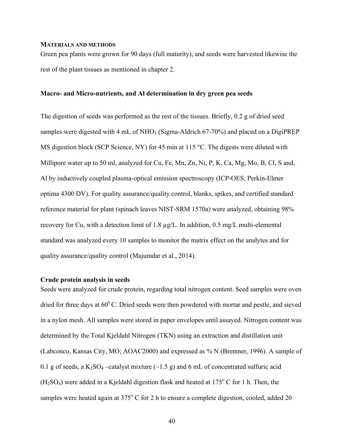## **MATERIALS AND METHODS**

Green pea plants were grown for 90 days (full maturity), and seeds were harvested likewise the rest of the plant tissues as mentioned in chapter 2.

## **Macro- and Micro-nutrients, and Al determination in dry green pea seeds**

The digestion of seeds was performed as the rest of the tissues. Briefly, 0.2 g of dried seed samples were digested with 4 mL of  $NHO<sub>3</sub>$  (Sigma-Aldrich 67-70%) and placed on a DigiPREP MS digestion block (SCP Science, NY) for 45 min at 115 °C. The digests were diluted with Millipore water up to 50 ml, analyzed for Cu, Fe, Mn, Zn, Ni, P, K, Ca, Mg, Mo, B, Cl, S and, Al by inductively coupled plasma-optical emission spectroscopy (ICP-OES, Perkin-Elmer optima 4300 DV). For quality assurance/quality control, blanks, spikes, and certified standard reference material for plant (spinach leaves NIST-SRM 1570a) were analyzed, obtaining 98% recovery for Cu, with a detection limit of 1.8 µg/L. In addition, 0.5 mg/L multi-elemental standard was analyzed every 10 samples to monitor the matrix effect on the analytes and for quality assurance/quality control (Majumdar et al., 2014).

#### **Crude protein analysis in seeds**

Seeds were analyzed for crude protein, regarding total nitrogen content. Seed samples were oven dried for three days at  $60^{\circ}$ C. Dried seeds were then powdered with mortar and pestle, and sieved in a nylon mesh. All samples were stored in paper envelopes until assayed. Nitrogen content was determined by the Total Kjeldahl Nitrogen (TKN) using an extraction and distillation unit (Labconco, Kansas City, MO; AOAC2000) and expressed as % N (Bremner, 1996). A sample of 0.1 g of seeds, a K<sub>2</sub>SO<sub>4</sub> –catalyst mixture  $(\sim 1.5 \text{ g})$  and 6 mL of concentrated sulfuric acid  $(H<sub>2</sub>SO<sub>4</sub>)$  were added in a Kjeldahl digestion flask and heated at 175 $\degree$  C for 1 h. Then, the samples were heated again at  $375^{\circ}$  C for 2 h to ensure a complete digestion, cooled, added 20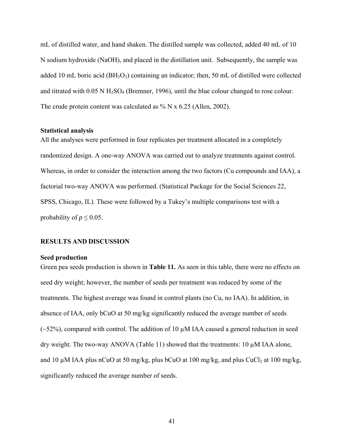mL of distilled water, and hand shaken. The distilled sample was collected, added 40 mL of 10 N sodium hydroxide (NaOH), and placed in the distillation unit. Subsequently, the sample was added 10 mL boric acid ( $BH_3O_3$ ) containing an indicator; then, 50 mL of distilled were collected and titrated with  $0.05 \text{ N H}_2\text{SO}_4$  (Bremner, 1996), until the blue colour changed to rose colour. The crude protein content was calculated as % N x 6.25 (Allen, 2002).

#### **Statistical analysis**

All the analyses were performed in four replicates per treatment allocated in a completely randomized design. A one-way ANOVA was carried out to analyze treatments against control. Whereas, in order to consider the interaction among the two factors (Cu compounds and IAA), a factorial two-way ANOVA was performed. (Statistical Package for the Social Sciences 22, SPSS, Chicago, IL). These were followed by a Tukey's multiple comparisons test with a probability of  $p \leq 0.05$ .

## **RESULTS AND DISCUSSION**

#### **Seed production**

Green pea seeds production is shown in **Table 11.** As seen in this table, there were no effects on seed dry weight; however, the number of seeds per treatment was reduced by some of the treatments. The highest average was found in control plants (no Cu, no IAA). In addition, in absence of IAA, only bCuO at 50 mg/kg significantly reduced the average number of seeds  $(-52%)$ , compared with control. The addition of 10  $\mu$ M IAA caused a general reduction in seed dry weight. The two-way ANOVA (Table 11) showed that the treatments: 10 µM IAA alone, and 10  $\mu$ M IAA plus nCuO at 50 mg/kg, plus bCuO at 100 mg/kg, and plus CuCl<sub>2</sub> at 100 mg/kg, significantly reduced the average number of seeds.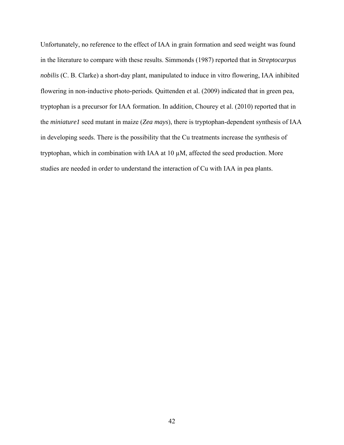Unfortunately, no reference to the effect of IAA in grain formation and seed weight was found in the literature to compare with these results. Simmonds (1987) reported that in *Streptocarpus nobilis* (C. B. Clarke) a short-day plant, manipulated to induce in vitro flowering, IAA inhibited flowering in non-inductive photo-periods. Quittenden et al. (2009) indicated that in green pea, tryptophan is a precursor for IAA formation. In addition, Chourey et al. (2010) reported that in the *miniature1* seed mutant in maize (*Zea mays*), there is tryptophan-dependent synthesis of IAA in developing seeds. There is the possibility that the Cu treatments increase the synthesis of tryptophan, which in combination with IAA at 10 µM, affected the seed production. More studies are needed in order to understand the interaction of Cu with IAA in pea plants.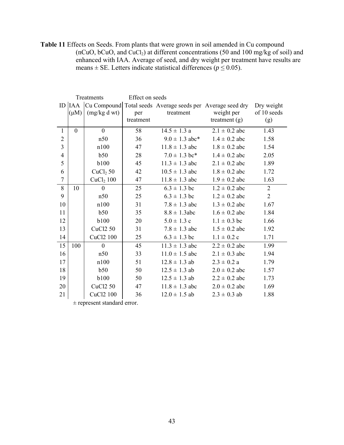**Table 11** Effects on Seeds. From plants that were grown in soil amended in Cu compound (nCuO, bCuO, and CuCl<sub>2</sub>) at different concentrations (50 and 100 mg/kg of soil) and enhanced with IAA. Average of seed, and dry weight per treatment have results are means  $\pm$  SE. Letters indicate statistical differences ( $p \le 0.05$ ).

|                |           | Treatments            | Effect on seeds |                                                                      |                   |                |
|----------------|-----------|-----------------------|-----------------|----------------------------------------------------------------------|-------------------|----------------|
|                |           |                       |                 | ID  IAA  Cu Compound  Total seeds Average seeds per Average seed dry |                   | Dry weight     |
|                | $(\mu M)$ | (mg/kg dwt)           | per             | treatment                                                            | weight per        | of 10 seeds    |
|                |           |                       | treatment       |                                                                      | treatment $(g)$   | (g)            |
| 1              | $\theta$  | $\mathbf{0}$          | 58              | $14.5 \pm 1.3$ a                                                     | $2.1 \pm 0.2$ abc | 1.43           |
| $\overline{2}$ |           | n50                   | 36              | $9.0 \pm 1.3$ abc*                                                   | $1.4 \pm 0.2$ abc | 1.58           |
| 3              |           | n100                  | 47              | $11.8 \pm 1.3$ abc                                                   | $1.8 \pm 0.2$ abc | 1.54           |
| $\overline{4}$ |           | b50                   | 28              | $7.0 \pm 1.3$ bc*                                                    | $1.4 \pm 0.2$ abc | 2.05           |
| 5              |           | <b>b100</b>           | 45              | $11.3 \pm 1.3$ abc                                                   | $2.1 \pm 0.2$ abc | 1.89           |
| 6              |           | CuCl <sub>2</sub> 50  | 42              | $10.5 \pm 1.3$ abc                                                   | $1.8 \pm 0.2$ abc | 1.72           |
| $\overline{7}$ |           | CuCl <sub>2</sub> 100 | 47              | $11.8 \pm 1.3$ abc                                                   | $1.9 \pm 0.2$ abc | 1.63           |
| 8              | 10        | $\mathbf{0}$          | 25              | $6.3 \pm 1.3$ bc                                                     | $1.2 \pm 0.2$ abc | $\overline{2}$ |
| 9              |           | n50                   | 25              | $6.3 \pm 1.3$ bc                                                     | $1.2 \pm 0.2$ abc | $\overline{2}$ |
| 10             |           | n100                  | 31              | $7.8 \pm 1.3$ abc                                                    | $1.3 \pm 0.2$ abc | 1.67           |
| 11             |           | b50                   | 35              | $8.8 \pm 1.3$ abc                                                    | $1.6 \pm 0.2$ abc | 1.84           |
| 12             |           | <b>b100</b>           | 20              | $5.0 \pm 1.3$ c                                                      | $1.1 \pm 0.3$ bc  | 1.66           |
| 13             |           | <b>CuCl2 50</b>       | 31              | $7.8 \pm 1.3$ abc                                                    | $1.5 \pm 0.2$ abc | 1.92           |
| 14             |           | CuCl2 100             | 25              | $6.3 \pm 1.3$ bc                                                     | $1.1 \pm 0.2$ c   | 1.71           |
| 15             | 100       | $\boldsymbol{0}$      | 45              | $11.3 \pm 1.3$ abc                                                   | $2.2 \pm 0.2$ abc | 1.99           |
| 16             |           | n50                   | 33              | $11.0 \pm 1.5$ abc                                                   | $2.1 \pm 0.3$ abc | 1.94           |
| 17             |           | n100                  | 51              | $12.8 \pm 1.3$ ab                                                    | $2.3 \pm 0.2 a$   | 1.79           |
| 18             |           | b50                   | 50              | $12.5 \pm 1.3$ ab                                                    | $2.0 \pm 0.2$ abc | 1.57           |
| 19             |           | <b>b100</b>           | 50              | $12.5 \pm 1.3$ ab                                                    | $2.2 \pm 0.2$ abc | 1.73           |
| 20             |           | <b>CuCl2 50</b>       | 47              | $11.8 \pm 1.3$ abc                                                   | $2.0 \pm 0.2$ abc | 1.69           |
| 21             |           | CuCl2 100             | 36              | $12.0 \pm 1.5$ ab                                                    | $2.3 \pm 0.3$ ab  | 1.88           |
|                |           |                       |                 |                                                                      |                   |                |

± represent standard error.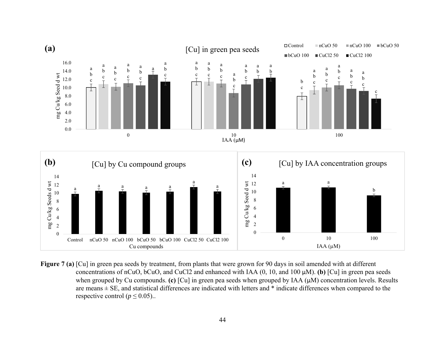

**Figure 7 (a)** [Cu] in green pea seeds by treatment, from plants that were grown for 90 days in soil amended with at different concentrations of nCuO, bCuO, and CuCl2 and enhanced with IAA (0, 10, and 100 µM). **(b)** [Cu] in green pea seeds when grouped by Cu compounds. **(c)** [Cu] in green pea seeds when grouped by IAA (µM) concentration levels. Results are means  $\pm$  SE, and statistical differences are indicated with letters and  $*$  indicate differences when compared to the respective control ( $p \le 0.05$ )...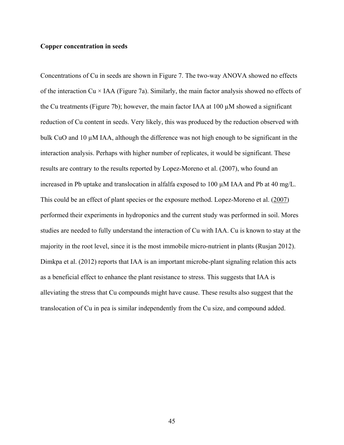## **Copper concentration in seeds**

Concentrations of Cu in seeds are shown in Figure 7. The two-way ANOVA showed no effects of the interaction  $Cu \times IAA$  (Figure 7a). Similarly, the main factor analysis showed no effects of the Cu treatments (Figure 7b); however, the main factor IAA at 100 µM showed a significant reduction of Cu content in seeds. Very likely, this was produced by the reduction observed with bulk CuO and 10 µM IAA, although the difference was not high enough to be significant in the interaction analysis. Perhaps with higher number of replicates, it would be significant. These results are contrary to the results reported by Lopez-Moreno et al. (2007), who found an increased in Pb uptake and translocation in alfalfa exposed to 100  $\mu$ M IAA and Pb at 40 mg/L. This could be an effect of plant species or the exposure method. Lopez-Moreno et al. (2007) performed their experiments in hydroponics and the current study was performed in soil. Mores studies are needed to fully understand the interaction of Cu with IAA. Cu is known to stay at the majority in the root level, since it is the most immobile micro-nutrient in plants (Rusjan 2012). Dimkpa et al. (2012) reports that IAA is an important microbe-plant signaling relation this acts as a beneficial effect to enhance the plant resistance to stress. This suggests that IAA is alleviating the stress that Cu compounds might have cause. These results also suggest that the translocation of Cu in pea is similar independently from the Cu size, and compound added.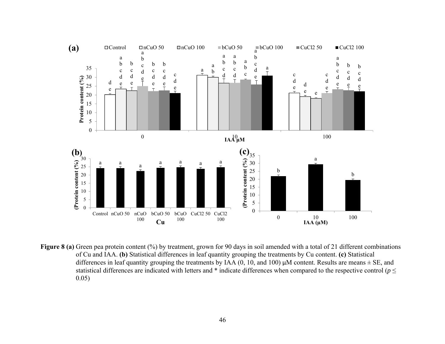

**Figure 8** (a) Green pea protein content (%) by treatment, grown for 90 days in soil amended with a total of 21 different combinations of Cu and IAA. **(b)** Statistical differences in leaf quantity grouping the treatments by Cu content. **(c)** Statistical differences in leaf quantity grouping the treatments by IAA  $(0, 10,$  and 100)  $\mu$ M content. Results are means  $\pm$  SE, and statistical differences are indicated with letters and  $*$  indicate differences when compared to the respective control ( $p \leq$ 0.05)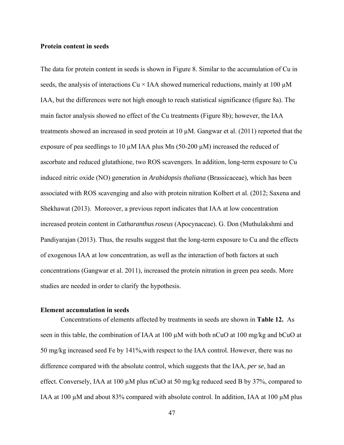## **Protein content in seeds**

The data for protein content in seeds is shown in Figure 8. Similar to the accumulation of Cu in seeds, the analysis of interactions Cu  $\times$  IAA showed numerical reductions, mainly at 100  $\mu$ M IAA, but the differences were not high enough to reach statistical significance (figure 8a). The main factor analysis showed no effect of the Cu treatments (Figure 8b); however, the IAA treatments showed an increased in seed protein at 10 µM. Gangwar et al. (2011) reported that the exposure of pea seedlings to 10  $\mu$ M IAA plus Mn (50-200  $\mu$ M) increased the reduced of ascorbate and reduced glutathione, two ROS scavengers. In addition, long-term exposure to Cu induced nitric oxide (NO) generation in *Arabidopsis thaliana* (Brassicaceae)*,* which has been associated with ROS scavenging and also with protein nitration Kolbert et al. (2012; Saxena and Shekhawat (2013). Moreover, a previous report indicates that IAA at low concentration increased protein content in *Catharanthus roseus* (Apocynaceae). G. Don (Muthulakshmi and Pandiyarajan (2013). Thus, the results suggest that the long-term exposure to Cu and the effects of exogenous IAA at low concentration, as well as the interaction of both factors at such concentrations (Gangwar et al. 2011), increased the protein nitration in green pea seeds. More studies are needed in order to clarify the hypothesis.

## **Element accumulation in seeds**

Concentrations of elements affected by treatments in seeds are shown in **Table 12.** As seen in this table, the combination of IAA at 100  $\mu$ M with both nCuO at 100 mg/kg and bCuO at 50 mg/kg increased seed Fe by 141%,with respect to the IAA control. However, there was no difference compared with the absolute control, which suggests that the IAA, *per se*, had an effect. Conversely, IAA at 100  $\mu$ M plus nCuO at 50 mg/kg reduced seed B by 37%, compared to IAA at 100  $\mu$ M and about 83% compared with absolute control. In addition, IAA at 100  $\mu$ M plus

47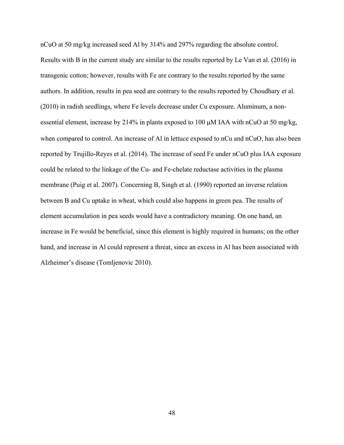nCuO at 50 mg/kg increased seed Al by 314% and 297% regarding the absolute control. Results with B in the current study are similar to the results reported by Le Van et al. (2016) in transgenic cotton; however, results with Fe are contrary to the results reported by the same authors. In addition, results in pea seed are contrary to the results reported by Choudhary et al. (2010) in radish seedlings, where Fe levels decrease under Cu exposure. Aluminum, a nonessential element, increase by 214% in plants exposed to 100 µM IAA with nCuO at 50 mg/kg, when compared to control. An increase of Al in lettuce exposed to nCu and nCuO, has also been reported by Trujillo-Reyes et al. (2014). The increase of seed Fe under nCuO plus IAA exposure could be related to the linkage of the Cu- and Fe-chelate reductase activities in the plasma membrane (Puig et al. 2007). Concerning B, Singh et al. (1990) reported an inverse relation between B and Cu uptake in wheat, which could also happens in green pea. The results of element accumulation in pea seeds would have a contradictory meaning. On one hand, an increase in Fe would be beneficial, since this element is highly required in humans; on the other hand, and increase in Al could represent a threat, since an excess in Al has been associated with Alzheimer's disease (Tomljenovic 2010).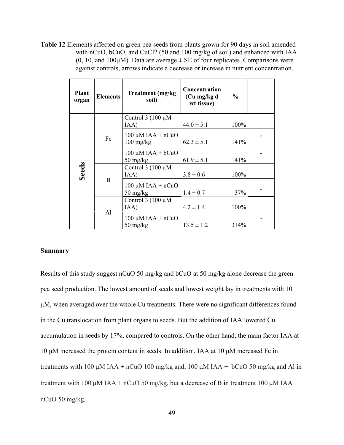**Table 12** Elements affected on green pea seeds from plants grown for 90 days in soil amended with nCuO, bCuO, and CuCl2 (50 and 100 mg/kg of soil) and enhanced with IAA (0, 10, and 100 $\mu$ M). Data are average  $\pm$  SE of four replicates. Comparisons were against controls, arrows indicate a decrease or increase in nutrient concentration.

| <b>Plant</b><br>organ | <b>Elements</b> | <b>Treatment</b> (mg/kg)<br>soil)                          | Concentration<br>(Cu mg/kg d<br>wt tissue) | $\frac{0}{0}$ |  |
|-----------------------|-----------------|------------------------------------------------------------|--------------------------------------------|---------------|--|
|                       |                 | Control $3(100 \mu M)$<br>IAA)                             | $44.0 \pm 5.1$                             | 100%          |  |
|                       | Fe              | $100 \mu M IAA + nCuO$<br>$100$ mg/kg                      | $62.3 \pm 5.1$                             | 141%          |  |
| <b>Seeds</b>          |                 | $100 \mu M IAA + bCuO$<br>$50 \frac{\text{mg}}{\text{kg}}$ | $61.9 \pm 5.1$                             | 141%          |  |
|                       |                 | Control $3(100 \mu M)$<br>IAA)                             | $3.8 \pm 0.6$                              | 100%          |  |
|                       | $\mathbf B$     | $100 \mu M IAA + nCuO$<br>$50 \frac{\text{mg}}{\text{kg}}$ | $1.4 \pm 0.7$                              | 37%           |  |
|                       | Al              | Control $3(100 \mu M)$<br>IAA)                             | $4.2 \pm 1.4$                              | 100%          |  |
|                       |                 | $100 \mu M IAA + nCuO$<br>$50 \frac{\text{mg}}{\text{kg}}$ | $13.5 \pm 1.2$                             | 314%          |  |

## **Summary**

Results of this study suggest nCuO 50 mg/kg and bCuO at 50 mg/kg alone decrease the green pea seed production. The lowest amount of seeds and lowest weight lay in treatments with 10 μM, when averaged over the whole Cu treatments. There were no significant differences found in the Cu translocation from plant organs to seeds. But the addition of IAA lowered Cu accumulation in seeds by 17%, compared to controls. On the other hand, the main factor IAA at 10 μM increased the protein content in seeds. In addition, IAA at 10 μM increased Fe in treatments with 100 μM IAA + nCuO 100 mg/kg and, 100 μM IAA + bCuO 50 mg/kg and Al in treatment with 100 μM IAA + nCuO 50 mg/kg, but a decrease of B in treatment 100 μM IAA + nCuO 50 mg/kg.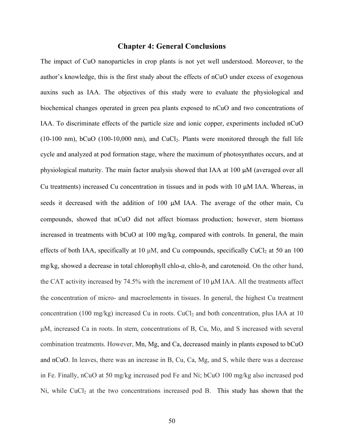# **Chapter 4: General Conclusions**

The impact of CuO nanoparticles in crop plants is not yet well understood. Moreover, to the author's knowledge, this is the first study about the effects of nCuO under excess of exogenous auxins such as IAA. The objectives of this study were to evaluate the physiological and biochemical changes operated in green pea plants exposed to nCuO and two concentrations of IAA. To discriminate effects of the particle size and ionic copper, experiments included nCuO  $(10-100 \text{ nm})$ , bCuO  $(100-10,000 \text{ nm})$ , and CuCl<sub>2</sub>. Plants were monitored through the full life cycle and analyzed at pod formation stage, where the maximum of photosynthates occurs, and at physiological maturity. The main factor analysis showed that IAA at 100 μM (averaged over all Cu treatments) increased Cu concentration in tissues and in pods with 10 μM IAA. Whereas, in seeds it decreased with the addition of 100 μM IAA. The average of the other main, Cu compounds, showed that nCuO did not affect biomass production; however, stem biomass increased in treatments with bCuO at 100 mg/kg, compared with controls. In general, the main effects of both IAA, specifically at 10  $\mu$ M, and Cu compounds, specifically CuCl<sub>2</sub> at 50 an 100 mg/kg, showed a decrease in total chlorophyll chlo-*a*, chlo-*b,* and carotenoid. On the other hand, the CAT activity increased by 74.5% with the increment of 10 μM IAA. All the treatments affect the concentration of micro- and macroelements in tissues. In general, the highest Cu treatment concentration (100 mg/kg) increased Cu in roots. CuCl<sub>2</sub> and both concentration, plus IAA at 10 μM, increased Ca in roots. In stem, concentrations of B, Cu, Mo, and S increased with several combination treatments. However, Mn, Mg, and Ca, decreased mainly in plants exposed to bCuO and nCuO. In leaves, there was an increase in B, Cu, Ca, Mg, and S, while there was a decrease in Fe. Finally, nCuO at 50 mg/kg increased pod Fe and Ni; bCuO 100 mg/kg also increased pod  $Ni$ , while CuCl<sub>2</sub> at the two concentrations increased pod B. This study has shown that the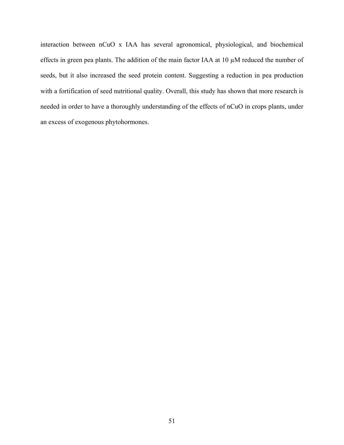interaction between nCuO x IAA has several agronomical, physiological, and biochemical effects in green pea plants. The addition of the main factor IAA at  $10 \mu$ M reduced the number of seeds, but it also increased the seed protein content. Suggesting a reduction in pea production with a fortification of seed nutritional quality. Overall, this study has shown that more research is needed in order to have a thoroughly understanding of the effects of nCuO in crops plants, under an excess of exogenous phytohormones.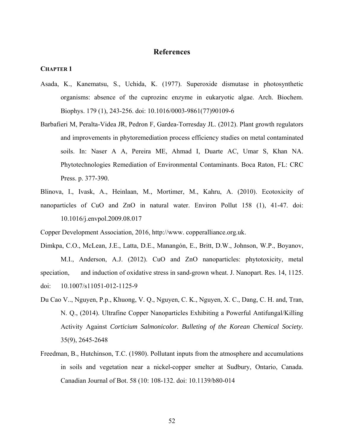# **References**

#### **CHAPTER 1**

- Asada, K., Kanematsu, S., Uchida, K. (1977). Superoxide dismutase in photosynthetic organisms: absence of the cuprozinc enzyme in eukaryotic algae. Arch. Biochem. Biophys. 179 (1), 243-256. doi: 10.1016/0003-9861(77)90109-6
- Barbafieri M, Peralta-Videa JR, Pedron F, Gardea-Torresday JL. (2012). Plant growth regulators and improvements in phytoremediation process efficiency studies on metal contaminated soils. In: Naser A A, Pereira ME, Ahmad I, Duarte AC, Umar S, Khan NA. Phytotechnologies Remediation of Environmental Contaminants. Boca Raton, FL: CRC Press. p. 377-390.
- Blinova, I., Ivask, A., Heinlaan, M., Mortimer, M., Kahru, A. (2010). Ecotoxicity of nanoparticles of CuO and ZnO in natural water. Environ Pollut 158 (1), 41-47. doi: 10.1016/j.envpol.2009.08.017

Copper Development Association, 2016, http://www. copperalliance.org.uk.

Dimkpa, C.O., McLean, J.E., Latta, D.E., Manangón, E., Britt, D.W., Johnson, W.P., Boyanov, M.I., Anderson, A.J. (2012). CuO and ZnO nanoparticles: phytotoxicity, metal speciation, and induction of oxidative stress in sand-grown wheat. J. Nanopart. Res. 14, 1125. doi: 10.1007/s11051-012-1125-9

- Du Cao V.., Nguyen, P.p., Khuong, V. Q., Nguyen, C. K., Nguyen, X. C., Dang, C. H. and, Tran, N. Q., (2014). Ultrafine Copper Nanoparticles Exhibiting a Powerful Antifungal/Killing Activity Against *Corticium Salmonicolor. Bulleting of the Korean Chemical Society.*  35(9), 2645-2648
- Freedman, B., Hutchinson, T.C. (1980). Pollutant inputs from the atmosphere and accumulations in soils and vegetation near a nickel-copper smelter at Sudbury, Ontario, Canada. Canadian Journal of Bot. 58 (10: 108-132. doi: 10.1139/b80-014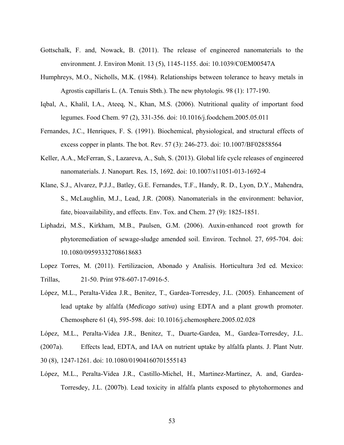- Gottschalk, F. and, Nowack, B. (2011). The release of engineered nanomaterials to the environment. J. Environ Monit. 13 (5), 1145-1155. doi: 10.1039/C0EM00547A
- Humphreys, M.O., Nicholls, M.K. (1984). Relationships between tolerance to heavy metals in Agrostis capillaris L. (A. Tenuis Sbth.). The new phytologis. 98 (1): 177-190.
- Iqbal, A., Khalil, I.A., Ateeq, N., Khan, M.S. (2006). Nutritional quality of important food legumes. Food Chem. 97 (2), 331-356. doi: 10.1016/j.foodchem.2005.05.011
- Fernandes, J.C., Henriques, F. S. (1991). Biochemical, physiological, and structural effects of excess copper in plants. The bot. Rev. 57 (3): 246-273. doi: 10.1007/BF02858564
- Keller, A.A., McFerran, S., Lazareva, A., Suh, S. (2013). Global life cycle releases of engineered nanomaterials. J. Nanopart. Res*.* 15, 1692. doi: 10.1007/s11051-013-1692-4
- Klane, S.J., Alvarez, P.J.J., Batley, G.E. Fernandes, T.F., Handy, R. D., Lyon, D.Y., Mahendra, S., McLaughlin, M.J., Lead, J.R. (2008). Nanomaterials in the environment: behavior, fate, bioavailability, and effects. Env. Tox. and Chem. 27 (9): 1825-1851.
- Liphadzi, M.S., Kirkham, M.B., Paulsen, G.M. (2006). Auxin-enhanced root growth for phytoremediation of sewage-sludge amended soil. Environ. Technol. 27, 695-704. doi: 10.1080/09593332708618683
- Lopez Torres, M. (2011). Fertilizacion, Abonado y Analisis. Horticultura 3rd ed. Mexico: Trillas, 21-50. Print 978-607-17-0916-5.
- López, M.L., Peralta-Videa J.R., Benitez, T., Gardea-Torresdey, J.L. (2005). Enhancement of lead uptake by alfalfa (*Medicago sativa*) using EDTA and a plant growth promoter. Chemosphere 61 (4), 595-598. doi: 10.1016/j.chemosphere.2005.02.028

López, M.L., Peralta-Videa J.R., Benitez, T., Duarte-Gardea, M., Gardea-Torresdey, J.L. (2007a). Effects lead, EDTA, and IAA on nutrient uptake by alfalfa plants. J. Plant Nutr. 30 (8), 1247-1261. doi: 10.1080/01904160701555143

López, M.L., Peralta-Videa J.R., Castillo-Michel, H., Martinez-Martinez, A. and, Gardea- Torresdey, J.L. (2007b). Lead toxicity in alfalfa plants exposed to phytohormones and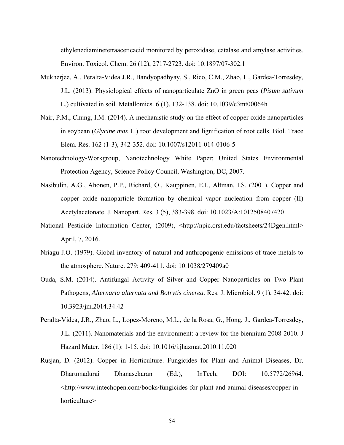ethylenediaminetetraaceticacid monitored by peroxidase, catalase and amylase activities. Environ. Toxicol. Chem. 26 (12), 2717-2723. doi: 10.1897/07-302.1

- Mukherjee, A., Peralta-Videa J.R., Bandyopadhyay, S., Rico, C.M., Zhao, L., Gardea-Torresdey, J.L. (2013). Physiological effects of nanoparticulate ZnO in green peas (*Pisum sativum*  L.) cultivated in soil. Metallomics. 6 (1), 132-138. doi: 10.1039/c3mt00064h
- Nair, P.M., Chung, I.M. (2014). A mechanistic study on the effect of copper oxide nanoparticles in soybean (*Glycine max* L.) root development and lignification of root cells. Biol. Trace Elem. Res. 162 (1-3), 342-352. doi: 10.1007/s12011-014-0106-5
- Nanotechnology-Workgroup, Nanotechnology White Paper; United States Environmental Protection Agency, Science Policy Council, Washington, DC, 2007.
- Nasibulin, A.G., Ahonen, P.P., Richard, O., Kauppinen, E.I., Altman, I.S. (2001). Copper and copper oxide nanoparticle formation by chemical vapor nucleation from copper (II) Acetylacetonate. J. Nanopart. Res. 3 (5), 383-398. doi: 10.1023/A:1012508407420
- National Pesticide Information Center, (2009), <http://npic.orst.edu/factsheets/24Dgen.html> April, 7, 2016.
- Nriagu J.O. (1979). Global inventory of natural and anthropogenic emissions of trace metals to the atmosphere. Nature. 279: 409-411. doi: 10.1038/279409a0
- Ouda, S.M. (2014). Antifungal Activity of Silver and Copper Nanoparticles on Two Plant Pathogens, *Alternaria alternata and Botrytis cinerea.* Res. J. Microbiol. 9 (1), 34-42. doi: 10.3923/jm.2014.34.42
- Peralta-Videa, J.R., Zhao, L., Lopez-Moreno, M.L., de la Rosa, G., Hong, J., Gardea-Torresdey, J.L. (2011). Nanomaterials and the environment: a review for the biennium 2008-2010. J Hazard Mater. 186 (1): 1-15. doi: 10.1016/j.jhazmat.2010.11.020
- Rusjan, D. (2012). Copper in Horticulture. Fungicides for Plant and Animal Diseases, Dr. Dharumadurai Dhanasekaran (Ed.), InTech, DOI: 10.5772/26964. <http://www.intechopen.com/books/fungicides-for-plant-and-animal-diseases/copper-in horticulture>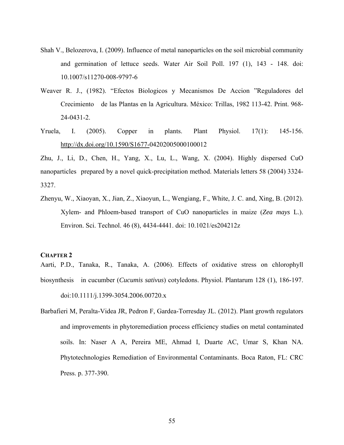- Shah V., Belozerova, I. (2009). Influence of metal nanoparticles on the soil microbial community and germination of lettuce seeds. Water Air Soil Poll. 197 (1), 143 - 148. doi: 10.1007/s11270-008-9797-6
- Weaver R. J., (1982). "Efectos Biologicos y Mecanismos De Accion "Reguladores del Crecimiento de las Plantas en la Agricultura. México: Trillas, 1982 113-42. Print. 968- 24-0431-2.
- Yruela, I. (2005). Copper in plants. Plant Physiol. 17(1): 145-156. http://dx.doi.org/10.1590/S1677-04202005000100012

Zhu, J., Li, D., Chen, H., Yang, X., Lu, L., Wang, X. (2004). Highly dispersed CuO nanoparticles prepared by a novel quick-precipitation method. Materials letters 58 (2004) 3324- 3327.

Zhenyu, W., Xiaoyan, X., Jian, Z., Xiaoyun, L., Wengiang, F., White, J. C. and, Xing, B. (2012). Xylem- and Phloem-based transport of CuO nanoparticles in maize (*Zea mays* L.). Environ. Sci. Technol. 46 (8), 4434-4441. doi: 10.1021/es204212z

#### **CHAPTER 2**

Aarti, P.D., Tanaka, R., Tanaka, A. (2006). Effects of oxidative stress on chlorophyll biosynthesis in cucumber (*Cucumis sativus*) cotyledons. Physiol. Plantarum 128 (1), 186-197. doi:10.1111/j.1399-3054.2006.00720.x

Barbafieri M, Peralta-Videa JR, Pedron F, Gardea-Torresday JL. (2012). Plant growth regulators and improvements in phytoremediation process efficiency studies on metal contaminated soils. In: Naser A A, Pereira ME, Ahmad I, Duarte AC, Umar S, Khan NA. Phytotechnologies Remediation of Environmental Contaminants. Boca Raton, FL: CRC Press. p. 377-390.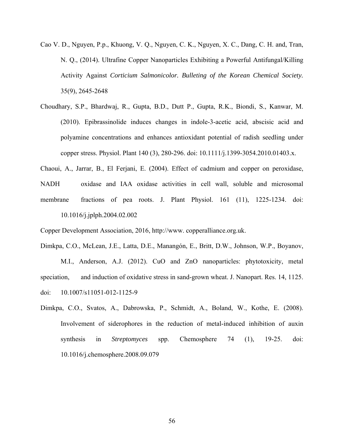- Cao V. D., Nguyen, P.p., Khuong, V. Q., Nguyen, C. K., Nguyen, X. C., Dang, C. H. and, Tran, N. Q., (2014). Ultrafine Copper Nanoparticles Exhibiting a Powerful Antifungal/Killing Activity Against *Corticium Salmonicolor. Bulleting of the Korean Chemical Society.*  35(9), 2645-2648
- Choudhary, S.P., Bhardwaj, R., Gupta, B.D., Dutt P., Gupta, R.K., Biondi, S., Kanwar, M. (2010). Epibrassinolide induces changes in indole-3-acetic acid, abscisic acid and polyamine concentrations and enhances antioxidant potential of radish seedling under copper stress. Physiol. Plant 140 (3), 280-296. doi: 10.1111/j.1399-3054.2010.01403.x.
- Chaoui, A., Jarrar, B., El Ferjani, E. (2004). Effect of cadmium and copper on peroxidase, NADH oxidase and IAA oxidase activities in cell wall, soluble and microsomal membrane fractions of pea roots. J. Plant Physiol. 161 (11), 1225-1234. doi: 10.1016/j.jplph.2004.02.002

Copper Development Association, 2016, http://www. copperalliance.org.uk.

Dimkpa, C.O., McLean, J.E., Latta, D.E., Manangón, E., Britt, D.W., Johnson, W.P., Boyanov, M.I., Anderson, A.J. (2012). CuO and ZnO nanoparticles: phytotoxicity, metal speciation, and induction of oxidative stress in sand-grown wheat. J. Nanopart. Res. 14, 1125. doi: 10.1007/s11051-012-1125-9

Dimkpa, C.O., Svatos, A., Dabrowska, P., Schmidt, A., Boland, W., Kothe, E. (2008). Involvement of siderophores in the reduction of metal-induced inhibition of auxin synthesis in *Streptomyces* spp. Chemosphere 74 (1), 19-25. doi: 10.1016/j.chemosphere.2008.09.079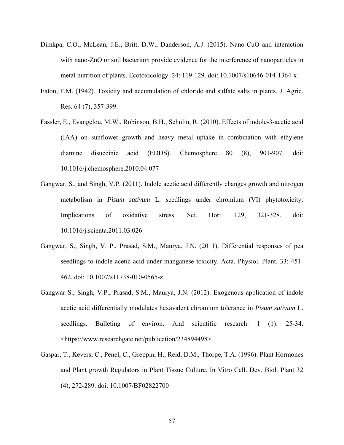- Dimkpa, C.O., McLean, J.E., Britt, D.W., Danderson, A.J. (2015). Nano-CuO and interaction with nano-ZnO or soil bacterium provide evidence for the interference of nanoparticles in metal nutrition of plants. Ecotoxicology. 24: 119-129. doi: 10.1007/s10646-014-1364-x
- Eaton, F.M. (1942). Toxicity and accumulation of chloride and sulfate salts in plants. J. Agric. Res. 64 (7), 357-399.
- Fassler, E., Evangelou, M.W., Robinson, B.H., Schulin, R. (2010). Effects of indole-3-acetic acid (IAA) on sunflower growth and heavy metal uptake in combination with ethylene diamine disuccinic acid (EDDS). Chemosphere 80 (8), 901-907. doi: 10.1016/j.chemosphere.2010.04.077
- Gangwar. S., and Singh, V.P. (2011). Indole acetic acid differently changes growth and nitrogen metabolism in *Pisum sativum* L. seedlings under chromium (VI) phytotoxicity: Implications of oxidative stress. Sci. Hort. 129, 321-328. doi: 10.1016/j.scienta.2011.03.026
- Gangwar, S., Singh, V. P., Prasad, S.M., Maurya, J.N. (2011). Differential responses of pea seedlings to indole acetic acid under manganese toxicity. Acta. Physiol. Plant. 33: 451- 462. doi: 10.1007/s11738-010-0565-z
- Gangwar S., Singh, V.P., Prasad, S.M., Maurya, J.N. (2012). Exogenous application of indole acetic acid differentially modulates hexavalent chromium tolerance in *Pisum sativum* L. seedlings. Bulleting of environ. And scientific research. 1 (1): 25-34. <https://www.researchgate.net/publication/234894498>
- Gaspar, T., Kevers, C., Penel, C., Greppin, H., Reid, D.M., Thorpe, T.A. (1996). Plant Hormones and Plant growth Regulators in Plant Tissue Culture. In Vitro Cell. Dev. Biol. Plant 32 (4), 272-289. doi: 10.1007/BF02822700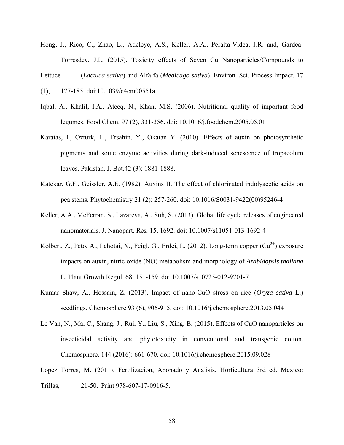Hong, J., Rico, C., Zhao, L., Adeleye, A.S., Keller, A.A., Peralta-Videa, J.R. and, Gardea- Torresdey, J.L. (2015). Toxicity effects of Seven Cu Nanoparticles/Compounds to

Lettuce (*Lactuca sativa*) and Alfalfa (*Medicago sativa*). Environ. Sci. Process Impact. 17

- (1), 177-185. doi:10.1039/c4em00551a.
- Iqbal, A., Khalil, I.A., Ateeq, N., Khan, M.S. (2006). Nutritional quality of important food legumes. Food Chem. 97 (2), 331-356. doi: 10.1016/j.foodchem.2005.05.011
- Karatas, I., Ozturk, L., Ersahin, Y., Okatan Y. (2010). Effects of auxin on photosynthetic pigments and some enzyme activities during dark-induced senescence of tropaeolum leaves. Pakistan. J. Bot.42 (3): 1881-1888.
- Katekar, G.F., Geissler, A.E. (1982). Auxins II. The effect of chlorinated indolyacetic acids on pea stems. Phytochemistry 21 (2): 257-260. doi: 10.1016/S0031-9422(00)95246-4
- Keller, A.A., McFerran, S., Lazareva, A., Suh, S. (2013). Global life cycle releases of engineered nanomaterials. J. Nanopart. Res*.* 15, 1692. doi: 10.1007/s11051-013-1692-4
- Kolbert, Z., Peto, A., Lehotai, N., Feigl, G., Erdei, L. (2012). Long-term copper  $Cu^{2+}$ ) exposure impacts on auxin, nitric oxide (NO) metabolism and morphology of *Arabidopsis thaliana* L. Plant Growth Regul. 68, 151-159. doi:10.1007/s10725-012-9701-7
- Kumar Shaw, A., Hossain, Z. (2013). Impact of nano-CuO stress on rice (*Oryza sativa* L.) seedlings. Chemosphere 93 (6), 906-915. doi: 10.1016/j.chemosphere.2013.05.044
- Le Van, N., Ma, C., Shang, J., Rui, Y., Liu, S., Xing, B. (2015). Effects of CuO nanoparticles on insecticidal activity and phytotoxicity in conventional and transgenic cotton. Chemosphere. 144 (2016): 661-670. doi: 10.1016/j.chemosphere.2015.09.028
- Lopez Torres, M. (2011). Fertilizacion, Abonado y Analisis. Horticultura 3rd ed. Mexico: Trillas, 21-50. Print 978-607-17-0916-5.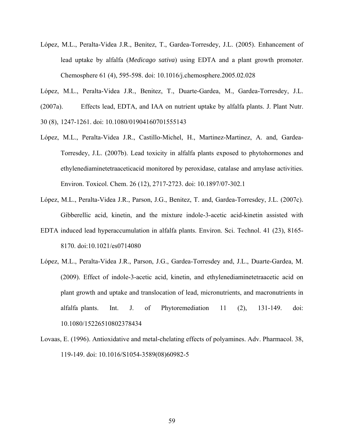- López, M.L., Peralta-Videa J.R., Benitez, T., Gardea-Torresdey, J.L. (2005). Enhancement of lead uptake by alfalfa (*Medicago sativa*) using EDTA and a plant growth promoter. Chemosphere 61 (4), 595-598. doi: 10.1016/j.chemosphere.2005.02.028
- López, M.L., Peralta-Videa J.R., Benitez, T., Duarte-Gardea, M., Gardea-Torresdey, J.L.
- (2007a). Effects lead, EDTA, and IAA on nutrient uptake by alfalfa plants. J. Plant Nutr.
- 30 (8), 1247-1261. doi: 10.1080/01904160701555143
- López, M.L., Peralta-Videa J.R., Castillo-Michel, H., Martinez-Martinez, A. and, Gardea- Torresdey, J.L. (2007b). Lead toxicity in alfalfa plants exposed to phytohormones and ethylenediaminetetraaceticacid monitored by peroxidase, catalase and amylase activities. Environ. Toxicol. Chem. 26 (12), 2717-2723. doi: 10.1897/07-302.1
- López, M.L., Peralta-Videa J.R., Parson, J.G., Benitez, T. and, Gardea-Torresdey, J.L. (2007c). Gibberellic acid, kinetin, and the mixture indole-3-acetic acid-kinetin assisted with
- EDTA induced lead hyperaccumulation in alfalfa plants. Environ. Sci. Technol. 41 (23), 8165- 8170. doi:10.1021/es0714080
- López, M.L., Peralta-Videa J.R., Parson, J.G., Gardea-Torresdey and, J.L., Duarte-Gardea, M. (2009). Effect of indole-3-acetic acid, kinetin, and ethylenediaminetetraacetic acid on plant growth and uptake and translocation of lead, micronutrients, and macronutrients in alfalfa plants. Int. J. of Phytoremediation 11 (2), 131-149. doi: 10.1080/15226510802378434
- Lovaas, E. (1996). Antioxidative and metal-chelating effects of polyamines. Adv. Pharmacol. 38, 119-149. doi: 10.1016/S1054-3589(08)60982-5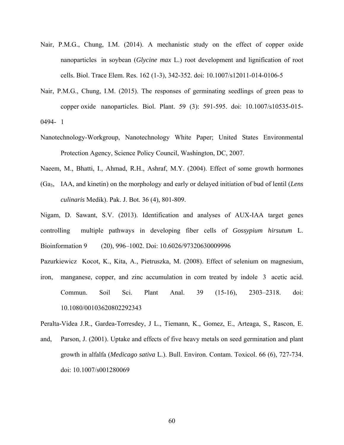- Nair, P.M.G., Chung, I.M. (2014). A mechanistic study on the effect of copper oxide nanoparticles in soybean (*Glycine max* L.) root development and lignification of root cells. Biol. Trace Elem. Res. 162 (1-3), 342-352. doi: 10.1007/s12011-014-0106-5
- Nair, P.M.G., Chung, I.M. (2015). The responses of germinating seedlings of green peas to copper oxide nanoparticles. Biol. Plant. 59 (3): 591-595. doi: 10.1007/s10535-015- 0494- 1
- Nanotechnology-Workgroup, Nanotechnology White Paper; United States Environmental Protection Agency, Science Policy Council, Washington, DC, 2007.
- Naeem, M., Bhatti, I., Ahmad, R.H., Ashraf, M.Y. (2004). Effect of some growth hormones
- (Ga3, IAA, and kinetin) on the morphology and early or delayed initiation of bud of lentil (*Lens culinaris* Medik). Pak. J. Bot. 36 (4), 801-809.

Nigam, D. Sawant, S.V. (2013). Identification and analyses of AUX-IAA target genes controlling multiple pathways in developing fiber cells of *Gossypium hirsutum* L. Bioinformation 9 (20), 996–1002. Doi: 10.6026/97320630009996

Pazurkiewicz Kocot, K., Kita, A., Pietruszka, M. (2008). Effect of selenium on magnesium, iron, manganese, copper, and zinc accumulation in corn treated by indole 3 acetic acid. Commun. Soil Sci. Plant Anal. 39 (15-16), 2303–2318. doi: 10.1080/00103620802292343

Peralta-Videa J.R., Gardea-Torresdey, J L., Tiemann, K., Gomez, E., Arteaga, S., Rascon, E.

and, Parson, J. (2001). Uptake and effects of five heavy metals on seed germination and plant growth in alfalfa (*Medicago sativa* L.). Bull. Environ. Contam. Toxicol. 66 (6), 727-734. doi: 10.1007/s001280069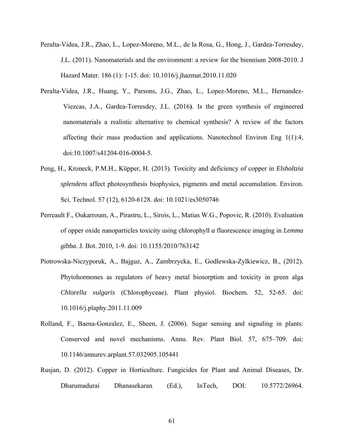- Peralta-Videa, J.R., Zhao, L., Lopez-Moreno, M.L., de la Rosa, G., Hong, J., Gardea-Torresdey, J.L. (2011). Nanomaterials and the environment: a review for the biennium 2008-2010. J Hazard Mater. 186 (1): 1-15. doi: 10.1016/j.jhazmat.2010.11.020
- Peralta-Videa, J.R., Huang, Y., Parsons, J.G., Zhao, L., Lopez-Moreno, M.L., Hernandez-Viezcas, J.A., Gardea-Torresdey, J.L. (2016**)**. Is the green synthesis of engineered nanomaterials a realistic alternative to chemical synthesis? A review of the factors affecting their mass production and applications. Nanotechnol Environ Eng 1(1):4, doi:10.1007/s41204-016-0004-5.
- Peng, H., Kroneck, P.M.H., Küpper, H. (2013). Toxicity and deficiency of copper in *Elsholtzia splendens* affect photosynthesis biophysics, pigments and metal accumulation. Environ. Sci. Technol. 57 (12), 6120-6128. doi: 10.1021/es3050746
- Perreault F., Oukarroum, A., Pirastru, L., Sirois, L., Matias W.G., Popovic, R. (2010). Evaluation of opper oxide nanoparticles toxicity using chlorophyll *a* fluorescence imaging in *Lemma gibba*. J. Bot. 2010, 1-9. doi: 10.1155/2010/763142
- Piotrowska-Niczyporuk, A., Bajguz, A., Zambrzycka, E., Godlewska-Zylkiewicz, B., (2012). Phytohormones as regulators of heavy metal biosorption and toxicity in green alga *Chlorella vulgaris* (Chlorophyceae). Plant physiol. Biochem*.* 52, 52-65. doi: 10.1016/j.plaphy.2011.11.009
- Rolland, F., Baena-Gonzalez, E., Sheen, J. (2006). Sugar sensing and signaling in plants: Conserved and novel mechanisms. Annu. Rev. Plant Biol. 57, 675–709. doi: 10.1146/annurev.arplant.57.032905.105441
- Rusjan, D. (2012). Copper in Horticulture. Fungicides for Plant and Animal Diseases, Dr. Dharumadurai Dhanasekaran (Ed.), InTech, DOI: 10.5772/26964.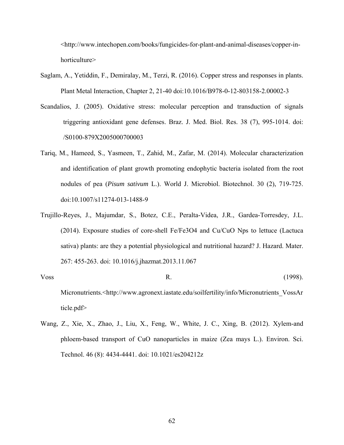<http://www.intechopen.com/books/fungicides-for-plant-and-animal-diseases/copper-in horticulture>

- Saglam, A., Yetiddin, F., Demiralay, M., Terzi, R. (2016). Copper stress and responses in plants. Plant Metal Interaction, Chapter 2, 21-40 doi:10.1016/B978-0-12-803158-2.00002-3
- Scandalios, J. (2005). Oxidative stress: molecular perception and transduction of signals triggering antioxidant gene defenses. Braz. J. Med. Biol. Res. 38 (7), 995-1014. doi: /S0100-879X2005000700003
- Tariq, M., Hameed, S., Yasmeen, T., Zahid, M., Zafar, M. (2014). Molecular characterization and identification of plant growth promoting endophytic bacteria isolated from the root nodules of pea (*Pisum sativum* L.). World J. Microbiol. Biotechnol. 30 (2), 719-725. doi:10.1007/s11274-013-1488-9
- Trujillo-Reyes, J., Majumdar, S., Botez, C.E., Peralta-Videa, J.R., Gardea-Torresdey, J.L. (2014). Exposure studies of core-shell Fe/Fe3O4 and Cu/CuO Nps to lettuce (Lactuca sativa) plants: are they a potential physiological and nutritional hazard? J. Hazard. Mater. 267: 455-263. doi: 10.1016/j.jhazmat.2013.11.067
- Voss R. (1998). Micronutrients.<http://www.agronext.iastate.edu/soilfertility/info/Micronutrients\_VossAr ticle.pdf>
- Wang, Z., Xie, X., Zhao, J., Liu, X., Feng, W., White, J. C., Xing, B. (2012). Xylem-and phloem-based transport of CuO nanoparticles in maize (Zea mays L.). Environ. Sci. Technol. 46 (8): 4434-4441. doi: 10.1021/es204212z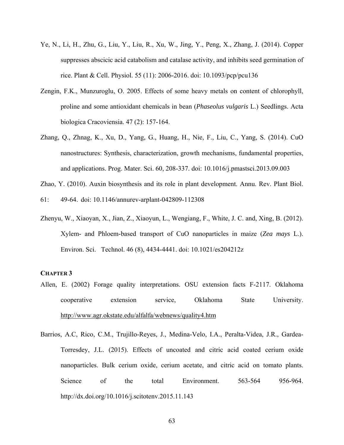- Ye, N., Li, H., Zhu, G., Liu, Y., Liu, R., Xu, W., Jing, Y., Peng, X., Zhang, J. (2014). Copper suppresses abscicic acid catabolism and catalase activity, and inhibits seed germination of rice. Plant & Cell. Physiol. 55 (11): 2006-2016. doi: 10.1093/pcp/pcu136
- Zengin, F.K., Munzuroglu, O. 2005. Effects of some heavy metals on content of chlorophyll, proline and some antioxidant chemicals in bean (*Phaseolus vulgaris* L.) Seedlings. Acta biologica Cracoviensia. 47 (2): 157-164.
- Zhang, Q., Zhnag, K., Xu, D., Yang, G., Huang, H., Nie, F., Liu, C., Yang, S. (2014). CuO nanostructures: Synthesis, characterization, growth mechanisms, fundamental properties, and applications. Prog. Mater. Sci. 60, 208-337. doi: 10.1016/j.pmastsci.2013.09.003
- Zhao, Y. (2010). Auxin biosynthesis and its role in plant development. Annu. Rev. Plant Biol.

61: 49-64. doi: 10.1146/annurev-arplant-042809-112308

Zhenyu, W., Xiaoyan, X., Jian, Z., Xiaoyun, L., Wengiang, F., White, J. C. and, Xing, B. (2012). Xylem- and Phloem-based transport of CuO nanoparticles in maize (*Zea mays* L.). Environ. Sci. Technol. 46 (8), 4434-4441. doi: 10.1021/es204212z

## **CHAPTER 3**

- Allen, E. (2002) Forage quality interpretations. OSU extension facts F-2117. Oklahoma cooperative extension service, Oklahoma State University. http://www.agr.okstate.edu/alfalfa/webnews/quality4.htm
- Barrios, A.C, Rico, C.M., Trujillo-Reyes, J., Medina-Velo, I.A., Peralta-Videa, J.R., Gardea-Torresdey, J.L. (2015). Effects of uncoated and citric acid coated cerium oxide nanoparticles. Bulk cerium oxide, cerium acetate, and citric acid on tomato plants. Science of the total Environment. 563-564 956-964. http://dx.doi.org/10.1016/j.scitotenv.2015.11.143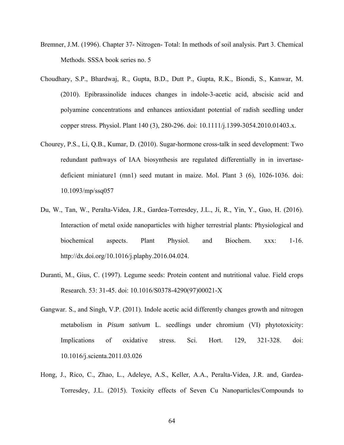- Bremner, J.M. (1996). Chapter 37- Nitrogen- Total: In methods of soil analysis. Part 3. Chemical Methods. SSSA book series no. 5
- Choudhary, S.P., Bhardwaj, R., Gupta, B.D., Dutt P., Gupta, R.K., Biondi, S., Kanwar, M. (2010). Epibrassinolide induces changes in indole-3-acetic acid, abscisic acid and polyamine concentrations and enhances antioxidant potential of radish seedling under copper stress. Physiol. Plant 140 (3), 280-296. doi: 10.1111/j.1399-3054.2010.01403.x.
- Chourey, P.S., Li, Q.B., Kumar, D. (2010). Sugar-hormone cross-talk in seed development: Two redundant pathways of IAA biosynthesis are regulated differentially in in invertasedeficient miniature1 (mn1) seed mutant in maize. Mol. Plant 3 (6), 1026-1036. doi: 10.1093/mp/ssq057
- Du, W., Tan, W., Peralta-Videa, J.R., Gardea-Torresdey, J.L., Ji, R., Yin, Y., Guo, H. (2016). Interaction of metal oxide nanoparticles with higher terrestrial plants: Physiological and biochemical aspects. Plant Physiol. and Biochem. xxx: 1-16. http://dx.doi.org/10.1016/j.plaphy.2016.04.024.
- Duranti, M., Gius, C. (1997). Legume seeds: Protein content and nutritional value. Field crops Research. 53: 31-45. doi: 10.1016/S0378-4290(97)00021-X
- Gangwar. S., and Singh, V.P. (2011). Indole acetic acid differently changes growth and nitrogen metabolism in *Pisum sativum* L. seedlings under chromium (VI) phytotoxicity: Implications of oxidative stress. Sci. Hort. 129, 321-328. doi: 10.1016/j.scienta.2011.03.026
- Hong, J., Rico, C., Zhao, L., Adeleye, A.S., Keller, A.A., Peralta-Videa, J.R. and, Gardea-Torresdey, J.L. (2015). Toxicity effects of Seven Cu Nanoparticles/Compounds to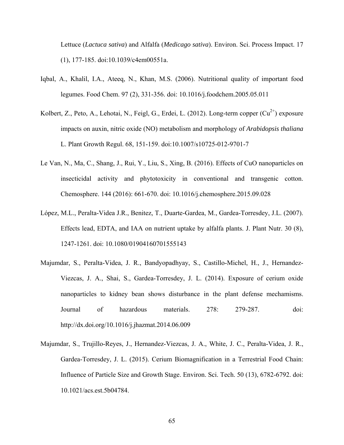Lettuce (*Lactuca sativa*) and Alfalfa (*Medicago sativa*). Environ. Sci. Process Impact. 17 (1), 177-185. doi:10.1039/c4em00551a.

- Iqbal, A., Khalil, I.A., Ateeq, N., Khan, M.S. (2006). Nutritional quality of important food legumes. Food Chem. 97 (2), 331-356. doi: 10.1016/j.foodchem.2005.05.011
- Kolbert, Z., Peto, A., Lehotai, N., Feigl, G., Erdei, L. (2012). Long-term copper  $(Cu^{2+})$  exposure impacts on auxin, nitric oxide (NO) metabolism and morphology of *Arabidopsis thaliana* L. Plant Growth Regul. 68, 151-159. doi:10.1007/s10725-012-9701-7
- Le Van, N., Ma, C., Shang, J., Rui, Y., Liu, S., Xing, B. (2016). Effects of CuO nanoparticles on insecticidal activity and phytotoxicity in conventional and transgenic cotton. Chemosphere. 144 (2016): 661-670. doi: 10.1016/j.chemosphere.2015.09.028
- López, M.L., Peralta-Videa J.R., Benitez, T., Duarte-Gardea, M., Gardea-Torresdey, J.L. (2007). Effects lead, EDTA, and IAA on nutrient uptake by alfalfa plants. J. Plant Nutr. 30 (8), 1247-1261. doi: 10.1080/01904160701555143
- Majumdar, S., Peralta-Videa, J. R., Bandyopadhyay, S., Castillo-Michel, H., J., Hernandez-Viezcas, J. A., Shai, S., Gardea-Torresdey, J. L. (2014). Exposure of cerium oxide nanoparticles to kidney bean shows disturbance in the plant defense mechamisms. Journal of hazardous materials. 278: 279-287. doi: http://dx.doi.org/10.1016/j.jhazmat.2014.06.009
- Majumdar, S., Trujillo-Reyes, J., Hernandez-Viezcas, J. A., White, J. C., Peralta-Videa, J. R., Gardea-Torresdey, J. L. (2015). Cerium Biomagnification in a Terrestrial Food Chain: Influence of Particle Size and Growth Stage. Environ. Sci. Tech. 50 (13), 6782-6792. doi: 10.1021/acs.est.5b04784.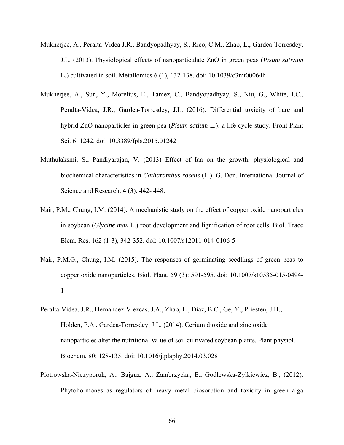- Mukherjee, A., Peralta-Videa J.R., Bandyopadhyay, S., Rico, C.M., Zhao, L., Gardea-Torresdey, J.L. (2013). Physiological effects of nanoparticulate ZnO in green peas (*Pisum sativum*  L.) cultivated in soil. Metallomics 6 (1), 132-138. doi: 10.1039/c3mt00064h
- Mukherjee, A., Sun, Y., Morelius, E., Tamez, C., Bandyopadhyay, S., Niu, G., White, J.C., Peralta-Videa, J.R., Gardea-Torresdey, J.L. (2016). Differential toxicity of bare and hybrid ZnO nanoparticles in green pea (*Pisum satium* L.): a life cycle study. Front Plant Sci. 6: 1242. doi: 10.3389/fpls.2015.01242
- Muthulaksmi, S., Pandiyarajan, V. (2013) Effect of Iaa on the growth, physiological and biochemical characteristics in *Catharanthus roseus* (L.). G. Don. International Journal of Science and Research. 4 (3): 442- 448.
- Nair, P.M., Chung, I.M. (2014). A mechanistic study on the effect of copper oxide nanoparticles in soybean (*Glycine max* L.) root development and lignification of root cells. Biol. Trace Elem. Res. 162 (1-3), 342-352. doi: 10.1007/s12011-014-0106-5
- Nair, P.M.G., Chung, I.M. (2015). The responses of germinating seedlings of green peas to copper oxide nanoparticles. Biol. Plant. 59 (3): 591-595. doi: 10.1007/s10535-015-0494- 1
- Peralta-Videa, J.R., Hernandez-Viezcas, J.A., Zhao, L., Diaz, B.C., Ge, Y., Priesten, J.H., Holden, P.A., Gardea-Torresdey, J.L. (2014). Cerium dioxide and zinc oxide nanoparticles alter the nutritional value of soil cultivated soybean plants. Plant physiol. Biochem. 80: 128-135. doi: 10.1016/j.plaphy.2014.03.028
- Piotrowska-Niczyporuk, A., Bajguz, A., Zambrzycka, E., Godlewska-Zylkiewicz, B., (2012). Phytohormones as regulators of heavy metal biosorption and toxicity in green alga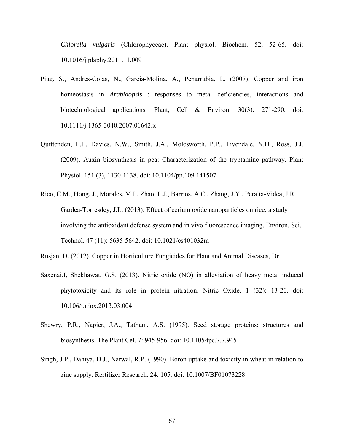*Chlorella vulgaris* (Chlorophyceae). Plant physiol. Biochem*.* 52, 52-65. doi: 10.1016/j.plaphy.2011.11.009

- Piug, S., Andres-Colas, N., Garcia-Molina, A., Peñarrubia, L. (2007). Copper and iron homeostasis in *Arabidopsis* : responses to metal deficiencies, interactions and biotechnological applications. Plant, Cell & Environ. 30(3): 271-290. doi: 10.1111/j.1365-3040.2007.01642.x
- Quittenden, L.J., Davies, N.W., Smith, J.A., Molesworth, P.P., Tivendale, N.D., Ross, J.J. (2009). Auxin biosynthesis in pea: Characterization of the tryptamine pathway. Plant Physiol. 151 (3), 1130-1138. doi: 10.1104/pp.109.141507
- Rico, C.M., Hong, J., Morales, M.I., Zhao, L.J., Barrios, A.C., Zhang, J.Y., Peralta-Videa, J.R., Gardea-Torresdey, J.L. (2013). Effect of cerium oxide nanoparticles on rice: a study involving the antioxidant defense system and in vivo fluorescence imaging. Environ. Sci. Technol. 47 (11): 5635-5642. doi: 10.1021/es401032m

Rusjan, D. (2012). Copper in Horticulture Fungicides for Plant and Animal Diseases, Dr.

- Saxenai.I, Shekhawat, G.S. (2013). Nitric oxide (NO) in alleviation of heavy metal induced phytotoxicity and its role in protein nitration. Nitric Oxide. 1 (32): 13-20. doi: 10.106/j.niox.2013.03.004
- Shewry, P.R., Napier, J.A., Tatham, A.S. (1995). Seed storage proteins: structures and biosynthesis. The Plant Cel. 7: 945-956. doi: 10.1105/tpc.7.7.945
- Singh, J.P., Dahiya, D.J., Narwal, R.P. (1990). Boron uptake and toxicity in wheat in relation to zinc supply. Rertilizer Research. 24: 105. doi: 10.1007/BF01073228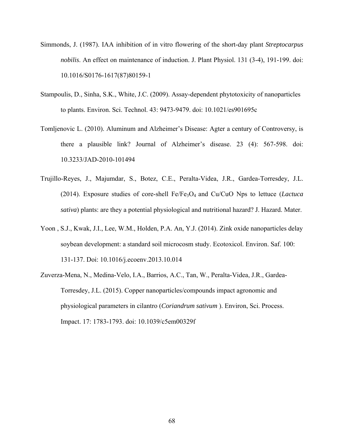- Simmonds, J. (1987). IAA inhibition of in vitro flowering of the short-day plant *Streptocarpus nobilis*. An effect on maintenance of induction. J. Plant Physiol. 131 (3-4), 191-199. doi: 10.1016/S0176-1617(87)80159-1
- Stampoulis, D., Sinha, S.K., White, J.C. (2009). Assay-dependent phytotoxicity of nanoparticles to plants. Environ. Sci. Technol. 43: 9473-9479. doi: 10.1021/es901695c
- Tomljenovic L. (2010). Aluminum and Alzheimer's Disease: Agter a century of Controversy, is there a plausible link? Journal of Alzheimer's disease. 23 (4): 567-598. doi: 10.3233/JAD-2010-101494
- Trujillo-Reyes, J., Majumdar, S., Botez, C.E., Peralta-Videa, J.R., Gardea-Torresdey, J.L. (2014). Exposure studies of core-shell Fe/Fe3O4 and Cu/CuO Nps to lettuce (*Lactuca sativa*) plants: are they a potential physiological and nutritional hazard? J. Hazard. Mater.
- Yoon , S.J., Kwak, J.I., Lee, W.M., Holden, P.A. An, Y.J. (2014). Zink oxide nanoparticles delay soybean development: a standard soil microcosm study. Ecotoxicol. Environ. Saf. 100: 131-137. Doi: 10.1016/j.ecoenv.2013.10.014
- Zuverza-Mena, N., Medina-Velo, I.A., Barrios, A.C., Tan, W., Peralta-Videa, J.R., Gardea- Torresdey, J.L. (2015). Copper nanoparticles/compounds impact agronomic and physiological parameters in cilantro (*Coriandrum sativum* ). Environ, Sci. Process. Impact. 17: 1783-1793. doi: 10.1039/c5em00329f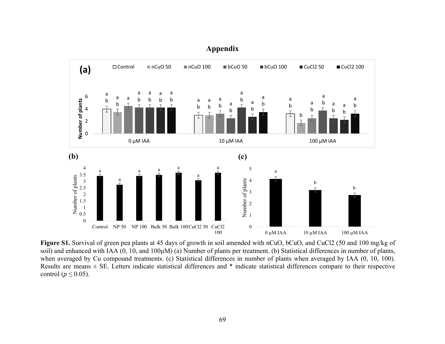

**Appendix** 

**Figure S1.** Survival of green pea plants at 45 days of growth in soil amended with nCuO, bCuO, and CuCl2 (50 and 100 mg/kg of soil) and enhanced with IAA (0, 10, and 100μM) (a) Number of plants per treatment. (b) Statistical differences in number of plants, when averaged by Cu compound treatments. (c) Statistical differences in number of plants when averaged by IAA (0, 10, 100). Results are means  $\pm$  SE. Letters indicate statistical differences and  $*$  indicate statistical differences compare to their respective control ( $p \leq 0.05$ ).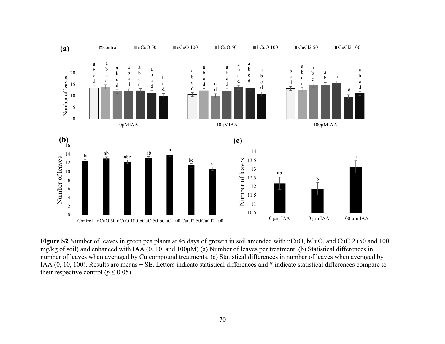

**Figure S2** Number of leaves in green pea plants at 45 days of growth in soil amended with nCuO, bCuO, and CuCl2 (50 and 100 mg/kg of soil) and enhanced with IAA (0, 10, and 100μM) (a) Number of leaves per treatment. (b) Statistical differences in number of leaves when averaged by Cu compound treatments. (c) Statistical differences in number of leaves when averaged by IAA (0, 10, 100). Results are means ± SE. Letters indicate statistical differences and \* indicate statistical differences compare to their respective control ( $p \le 0.05$ )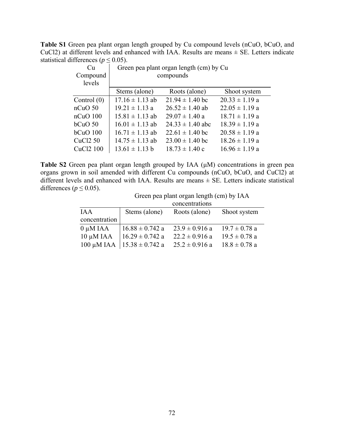**Table S1** Green pea plant organ length grouped by Cu compound levels (nCuO, bCuO, and CuCl2) at different levels and enhanced with IAA. Results are means  $\pm$  SE. Letters indicate statistical differences ( $p \le 0.05$ ).

| Cu                    | Green pea plant organ length (cm) by Cu |                      |                    |  |  |
|-----------------------|-----------------------------------------|----------------------|--------------------|--|--|
| Compound              |                                         | compounds            |                    |  |  |
| levels                |                                         |                      |                    |  |  |
|                       | Stems (alone)                           | Roots (alone)        | Shoot system       |  |  |
| Control $(0)$         | $17.16 \pm 1.13$ ab                     | $21.94 \pm 1.40$ bc  | $20.33 \pm 1.19$ a |  |  |
| $nCuO$ 50             | $19.21 \pm 1.13$ a                      | $26.52 \pm 1.40$ ab  | $22.05 \pm 1.19$ a |  |  |
| $nCuO$ 100            | $15.81 \pm 1.13$ ab                     | $29.07 \pm 1.40$ a   | $18.71 \pm 1.19$ a |  |  |
| bcuO <sub>50</sub>    | $16.01 \pm 1.13$ ab                     | $24.33 \pm 1.40$ abc | $18.39 \pm 1.19$ a |  |  |
| $bcuO$ 100            | $16.71 \pm 1.13$ ab                     | $22.61 \pm 1.40$ bc  | $20.58 \pm 1.19$ a |  |  |
| CuC <sub>12</sub> 50  | $14.75 \pm 1.13$ ab                     | $23.00 \pm 1.40$ bc  | $18.26 \pm 1.19$ a |  |  |
| CuCl <sub>2</sub> 100 | $13.61 \pm 1.13$ b                      | $18.73 \pm 1.40$ c   | $16.96 \pm 1.19$ a |  |  |

**Table S2** Green pea plant organ length grouped by IAA (μM) concentrations in green pea organs grown in soil amended with different Cu compounds (nCuO, bCuO, and CuCl2) at different levels and enhanced with IAA. Results are means ± SE. Letters indicate statistical differences ( $p \le 0.05$ ).

| Green pea plant organ length (cm) by IAA |  |  |  |
|------------------------------------------|--|--|--|
|------------------------------------------|--|--|--|

|                 |                     | concentrations     |                   |
|-----------------|---------------------|--------------------|-------------------|
| <b>IAA</b>      | Stems (alone)       | Roots (alone)      | Shoot system      |
| concentration   |                     |                    |                   |
| $0 \mu M IAA$   | $16.88 \pm 0.742$ a | $23.9 \pm 0.916$ a | $19.7 \pm 0.78$ a |
| $10 \mu M IAA$  | $16.29 \pm 0.742$ a | $22.2 \pm 0.916$ a | $19.5 \pm 0.78$ a |
| $100 \mu M IAA$ | $15.38 \pm 0.742$ a | $25.2 \pm 0.916$ a | $18.8 \pm 0.78$ a |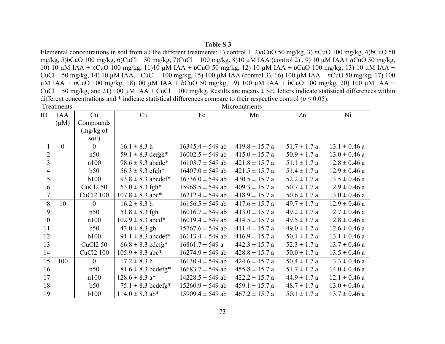# **Table S 3**

Elemental concentrations in soil from all the different treatments: 1) control 1, 2)*n*CuO 50 mg/kg, 3) *n*CuO 100 mg/kg, 4)*b*CuO 50 mg/kg, 5)*b*CuO 100 mg/kg, 6)CuCl 50 mg/kg, 7)CuCl 100 mg/kg, 8)10 µM IAA (control 2) , 9) 10 µM IAA+ *n*CuO 50 mg/kg, 10) 10 µM IAA + *n*CuO 100 mg/kg, 11)10 µM IAA + *b*CuO 50 mg/kg, 12) 10 µM IAA + *b*CuO 100 mg/kg, 13) 10 µM IAA + CuCl 50 mg/kg, 14) 10 µM IAA + CuCl 100 mg/kg, 15) 100 µM IAA (control 3), 16) 100 µM IAA + *n*CuO 50 mg/kg, 17) 100 µM IAA + *n*CuO 100 mg/kg, 18)100 µM IAA + *b*CuO 50 mg/kg, 19) 100 µM IAA + *b*CuO 100 mg/kg, 20) 100 µM IAA + CuCl 50 mg/kg, and 21) 100  $\mu$ M IAA + CuCl 100 mg/kg. Results are means  $\pm$  SE, letters indicate statistical differences within different concentrations and  $*$  indicate statistical differences compare to their respective control ( $p \le 0.05$ ).

|                          | Treatments |                       |                        |                      | Micronutrients     |                  |                   |
|--------------------------|------------|-----------------------|------------------------|----------------------|--------------------|------------------|-------------------|
| ID                       | <b>IAA</b> | Cu                    | Cu                     | Fe                   | Mn                 | Zn               | Ni                |
|                          | $(\mu M)$  | Compounds             |                        |                      |                    |                  |                   |
|                          |            | (mg/kg of             |                        |                      |                    |                  |                   |
|                          |            | soil)                 |                        |                      |                    |                  |                   |
|                          | $\theta$   | $\mathbf{0}$          | $16.1 \pm 8.3 h$       | $16345.4 \pm 549$ ab | $419.8 \pm 15.7 a$ | $51.7 \pm 1.7 a$ | $13.1 \pm 0.46$ a |
| $\frac{2}{3}$            |            | n50                   | 59.1 $\pm$ 8.3 defgh*  | $16002.5 \pm 549$ ab | $415.0 \pm 15.7 a$ | $50.9 \pm 1.7 a$ | $13.0 \pm 0.46$ a |
|                          |            | n100                  | $98.6 \pm 8.3$ abcde*  | $16103.7 \pm 549$ ab | $421.8 \pm 15.7$ a | $51.1 \pm 1.7 a$ | $12.8 \pm 0.46$ a |
| $\overline{\mathcal{L}}$ |            | b50                   | $56.3 \pm 8.3$ efgh*   | $16407.0 \pm 549$ ab | $421.5 \pm 15.7$ a | $51.4 \pm 1.7 a$ | $12.9 \pm 0.46$ a |
| 5                        |            | <b>b100</b>           | $93.8 \pm 8.3$ abcdef* | $16736.0 \pm 549$ ab | $430.5 \pm 15.7$ a | $52.2 \pm 1.7$ a | $13.5 \pm 0.46$ a |
| 6                        |            | CuCl <sub>2</sub> 50  | $53.0 \pm 8.3$ fgh*    | $15968.5 \pm 549$ ab | $409.3 \pm 15.7 a$ | $50.7 \pm 1.7$ a | $12.9 \pm 0.46$ a |
| $\overline{7}$           |            | CuCl <sub>2</sub> 100 | $107.8 \pm 8.3$ abc*   | $16212.4 \pm 549$ ab | $418.9 \pm 15.7$ a | $50.6 \pm 1.7 a$ | $13.0 \pm 0.46$ a |
| 8                        | 10         | $\boldsymbol{0}$      | $16.2 \pm 8.3$ h       | $16156.5 \pm 549$ ab | $417.6 \pm 15.7$ a | $49.7 \pm 1.7 a$ | $12.9 \pm 0.46$ a |
| 9                        |            | n50                   | $51.8 \pm 8.3$ fgh     | $16016.7 \pm 549$ ab | $413.0 \pm 15.7 a$ | $49.2 \pm 1.7 a$ | $12.7 \pm 0.46$ a |
| 10                       |            | n100                  | $102.9 \pm 8.3$ abcd*  | $16019.4 \pm 549$ ab | $414.5 \pm 15.7$ a | $49.5 \pm 1.7 a$ | $12.8 \pm 0.46$ a |
| 11                       |            | b50                   | $43.0 \pm 8.3$ gh      | $15767.6 \pm 549$ ab | $411.4 \pm 15.7 a$ | $49.0 \pm 1.7 a$ | $12.6 \pm 0.46$ a |
| 12                       |            | <b>b100</b>           | 91.1 $\pm$ 8.3 abcdef* | $16113.4 \pm 549$ ab | $416.9 \pm 15.7 a$ | $50.1 \pm 1.7 a$ | $13.1 \pm 0.46$ a |
| 13                       |            | CuCl <sub>2</sub> 50  | $66.8 \pm 8.3$ cdefg*  | $16861.7 \pm 549$ a  | $442.3 \pm 15.7$ a | $52.3 \pm 1.7 a$ | $13.7 \pm 0.46$ a |
| 14                       |            | CuCl2 100             | $105.9 \pm 8.3$ abc*   | $16274.9 \pm 549$ ab | $428.8 \pm 15.7 a$ | $50.0 \pm 1.7 a$ | $13.5 \pm 0.46$ a |
| 15                       | 100        | $\mathbf{0}$          | $17.2 \pm 8.3$ h       | $16130.4 \pm 549$ ab | $424.6 \pm 15.7$ a | $50.4 \pm 1.7 a$ | $13.3 \pm 0.46$ a |
| 16                       |            | n50                   | $81.6 \pm 8.3$ bcdefg* | $16683.7 \pm 549$ ab | $455.8 \pm 15.7 a$ | $51.7 \pm 1.7$ a | $14.0 \pm 0.46$ a |
| 17                       |            | n100                  | $128.6 \pm 8.3$ a*     | $14228.5 \pm 549$ ab | $422.2 \pm 15.7$ a | $44.9 \pm 1.7 a$ | $12.1 \pm 0.46$ a |
| 18                       |            | b50                   | $75.1 \pm 8.3$ bcdefg* | $15260.9 \pm 549$ ab | $459.1 \pm 15.7 a$ | $48.7 \pm 1.7 a$ | $13.0 \pm 0.46$ a |
| 19                       |            | <b>b100</b>           | $114.0 \pm 8.3$ ab*    | $15909.4 \pm 549$ ab | $467.2 \pm 15.7$ a | $50.1 \pm 1.7 a$ | $13.7 \pm 0.46$ a |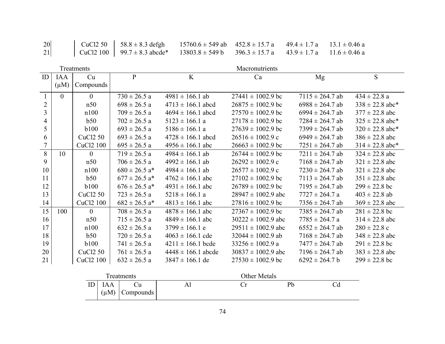| 20 | CuCl2 50   58.8 ± 8.3 defgh 15760.6 ± 549 ab $452.8 \pm 15.7$ a $49.4 \pm 1.7$ a $13.1 \pm 0.46$ a          |  |  |  |
|----|-------------------------------------------------------------------------------------------------------------|--|--|--|
| 21 | CuCl2 100   $99.7 \pm 8.3$ abcde* 13803.8 $\pm$ 549 b 396.3 $\pm$ 15.7 a 43.9 $\pm$ 1.7 a 11.6 $\pm$ 0.46 a |  |  |  |

|                |                | Treatments            |                               |                        | Macronutrients         |                     |                     |
|----------------|----------------|-----------------------|-------------------------------|------------------------|------------------------|---------------------|---------------------|
| ID             | <b>IAA</b>     | Cu                    | $\mathbf{P}$                  | K                      | Ca                     | Mg                  | S                   |
|                | $(\mu M)$      | Compounds             |                               |                        |                        |                     |                     |
| $\mathbf{1}$   | $\overline{0}$ | $\overline{0}$        | $730 \pm 26.5$ a              | $4981 \pm 166.1$ ab    | $27441 \pm 1002.9$ bc  | $7115 \pm 264.7$ ab | $434 \pm 22.8$ a    |
| $\overline{2}$ |                | n50                   | $698 \pm 26.5$ a              | $4713 \pm 166.1$ abcd  | $26875 \pm 1002.9$ bc  | $6988 \pm 264.7$ ab | $338 \pm 22.8$ abc* |
| 3              |                | n100                  | $709 \pm 26.5$ a              | $4694 \pm 166.1$ abcd  | $27570 \pm 1002.9$ bc  | $6994 \pm 264.7$ ab | $377 \pm 22.8$ abc  |
| 4              |                | b50                   | $702 \pm 26.5$ a              | $5123 \pm 166.1$ a     | $27178 \pm 1002.9$ bc  | $7284 \pm 264.7$ ab | $325 \pm 22.8$ abc* |
| 5              |                | <b>b</b> 100          | $693 \pm 26.5$ a              | $5186 \pm 166.1$ a     | $27639 \pm 1002.9$ bc  | $7399 \pm 264.7$ ab | $320 \pm 22.8$ abc* |
| 6              |                | CuCl <sub>2</sub> 50  | $693 \pm 26.5$ a              | $4728 \pm 166.1$ abcd  | $26516 \pm 1002.9$ c   | $6949 \pm 264.7$ ab | $386 \pm 22.8$ abc  |
| 7              |                | CuCl2 100             | $695 \pm 26.5$ a              | $4956 \pm 166.1$ abc   | $26663 \pm 1002.9$ bc  | $7251 \pm 264.7$ ab | $314 \pm 22.8$ abc* |
| 8              | 10             | $\theta$              | $719 \pm 26.5$ a              | $4984 \pm 166.1$ ab    | $26744 \pm 1002.9$ bc  | $7211 \pm 264.7$ ab | $324 \pm 22.8$ abc  |
| 9              |                | n50                   | $706 \pm 26.5$ a              | $4992 \pm 166.1$ ab    | $26292 \pm 1002.9$ c   | $7168 \pm 264.7$ ab | $321 \pm 22.8$ abc  |
| 10             |                | n100                  | $680 \pm 26.5$ a*             | $4984 \pm 166.1$ ab    | $26577 \pm 1002.9$ c   | $7230 \pm 264.7$ ab | $321 \pm 22.8$ abc  |
| 11             |                | b50                   | $677 \pm 26.5$ a <sup>*</sup> | $4762 \pm 166.1$ abc   | $27102 \pm 1002.9$ bc  | $7113 \pm 264.7$ ab | $351 \pm 22.8$ abc  |
| 12             |                | <b>b</b> 100          | $676 \pm 26.5$ a <sup>*</sup> | $4931 \pm 166.1$ abc   | $26789 \pm 1002.9$ bc  | $7195 \pm 264.7$ ab | $299 \pm 22.8$ bc   |
| 13             |                | CuCl <sub>2</sub> 50  | $723 \pm 26.5$ a              | $5218 \pm 166.1$ a     | $28947 \pm 1002.9$ abc | $7727 \pm 264.7$ a  | $403 \pm 22.8$ ab   |
| 14             |                | CuCl <sub>2</sub> 100 | $682 \pm 26.5$ a <sup>*</sup> | $4813 \pm 166.1$ abc   | $27816 \pm 1002.9$ bc  | $7356 \pm 264.7$ ab | $369 \pm 22.8$ abc  |
| 15             | 100            | $\theta$              | $708 \pm 26.5$ a              | $4878 \pm 166.1$ abc   | $27367 \pm 1002.9$ bc  | $7385 \pm 264.7$ ab | $281 \pm 22.8$ bc   |
| 16             |                | n50                   | $715 \pm 26.5$ a              | $4849 \pm 166.1$ abc   | $30222 \pm 1002.9$ abc | $7785 \pm 264.7$ a  | $314 \pm 22.8$ abc  |
| 17             |                | n100                  | $632 \pm 26.5$ a              | $3799 \pm 166.1$ e     | $29511 \pm 1002.9$ abc | $6552 \pm 264.7$ ab | $280 \pm 22.8$ c    |
| 18             |                | b50                   | $720 \pm 26.5$ a              | $4063 \pm 166.1$ cde   | $32044 \pm 1002.9$ ab  | $7168 \pm 264.7$ ab | $348 \pm 22.8$ abc  |
| 19             |                | <b>b100</b>           | $741 \pm 26.5$ a              | $4211 \pm 166.1$ bcde  | $33256 \pm 1002.9$ a   | $7477 \pm 264.7$ ab | $291 \pm 22.8$ bc   |
| 20             |                | CuCl <sub>2</sub> 50  | $761 \pm 26.5$ a              | $4448 \pm 166.1$ abcde | $30837 \pm 1002.9$ abc | $7196 \pm 264.7$ ab | $383 \pm 22.8$ abc  |
| 21             |                | CuCl <sub>2</sub> 100 | $632 \pm 26.5$ a              | $3847 \pm 166.1$ de    | $27530 \pm 1002.9$ bc  | $6292 \pm 264.7$ b  | $299 \pm 22.8$ bc   |

| Freatments |                         |           | Other Metals |  |    |  |
|------------|-------------------------|-----------|--------------|--|----|--|
| ID         | <b>IAA</b><br>$(\mu M)$ | Compounds | Al           |  | Pb |  |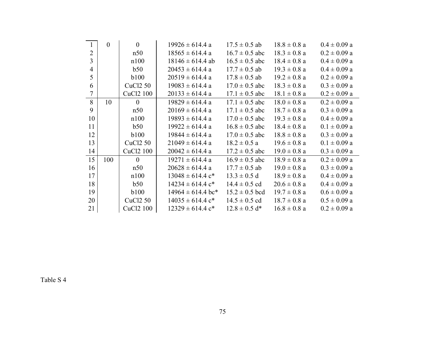| 1                | $\boldsymbol{0}$ | $\overline{0}$        | $19926 \pm 614.4$ a              | $17.5 \pm 0.5$ ab  | $18.8 \pm 0.8$ a | $0.4 \pm 0.09$ a |
|------------------|------------------|-----------------------|----------------------------------|--------------------|------------------|------------------|
| $\overline{2}$   |                  | n50                   | $18565 \pm 614.4$ a              | $16.7 \pm 0.5$ abc | $18.3 \pm 0.8$ a | $0.2 \pm 0.09$ a |
| $\overline{3}$   |                  | n100                  | $18146 \pm 614.4$ ab             | $16.5 \pm 0.5$ abc | $18.4 \pm 0.8$ a | $0.4 \pm 0.09$ a |
| $\overline{4}$   |                  | b50                   | $20453 \pm 614.4$ a              | $17.7 \pm 0.5$ ab  | $19.3 \pm 0.8$ a | $0.4 \pm 0.09$ a |
| 5                |                  | b100                  | $20519 \pm 614.4$ a              | $17.8 \pm 0.5$ ab  | $19.2 \pm 0.8$ a | $0.2 \pm 0.09$ a |
| 6                |                  | CuC <sub>12</sub> 50  | $19083 \pm 614.4$ a              | $17.0 \pm 0.5$ abc | $18.3 \pm 0.8$ a | $0.3 \pm 0.09$ a |
| $\boldsymbol{7}$ |                  | CuCl2 100             | $20133 \pm 614.4$ a              | $17.1 \pm 0.5$ abc | $18.1 \pm 0.8$ a | $0.2 \pm 0.09$ a |
| 8                | 10               | $\theta$              | $19829 \pm 614.4$ a              | $17.1 \pm 0.5$ abc | $18.0 \pm 0.8$ a | $0.2 \pm 0.09$ a |
| 9                |                  | n50                   | $20169 \pm 614.4$ a              | $17.1 \pm 0.5$ abc | $18.7 \pm 0.8$ a | $0.3 \pm 0.09$ a |
| 10               |                  | n100                  | $19893 \pm 614.4$ a              | $17.0 \pm 0.5$ abc | $19.3 \pm 0.8$ a | $0.4 \pm 0.09$ a |
| 11               |                  | b50                   | $19922 \pm 614.4$ a              | $16.8 \pm 0.5$ abc | $18.4 \pm 0.8$ a | $0.1 \pm 0.09$ a |
| 12               |                  | <b>b100</b>           | $19844 \pm 614.4$ a              | $17.0 \pm 0.5$ abc | $18.8 \pm 0.8$ a | $0.3 \pm 0.09$ a |
| 13               |                  | CuCl <sub>2</sub> 50  | $21049 \pm 614.4$ a              | $18.2 \pm 0.5$ a   | $19.6 \pm 0.8$ a | $0.1 \pm 0.09$ a |
| 14               |                  | CuCl <sub>2</sub> 100 | $20042 \pm 614.4$ a              | $17.2 \pm 0.5$ abc | $19.0 \pm 0.8$ a | $0.3 \pm 0.09$ a |
| 15               | 100              | $\overline{0}$        | $19271 \pm 614.4$ a              | $16.9 \pm 0.5$ abc | $18.9 \pm 0.8$ a | $0.2 \pm 0.09$ a |
| 16               |                  | n50                   | $20628 \pm 614.4$ a              | $17.7 \pm 0.5$ ab  | $19.0 \pm 0.8$ a | $0.3 \pm 0.09$ a |
| 17               |                  | n100                  | $13048 \pm 614.4$ c <sup>*</sup> | $13.3 \pm 0.5$ d   | $18.9 \pm 0.8$ a | $0.4 \pm 0.09$ a |
| 18               |                  | b50                   | $14234 \pm 614.4$ c <sup>*</sup> | $14.4 \pm 0.5$ cd  | $20.6 \pm 0.8$ a | $0.4 \pm 0.09$ a |
| 19               |                  | <b>b</b> 100          | $14964 \pm 614.4$ bc*            | $15.2 \pm 0.5$ bcd | $19.7 \pm 0.8$ a | $0.6 \pm 0.09$ a |
| 20               |                  | CuC <sub>12</sub> 50  | $14035 \pm 614.4$ c <sup>*</sup> | $14.5 \pm 0.5$ cd  | $18.7 \pm 0.8$ a | $0.5 \pm 0.09$ a |
| 21               |                  | CuCl <sub>2</sub> 100 | $12329 \pm 614.4$ c <sup>*</sup> | $12.8 \pm 0.5$ d*  | $16.8 \pm 0.8$ a | $0.2 \pm 0.09$ a |

Table S 4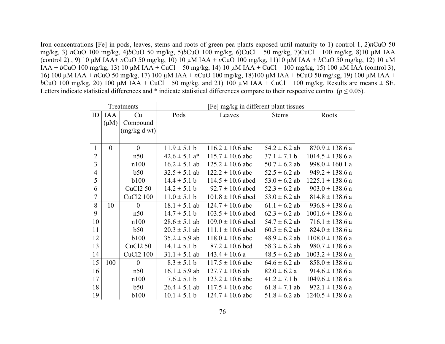Iron concentrations [Fe] in pods, leaves, stems and roots of green pea plants exposed until maturity to 1) control 1, 2)*n*CuO 50 mg/kg, 3) *n*CuO 100 mg/kg, 4)*b*CuO 50 mg/kg, 5)*b*CuO 100 mg/kg, 6)CuCl 50 mg/kg, 7)CuCl 100 mg/kg, 8)10 µM IAA (control 2) , 9) 10 µM IAA+ *n*CuO 50 mg/kg, 10) 10 µM IAA + *n*CuO 100 mg/kg, 11)10 µM IAA + *b*CuO 50 mg/kg, 12) 10 µM  $IAA + bCuO$  100 mg/kg, 13) 10 µM  $IAA + CuCl$  50 mg/kg, 14) 10 µM  $IAA + CuCl$  100 mg/kg, 15) 100 µM  $IAA$  (control 3), 16) 100 µM IAA + *n*CuO 50 mg/kg, 17) 100 µM IAA + *n*CuO 100 mg/kg, 18)100 µM IAA + *b*CuO 50 mg/kg, 19) 100 µM IAA + *b*CuO 100 mg/kg, 20) 100  $\mu$ M IAA + CuCl 50 mg/kg, and 21) 100  $\mu$ M IAA + CuCl 100 mg/kg. Results are means  $\pm$  SE. Letters indicate statistical differences and  $*$  indicate statistical differences compare to their respective control ( $p \le 0.05$ ).

| Treatments     |                |                      | [Fe] mg/kg in different plant tissues |                       |                   |                      |  |
|----------------|----------------|----------------------|---------------------------------------|-----------------------|-------------------|----------------------|--|
| ID             | <b>IAA</b>     | Cu                   | Pods                                  | Leaves                | <b>Stems</b>      | Roots                |  |
|                | $(\mu M)$      | Compound             |                                       |                       |                   |                      |  |
|                |                | (mg/kg dwt)          |                                       |                       |                   |                      |  |
|                |                |                      |                                       |                       |                   |                      |  |
| 1              | $\overline{0}$ | $\overline{0}$       | $11.9 \pm 5.1 b$                      | $116.2 \pm 10.6$ abc  | $54.2 \pm 6.2$ ab | $870.9 \pm 138.6$ a  |  |
| $\overline{2}$ |                | n50                  | $42.6 \pm 5.1$ a <sup>*</sup>         | $115.7 \pm 10.6$ abc  | $37.1 \pm 7.1 b$  | $1014.5 \pm 138.6$ a |  |
| $\overline{3}$ |                | n100                 | $16.2 \pm 5.1$ ab                     | $125.2 \pm 10.6$ abc  | $50.7 \pm 6.2$ ab | $998.0 \pm 160.1$ a  |  |
| $\overline{4}$ |                | b50                  | $32.5 \pm 5.1$ ab                     | $122.2 \pm 10.6$ abc  | $52.5 \pm 6.2$ ab | $949.2 \pm 138.6$ a  |  |
| 5              |                | <b>b100</b>          | $14.4 \pm 5.1 b$                      | $114.5 \pm 10.6$ abcd | $53.0 \pm 6.2$ ab | $1225.1 \pm 138.6$ a |  |
| 6              |                | CuCl <sub>2</sub> 50 | $14.2 \pm 5.1 b$                      | $92.7 \pm 10.6$ abcd  | $52.3 \pm 6.2$ ab | $903.0 \pm 138.6$ a  |  |
| $\overline{7}$ |                | CuCl2 100            | $11.0 \pm 5.1 b$                      | $101.8 \pm 10.6$ abcd | $53.0 \pm 6.2$ ab | $814.8 \pm 138.6$ a  |  |
| 8              | 10             | $\overline{0}$       | $18.1 \pm 5.1$ ab                     | $124.7 \pm 10.6$ abc  | $61.1 \pm 6.2$ ab | $936.8 \pm 138.6$ a  |  |
| 9              |                | n50                  | $14.7 \pm 5.1 b$                      | $103.5 \pm 10.6$ abcd | $62.3 \pm 6.2$ ab | $1001.6 \pm 138.6$ a |  |
| 10             |                | n100                 | $28.6 \pm 5.1$ ab                     | $109.0 \pm 10.6$ abcd | $54.7 \pm 6.2$ ab | $716.1 \pm 138.6$ a  |  |
| 11             |                | b50                  | $20.3 \pm 5.1$ ab                     | $111.1 \pm 10.6$ abcd | $60.5 \pm 6.2$ ab | $824.0 \pm 138.6$ a  |  |
| 12             |                | <b>b</b> 100         | $35.2 \pm 5.9$ ab                     | $118.0 \pm 10.6$ abc  | $48.9 \pm 6.2$ ab | $1108.0 \pm 138.6$ a |  |
| 13             |                | CuCl2 50             | $14.1 \pm 5.1 b$                      | $87.2 \pm 10.6$ bcd   | $58.3 \pm 6.2$ ab | $980.7 \pm 138.6$ a  |  |
| 14             |                | CuCl2 100            | $31.1 \pm 5.1$ ab                     | $143.4 \pm 10.6$ a    | $48.5 \pm 6.2$ ab | $1003.2 \pm 138.6$ a |  |
| 15             | 100            | $\mathbf{0}$         | $8.3 \pm 5.1 b$                       | $117.5 \pm 10.6$ abc  | $64.6 \pm 6.2$ ab | $858.0 \pm 138.6$ a  |  |
| 16             |                | n50                  | $16.1 \pm 5.9$ ab                     | $127.7 \pm 10.6$ ab   | $82.0 \pm 6.2 a$  | $914.6 \pm 138.6$ a  |  |
| 17             |                | n100                 | $7.6 \pm 5.1 b$                       | $123.2 \pm 10.6$ abc  | $41.2 \pm 7.1 b$  | $1049.6 \pm 138.6$ a |  |
| 18             |                | b50                  | $26.4 \pm 5.1$ ab                     | $117.5 \pm 10.6$ abc  | $61.8 \pm 7.1$ ab | $972.1 \pm 138.6$ a  |  |
| 19             |                | <b>b100</b>          | $10.1 \pm 5.1 b$                      | $124.7 \pm 10.6$ abc  | $51.8 \pm 6.2$ ab | $1240.5 \pm 138.6$ a |  |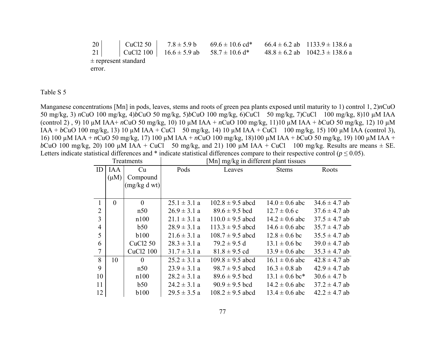20 | CuCl2 50 |  $7.8 \pm 5.9$  b  $69.6 \pm 10.6$  cd\*  $66.4 \pm 6.2$  ab  $1133.9 \pm 138.6$  a 21 CuCl2 100 16.6  $\pm$  5.9 ab 58.7  $\pm$  10.6 d\* 48.8  $\pm$  6.2 ab 1042.3  $\pm$  138.6 a ± represent standard error.

Table S 5

Manganese concentrations [Mn] in pods, leaves, stems and roots of green pea plants exposed until maturity to 1) control 1, 2)*n*CuO 50 mg/kg, 3) *n*CuO 100 mg/kg, 4)*b*CuO 50 mg/kg, 5)*b*CuO 100 mg/kg, 6)CuCl 50 mg/kg, 7)CuCl 100 mg/kg, 8)10 µM IAA (control 2) , 9) 10 µM IAA+ *n*CuO 50 mg/kg, 10) 10 µM IAA + *n*CuO 100 mg/kg, 11)10 µM IAA + *b*CuO 50 mg/kg, 12) 10 µM IAA + *b*CuO 100 mg/kg, 13) 10 µM IAA + CuCl 50 mg/kg, 14) 10 µM IAA + CuCl 100 mg/kg, 15) 100 µM IAA (control 3), 16) 100 µM IAA + *n*CuO 50 mg/kg, 17) 100 µM IAA + *n*CuO 100 mg/kg, 18)100 µM IAA + *b*CuO 50 mg/kg, 19) 100 µM IAA + *b*CuO 100 mg/kg, 20) 100  $\mu$ M IAA + CuCl 50 mg/kg, and 21) 100  $\mu$ M IAA + CuCl 100 mg/kg. Results are means  $\pm$  SE. Letters indicate statistical differences and  $*$  indicate statistical differences compare to their respective control ( $p \le 0.05$ ).

| Treatments     |           |                       |                  | [Mn] mg/kg in different plant tissues |                    |                   |
|----------------|-----------|-----------------------|------------------|---------------------------------------|--------------------|-------------------|
| ID             | IAA       | Cu                    | Pods             | Leaves                                | <b>Stems</b>       | Roots             |
|                | $(\mu M)$ | Compound              |                  |                                       |                    |                   |
|                |           | (mg/kg dwt)           |                  |                                       |                    |                   |
|                |           |                       |                  |                                       |                    |                   |
| 1              | $\theta$  | $\theta$              | $25.1 \pm 3.1 a$ | $102.8 \pm 9.5$ abcd                  | $14.0 \pm 0.6$ abc | $34.6 \pm 4.7$ ab |
| $\overline{2}$ |           | n50                   | $26.9 \pm 3.1$ a | $89.6 \pm 9.5$ bcd                    | $12.7 \pm 0.6$ c   | $37.6 \pm 4.7$ ab |
| 3              |           | n100                  | $21.1 \pm 3.1 a$ | $110.0 \pm 9.5$ abcd                  | $14.2 \pm 0.6$ abc | $37.5 \pm 4.7$ ab |
| $\overline{4}$ |           | b50                   | $28.9 \pm 3.1 a$ | $113.3 \pm 9.5$ abcd                  | $14.6 \pm 0.6$ abc | $35.7 \pm 4.7$ ab |
| 5              |           | <b>b</b> 100          | $21.6 \pm 3.1 a$ | $108.7 \pm 9.5$ abcd                  | $12.8 \pm 0.6$ bc  | $35.5 \pm 4.7$ ab |
| 6              |           | <b>CuCl2 50</b>       | $28.3 \pm 3.1 a$ | $79.2 \pm 9.5$ d                      | $13.1 \pm 0.6$ bc  | $39.0 \pm 4.7$ ab |
| $\tau$         |           | CuCl <sub>2</sub> 100 | $31.7 \pm 3.1$ a | $81.8 \pm 9.5$ cd                     | $13.9 \pm 0.6$ abc | $35.3 \pm 4.7$ ab |
| 8              | 10        | $\theta$              | $25.2 \pm 3.1$ a | $109.8 \pm 9.5$ abcd                  | $16.1 \pm 0.6$ abc | $42.8 \pm 4.7$ ab |
| 9              |           | n50                   | $23.9 \pm 3.1 a$ | $98.7 \pm 9.5$ abcd                   | $16.3 \pm 0.8$ ab  | $42.9 \pm 4.7$ ab |
| 10             |           | n100                  | $28.2 \pm 3.1 a$ | $89.6 \pm 9.5$ bcd                    | $13.1 \pm 0.6$ bc* | $30.6 \pm 4.7 b$  |
| 11             |           | b50                   | $24.2 \pm 3.1$ a | $90.9 \pm 9.5$ bcd                    | $14.2 \pm 0.6$ abc | $37.2 \pm 4.7$ ab |
| 12             |           | <b>b</b> 100          | $29.5 \pm 3.5 a$ | $108.2 \pm 9.5$ abcd                  | $13.4 \pm 0.6$ abc | $42.2 \pm 4.7$ ab |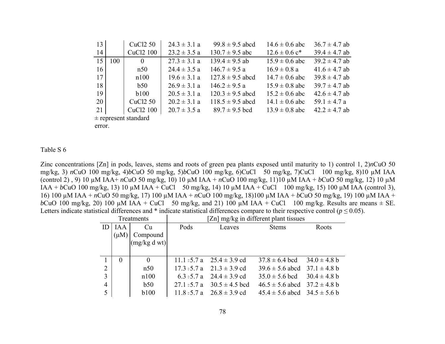| 13     |     | CuCl <sub>2</sub> 50     | $24.3 \pm 3.1 a$ | $99.8 \pm 9.5$ abcd  | $14.6 \pm 0.6$ abc            | $36.7 \pm 4.7$ ab |
|--------|-----|--------------------------|------------------|----------------------|-------------------------------|-------------------|
| 14     |     | CuCl <sub>2</sub> 100    | $23.2 \pm 3.5 a$ | $130.7 \pm 9.5$ abc  | $12.6 \pm 0.6$ c <sup>*</sup> | $39.4 \pm 4.7$ ab |
| 15     | 100 | $\theta$                 | $27.3 \pm 3.1$ a | $139.4 \pm 9.5$ ab   | $15.9 \pm 0.6$ abc            | $39.2 \pm 4.7$ ab |
| 16     |     | n50                      | $24.4 \pm 3.5 a$ | $146.7 \pm 9.5$ a    | $16.9 \pm 0.8$ a              | $41.6 \pm 4.7$ ab |
| 17     |     | n100                     | $19.6 \pm 3.1 a$ | $127.8 \pm 9.5$ abcd | $14.7 \pm 0.6$ abc            | $39.8 \pm 4.7$ ab |
| 18     |     | b50                      | $26.9 \pm 3.1 a$ | $146.2 \pm 9.5$ a    | $15.9 \pm 0.8$ abc            | $39.7 \pm 4.7$ ab |
| 19     |     | b100                     | $20.5 \pm 3.1 a$ | $120.3 \pm 9.5$ abcd | $15.2 \pm 0.6$ abc            | $42.6 \pm 4.7$ ab |
| 20     |     | CuC <sub>12</sub> 50     | $20.2 \pm 3.1 a$ | $118.5 \pm 9.5$ abcd | $14.1 \pm 0.6$ abc            | $59.1 \pm 4.7 a$  |
| 21     |     | CuC <sub>12</sub> 100    | $20.7 \pm 3.5$ a | $89.7 \pm 9.5$ bcd   | $13.9 \pm 0.8$ abc            | $42.2 \pm 4.7$ ab |
|        |     | $\pm$ represent standard |                  |                      |                               |                   |
| error. |     |                          |                  |                      |                               |                   |

#### Table S 6

Zinc concentrations [Zn] in pods, leaves, stems and roots of green pea plants exposed until maturity to 1) control 1, 2)*n*CuO 50 mg/kg, 3) *n*CuO 100 mg/kg, 4)*b*CuO 50 mg/kg, 5)*b*CuO 100 mg/kg, 6)CuCl 50 mg/kg, 7)CuCl 100 mg/kg, 8)10 µM IAA (control 2) , 9) 10 µM IAA+ *n*CuO 50 mg/kg, 10) 10 µM IAA + *n*CuO 100 mg/kg, 11)10 µM IAA + *b*CuO 50 mg/kg, 12) 10 µM IAA + *b*CuO 100 mg/kg, 13) 10 µM IAA + CuCl 50 mg/kg, 14) 10 µM IAA + CuCl 100 mg/kg, 15) 100 µM IAA (control 3), 16) 100 µM IAA + *n*CuO 50 mg/kg, 17) 100 µM IAA + *n*CuO 100 mg/kg, 18)100 µM IAA + *b*CuO 50 mg/kg, 19) 100 µM IAA + *b*CuO 100 mg/kg, 20) 100  $\mu$ M IAA + CuCl 50 mg/kg, and 21) 100  $\mu$ M IAA + CuCl 100 mg/kg. Results are means  $\pm$  SE. Letters indicate statistical differences and  $*$  indicate statistical differences compare to their respective control ( $p \le 0.05$ ).

| Treatments |                |                | [Zn] mg/kg in different plant tissues |                                |                                      |                  |  |
|------------|----------------|----------------|---------------------------------------|--------------------------------|--------------------------------------|------------------|--|
| ID         | <b>IAA</b>     | Cu             | Pods                                  | Leaves                         | <b>Stems</b>                         | Roots            |  |
|            | $(\mu M)$      | Compound       |                                       |                                |                                      |                  |  |
|            |                | (mg/kg dwt)    |                                       |                                |                                      |                  |  |
|            |                |                |                                       |                                |                                      |                  |  |
|            | $\overline{0}$ | $\overline{0}$ |                                       | 11.1 = 5.7 a $25.4 \pm 3.9$ cd | $37.8 \pm 6.4$ bcd $34.0 \pm 4.8$ b  |                  |  |
| 2          |                | n50            |                                       | 17.3 = 5.7 a $21.3 \pm 3.9$ cd | $39.6 \pm 5.6$ abcd $37.1 \pm 4.8$ b |                  |  |
| 3          |                | n100           |                                       | 6.3 = 5.7 a $24.4 \pm 3.9$ cd  | $35.0 \pm 5.6$ bcd                   | $30.4 \pm 4.8$ b |  |
| 4          |                | b50            | $27.1 \pm 5.7$ a                      | $30.5 \pm 4.5$ bcd             | $46.5 \pm 5.6$ abcd $37.2 \pm 4.8$ b |                  |  |
| 5          |                | <b>b</b> 100   |                                       | 11.8 = 5.7 a $26.8 \pm 3.9$ cd | $45.4 \pm 5.6$ abcd $34.5 \pm 5.6$ b |                  |  |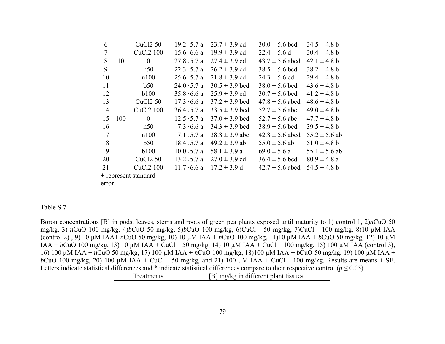| 6                        |     | CuCl2 50              | $19.2 = 5.7$ a   | $23.7 \pm 3.9$ cd  | $30.0 \pm 5.6$ bcd  | $34.5 \pm 4.8$ b  |  |
|--------------------------|-----|-----------------------|------------------|--------------------|---------------------|-------------------|--|
| 7                        |     | CuC <sub>12</sub> 100 | $15.6 = 6.6$ a   | $19.9 \pm 3.9$ cd  | $22.4 \pm 5.6$ d    | $30.4 \pm 4.8 b$  |  |
| 8                        | 10  | $\theta$              | $27.8 \pm 5.7 a$ | $27.4 \pm 3.9$ cd  | $43.7 \pm 5.6$ abcd | $42.1 \pm 4.8$ b  |  |
| 9                        |     | n50                   | $22.3 \pm 5.7 a$ | $26.2 \pm 3.9$ cd  | $38.5 \pm 5.6$ bcd  | $38.2 \pm 4.8$ b  |  |
| 10                       |     | n100                  | $25.6 = 5.7$ a   | $21.8 \pm 3.9$ cd  | $24.3 \pm 5.6$ cd   | $29.4 \pm 4.8 b$  |  |
| 11                       |     | b50                   | $24.0 \pm 5.7 a$ | $30.5 \pm 3.9$ bcd | $38.0 \pm 5.6$ bcd  | $43.6 \pm 4.8$ b  |  |
| 12                       |     | <b>b</b> 100          | $35.8 \pm 6.6$ a | $25.9 \pm 3.9$ cd  | $30.7 \pm 5.6$ bcd  | $41.2 \pm 4.8$ b  |  |
| 13                       |     | CuCl <sub>2</sub> 50  | $17.3 = 6.6$ a   | $37.2 \pm 3.9$ bcd | $47.8 \pm 5.6$ abcd | $48.6 \pm 4.8$ b  |  |
| 14                       |     | CuCl <sub>2</sub> 100 | $36.4 = 5.7$ a   | $33.5 \pm 3.9$ bcd | $52.7 \pm 5.6$ abc  | $49.0 \pm 4.8 b$  |  |
| 15                       | 100 | $\theta$              | $12.5 = 5.7$ a   | $37.0 \pm 3.9$ bcd | $52.7 \pm 5.6$ abc  | $47.7 \pm 4.8$ b  |  |
| 16                       |     | n50                   | $7.3 = 6.6$ a    | $34.3 \pm 3.9$ bcd | $38.9 \pm 5.6$ bcd  | $39.5 \pm 4.8$ b  |  |
| 17                       |     | n100                  | $7.1 \pm 5.7 a$  | $38.8 \pm 3.9$ abc | $42.8 \pm 5.6$ abcd | $55.2 \pm 5.6$ ab |  |
| 18                       |     | b50                   | $18.4 = 5.7$ a   | $49.2 \pm 3.9$ ab  | $55.0 \pm 5.6$ ab   | $51.0 \pm 4.8 b$  |  |
| 19                       |     | <b>b</b> 100          | $10.0 = 5.7$ a   | $58.1 \pm 3.9 a$   | $69.0 \pm 5.6 a$    | $55.1 \pm 5.6$ ab |  |
| 20                       |     | CuC <sub>12</sub> 50  | $13.2 = 5.7$ a   | $27.0 \pm 3.9$ cd  | $36.4 \pm 5.6$ bcd  | $80.9 \pm 4.8 a$  |  |
| 21                       |     | CuCl <sub>2</sub> 100 | $11.7 = 6.6$ a   | $17.2 \pm 3.9$ d   | $42.7 \pm 5.6$ abcd | $54.5 \pm 4.8$ b  |  |
| $\pm$ represent standard |     |                       |                  |                    |                     |                   |  |
| error.                   |     |                       |                  |                    |                     |                   |  |

#### Table S 7

Boron concentrations [B] in pods, leaves, stems and roots of green pea plants exposed until maturity to 1) control 1, 2)*n*CuO 50 mg/kg, 3) *n*CuO 100 mg/kg, 4)*b*CuO 50 mg/kg, 5)*b*CuO 100 mg/kg, 6)CuCl 50 mg/kg, 7)CuCl 100 mg/kg, 8)10 µM IAA (control 2) , 9) 10 µM IAA+ *n*CuO 50 mg/kg, 10) 10 µM IAA + *n*CuO 100 mg/kg, 11)10 µM IAA + *b*CuO 50 mg/kg, 12) 10 µM IAA + *b*CuO 100 mg/kg, 13) 10 µM IAA + CuCl 50 mg/kg, 14) 10 µM IAA + CuCl 100 mg/kg, 15) 100 µM IAA (control 3), 16) 100 µM IAA + *n*CuO 50 mg/kg, 17) 100 µM IAA + *n*CuO 100 mg/kg, 18)100 µM IAA + *b*CuO 50 mg/kg, 19) 100 µM IAA + *b*CuO 100 mg/kg, 20) 100  $\mu$ M IAA + CuCl 50 mg/kg, and 21) 100  $\mu$ M IAA + CuCl 100 mg/kg. Results are means  $\pm$  SE. Letters indicate statistical differences and  $*$  indicate statistical differences compare to their respective control ( $p \le 0.05$ ). Treatments [B] mg/kg in different plant tissues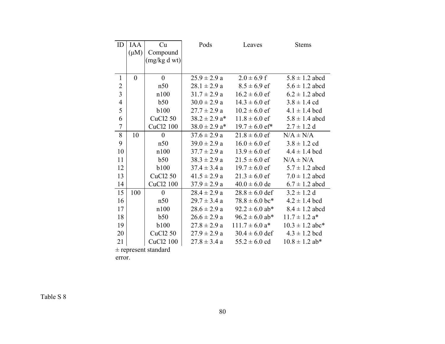| ID             | <b>IAA</b>     | Cu                    | Pods                          | Leaves                         | <b>Stems</b>                  |
|----------------|----------------|-----------------------|-------------------------------|--------------------------------|-------------------------------|
|                | $(\mu M)$      | Compound              |                               |                                |                               |
|                |                | (mg/kg dwt)           |                               |                                |                               |
|                |                |                       |                               |                                |                               |
| $\mathbf{1}$   | $\overline{0}$ | $\boldsymbol{0}$      | $25.9 \pm 2.9 a$              | $2.0 \pm 6.9$ f                | $5.8 \pm 1.2$ abcd            |
| $\overline{2}$ |                | n50                   | $28.1 \pm 2.9 a$              | $8.5 \pm 6.9$ ef               | $5.6 \pm 1.2$ abcd            |
| $\overline{3}$ |                | n100                  | $31.7 \pm 2.9 a$              | $16.2 \pm 6.0$ ef              | $6.2 \pm 1.2$ abcd            |
| $\overline{4}$ |                | b50                   | $30.0 \pm 2.9 a$              | $14.3 \pm 6.0$ ef              | $3.8 \pm 1.4$ cd              |
| 5              |                | <b>b100</b>           | $27.7 \pm 2.9$ a              | $10.2 \pm 6.0$ ef              | $4.1 \pm 1.4$ bcd             |
| 6              |                | <b>CuCl2 50</b>       | $38.2 \pm 2.9$ a <sup>*</sup> | $11.8 \pm 6.0$ ef              | $5.8 \pm 1.4$ abcd            |
| $\overline{7}$ |                | CuCl2 100             | $38.0 \pm 2.9$ a <sup>*</sup> | $19.7 \pm 6.0$ ef*             | $2.7 \pm 1.2$ d               |
| 8              | 10             | $\mathbf{0}$          | $37.6 \pm 2.9 a$              | $21.8 \pm 6.0$ ef              | $N/A \pm N/A$                 |
| 9              |                | n50                   | $39.0 \pm 2.9 a$              | $16.0 \pm 6.0$ ef              | $3.8 \pm 1.2$ cd              |
| 10             |                | n100                  | $37.7 \pm 2.9 a$              | $13.9 \pm 6.0$ ef              | $4.4 \pm 1.4$ bcd             |
| 11             |                | b50                   | $38.3 \pm 2.9 a$              | $21.5 \pm 6.0$ ef              | $N/A \pm N/A$                 |
| 12             |                | <b>b100</b>           | $37.4 \pm 3.4 a$              | $19.7 \pm 6.0$ ef              | $5.7 \pm 1.2$ abcd            |
| 13             |                | CuCl <sub>2</sub> 50  | $41.5 \pm 2.9 a$              | $21.3 \pm 6.0$ ef              | $7.0 \pm 1.2$ abcd            |
| 14             |                | CuCl2 100             | $37.9 \pm 2.9 a$              | $40.0 \pm 6.0$ de              | $6.7 \pm 1.2$ abcd            |
| 15             | 100            | $\theta$              | $28.4 \pm 2.9 a$              | $28.8 \pm 6.0$ def             | $3.2 \pm 1.2$ d               |
| 16             |                | n50                   | $29.7 \pm 3.4 a$              | $78.8 \pm 6.0$ bc*             | $4.2 \pm 1.4$ bcd             |
| 17             |                | n100                  | $28.6 \pm 2.9 a$              | $92.2 \pm 6.0$ ab*             | $8.4 \pm 1.2$ abcd            |
| 18             |                | b50                   | $26.6 \pm 2.9 a$              | $96.2 \pm 6.0$ ab*             | $11.7 \pm 1.2$ a <sup>*</sup> |
| 19             |                | <b>b</b> 100          | $27.8 \pm 2.9 a$              | $111.7 \pm 6.0$ a <sup>*</sup> | $10.3 \pm 1.2$ abc*           |
| 20             |                | <b>CuCl2 50</b>       | $27.9 \pm 2.9 a$              | $30.4 \pm 6.0$ def             | $4.3 \pm 1.2$ bcd             |
| 21             |                | CuCl <sub>2</sub> 100 | $27.8 \pm 3.4$ a              | $55.2 \pm 6.0$ cd              | $10.8 \pm 1.2$ ab*            |

 $\pm$  represent standard

error.

Table S $8\,$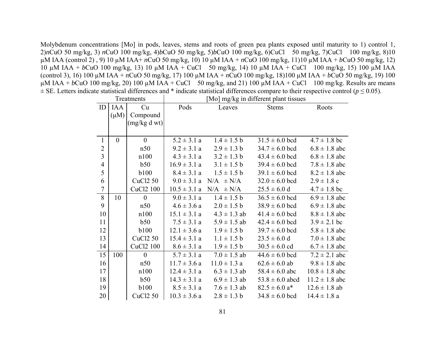Molybdenum concentrations [Mo] in pods, leaves, stems and roots of green pea plants exposed until maturity to 1) control 1, 2)*n*CuO 50 mg/kg, 3) *n*CuO 100 mg/kg, 4)*b*CuO 50 mg/kg, 5)*b*CuO 100 mg/kg, 6)CuCl 50 mg/kg, 7)CuCl 100 mg/kg, 8)10 µM IAA (control 2) , 9) 10 µM IAA+ *n*CuO 50 mg/kg, 10) 10 µM IAA + *n*CuO 100 mg/kg, 11)10 µM IAA + *b*CuO 50 mg/kg, 12) 10 µM IAA + *b*CuO 100 mg/kg, 13) 10 µM IAA + CuCl 50 mg/kg, 14) 10 µM IAA + CuCl 100 mg/kg, 15) 100 µM IAA (control 3), 16) 100 µM IAA + *n*CuO 50 mg/kg, 17) 100 µM IAA + *n*CuO 100 mg/kg, 18)100 µM IAA + *b*CuO 50 mg/kg, 19) 100  $\mu$ M IAA + *b*CuO 100 mg/kg, 20) 100  $\mu$ M IAA + CuCl 50 mg/kg, and 21) 100  $\mu$ M IAA + CuCl 100 mg/kg. Results are means ± SE. Letters indicate statistical differences and \* indicate statistical differences compare to their respective control (*p* ≤ 0.05).

| Treatments     |                |                 | [Mo] mg/kg in different plant tissues |                   |                               |                    |  |
|----------------|----------------|-----------------|---------------------------------------|-------------------|-------------------------------|--------------------|--|
| ID             | <b>IAA</b>     | Cu              | Pods                                  | Leaves            | <b>Stems</b>                  | Roots              |  |
|                | $(\mu M)$      | Compound        |                                       |                   |                               |                    |  |
|                |                | (mg/kg dwt)     |                                       |                   |                               |                    |  |
|                |                |                 |                                       |                   |                               |                    |  |
| $\mathbf{1}$   | $\overline{0}$ | $\overline{0}$  | $5.2 \pm 3.1 a$                       | $1.4 \pm 1.5 b$   | $31.5 \pm 6.0$ bcd            | $4.7 \pm 1.8$ bc   |  |
| $\overline{2}$ |                | n50             | $9.2 \pm 3.1 a$                       | $2.9 \pm 1.3 b$   | $34.7 \pm 6.0$ bcd            | $6.8 \pm 1.8$ abc  |  |
| $\overline{3}$ |                | n100            | $4.3 \pm 3.1 a$                       | $3.2 \pm 1.3 b$   | $43.4 \pm 6.0$ bcd            | $6.8 \pm 1.8$ abc  |  |
| $\overline{4}$ |                | b50             | $16.9 \pm 3.1 a$                      | $3.1 \pm 1.5 b$   | $39.4 \pm 6.0$ bcd            | $7.8 \pm 1.8$ abc  |  |
| 5              |                | <b>b100</b>     | $8.4 \pm 3.1 a$                       | $1.5 \pm 1.5 b$   | $39.1 \pm 6.0$ bcd            | $8.2 \pm 1.8$ abc  |  |
| 6              |                | <b>CuCl2 50</b> | $9.0 \pm 3.1 a$                       | $N/A$ $\pm$ $N/A$ | $32.0 \pm 6.0$ bcd            | $2.9 \pm 1.8$ c    |  |
| $\overline{7}$ |                | CuCl2 100       | $10.5 \pm 3.1 a$                      | $N/A$ $\pm N/A$   | $25.5 \pm 6.0$ d              | $4.7 \pm 1.8$ bc   |  |
| 8              | 10             | $\mathbf{0}$    | $9.0 \pm 3.1 a$                       | $1.4 \pm 1.5 b$   | $36.5 \pm 6.0$ bcd            | $6.9 \pm 1.8$ abc  |  |
| 9              |                | n50             | $4.6 \pm 3.6 a$                       | $2.0 \pm 1.5 b$   | $38.9 \pm 6.0$ bcd            | $6.9 \pm 1.8$ abc  |  |
| 10             |                | n100            | $15.1 \pm 3.1 a$                      | $4.3 \pm 1.3$ ab  | $41.4 \pm 6.0$ bcd            | $8.8 \pm 1.8$ abc  |  |
| 11             |                | b50             | $7.5 \pm 3.1 a$                       | $5.9 \pm 1.5$ ab  | $42.4 \pm 6.0$ bcd            | $3.9 \pm 2.1$ bc   |  |
| 12             |                | <b>b</b> 100    | $12.1 \pm 3.6 a$                      | $1.9 \pm 1.5 b$   | $39.7 \pm 6.0$ bcd            | $5.8 \pm 1.8$ abc  |  |
| 13             |                | <b>CuCl2 50</b> | $15.4 \pm 3.1 a$                      | $1.1 \pm 1.5 b$   | $23.5 \pm 6.0 d$              | $7.0 \pm 1.8$ abc  |  |
| 14             |                | CuCl2 100       | $8.6 \pm 3.1 a$                       | $1.9 \pm 1.5 b$   | $30.5 \pm 6.0$ cd             | $6.7 \pm 1.8$ abc  |  |
| 15             | 100            | $\overline{0}$  | $5.7 \pm 3.1$ a                       | $7.0 \pm 1.5$ ab  | $44.6 \pm 6.0$ bcd            | $7.2 \pm 2.1$ abc  |  |
| 16             |                | n50             | $11.7 \pm 3.6$ a                      | $11.0 \pm 1.3 a$  | $62.6 \pm 6.0$ ab             | $9.8 \pm 1.8$ abc  |  |
| 17             |                | n100            | $12.4 \pm 3.1 a$                      | $6.3 \pm 1.3$ ab  | $58.4 \pm 6.0$ abc            | $10.8 \pm 1.8$ abc |  |
| 18             |                | b50             | $14.3 \pm 3.1 a$                      | $6.9 \pm 1.3$ ab  | $53.8 \pm 6.0$ abcd           | $11.2 \pm 1.8$ abc |  |
| 19             |                | <b>b100</b>     | $8.5 \pm 3.1 a$                       | $7.6 \pm 1.3$ ab  | $82.5 \pm 6.0$ a <sup>*</sup> | $12.6 \pm 1.8$ ab  |  |
| 20             |                | <b>CuCl2 50</b> | $10.3 \pm 3.6 a$                      | $2.8 \pm 1.3$ b   | $34.8 \pm 6.0$ bcd            | $14.4 \pm 1.8$ a   |  |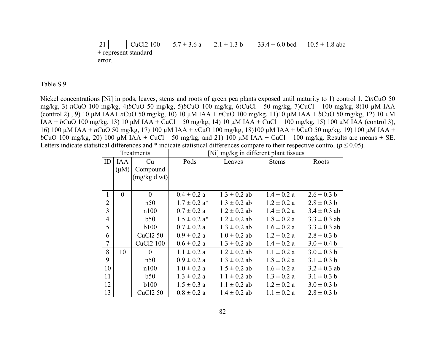21 CuCl2 100 5.7  $\pm$  3.6 a 2.1  $\pm$  1.3 b 33.4  $\pm$  6.0 bcd  $10.5 \pm 1.8$  abc ± represent standard error.

Table S 9

Nickel concentrations [Ni] in pods, leaves, stems and roots of green pea plants exposed until maturity to 1) control 1, 2)*n*CuO 50 mg/kg, 3) *n*CuO 100 mg/kg, 4)*b*CuO 50 mg/kg, 5)*b*CuO 100 mg/kg, 6)CuCl 50 mg/kg, 7)CuCl 100 mg/kg, 8)10 µM IAA (control 2) , 9) 10 µM IAA+ *n*CuO 50 mg/kg, 10) 10 µM IAA + *n*CuO 100 mg/kg, 11)10 µM IAA + *b*CuO 50 mg/kg, 12) 10 µM IAA + *b*CuO 100 mg/kg, 13) 10 µM IAA + CuCl 50 mg/kg, 14) 10 µM IAA + CuCl 100 mg/kg, 15) 100 µM IAA (control 3), 16) 100 µM IAA + *n*CuO 50 mg/kg, 17) 100 µM IAA + *n*CuO 100 mg/kg, 18)100 µM IAA + *b*CuO 50 mg/kg, 19) 100 µM IAA + *b*CuO 100 mg/kg, 20) 100  $\mu$ M IAA + CuCl 50 mg/kg, and 21) 100  $\mu$ M IAA + CuCl 100 mg/kg. Results are means  $\pm$  SE. Letters indicate statistical differences and  $*$  indicate statistical differences compare to their respective control ( $p \le 0.05$ ).

| Treatments     |           |                      | [Ni] mg/kg in different plant tissues |                  |                 |                  |  |
|----------------|-----------|----------------------|---------------------------------------|------------------|-----------------|------------------|--|
| ID             | IAA       | Cu                   | Pods                                  | Leaves           | <b>Stems</b>    | Roots            |  |
|                | $(\mu M)$ | Compound             |                                       |                  |                 |                  |  |
|                |           | (mg/kg dwt)          |                                       |                  |                 |                  |  |
|                |           |                      |                                       |                  |                 |                  |  |
| $\mathbf{1}$   | $\theta$  | $\theta$             | $0.4 \pm 0.2 a$                       | $1.3 \pm 0.2$ ab | $1.4 \pm 0.2 a$ | $2.6 \pm 0.3$ b  |  |
| $\overline{2}$ |           | n50                  | $1.7 \pm 0.2$ a <sup>*</sup>          | $1.3 \pm 0.2$ ab | $1.2 \pm 0.2 a$ | $2.8 \pm 0.3$ b  |  |
| 3              |           | n100                 | $0.7 \pm 0.2 a$                       | $1.2 \pm 0.2$ ab | $1.4 \pm 0.2 a$ | $3.4 \pm 0.3$ ab |  |
| $\overline{4}$ |           | b50                  | $1.5 \pm 0.2$ a <sup>*</sup>          | $1.2 \pm 0.2$ ab | $1.8 \pm 0.2 a$ | $3.3 \pm 0.3$ ab |  |
| 5              |           | <b>b</b> 100         | $0.7 \pm 0.2 a$                       | $1.3 \pm 0.2$ ab | $1.6 \pm 0.2 a$ | $3.3 \pm 0.3$ ab |  |
| 6              |           | <b>CuCl2 50</b>      | $0.9 \pm 0.2 a$                       | $1.0 \pm 0.2$ ab | $1.2 \pm 0.2 a$ | $2.8 \pm 0.3$ b  |  |
| 7              |           | CuCl2 100            | $0.6 \pm 0.2 a$                       | $1.3 \pm 0.2$ ab | $1.4 \pm 0.2 a$ | $3.0 \pm 0.4 b$  |  |
| 8              | 10        | $\theta$             | $1.1 \pm 0.2 a$                       | $1.2 \pm 0.2$ ab | $1.1 \pm 0.2 a$ | $3.0 \pm 0.3 b$  |  |
| 9              |           | n50                  | $0.9 \pm 0.2 a$                       | $1.3 \pm 0.2$ ab | $1.8 \pm 0.2 a$ | $3.1 \pm 0.3 b$  |  |
| 10             |           | n100                 | $1.0 \pm 0.2 a$                       | $1.5 \pm 0.2$ ab | $1.6 \pm 0.2 a$ | $3.2 \pm 0.3$ ab |  |
| 11             |           | b50                  | $1.3 \pm 0.2 a$                       | $1.1 \pm 0.2$ ab | $1.3 \pm 0.2 a$ | $3.1 \pm 0.3 b$  |  |
| 12             |           | <b>b</b> 100         | $1.5 \pm 0.3$ a                       | $1.1 \pm 0.2$ ab | $1.2 \pm 0.2 a$ | $3.0 \pm 0.3 b$  |  |
| 13             |           | CuC <sub>12</sub> 50 | $0.8 \pm 0.2 a$                       | $1.4 \pm 0.2$ ab | $1.1 \pm 0.2 a$ | $2.8 \pm 0.3$ b  |  |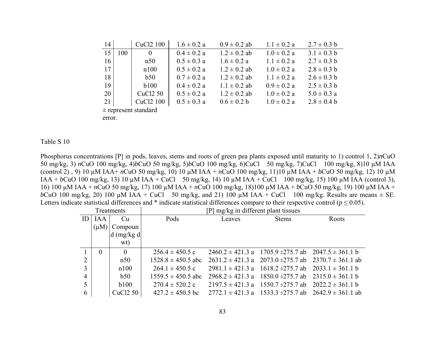| 14 |     | CuCl <sub>2</sub> 100 | $1.6 \pm 0.2 a$ | $0.9 \pm 0.2$ ab | $1.1 \pm 0.2 a$ | $2.7 \pm 0.3$ b |
|----|-----|-----------------------|-----------------|------------------|-----------------|-----------------|
| 15 | 100 | $\theta$              | $0.4 \pm 0.2 a$ | $1.2 \pm 0.2$ ab | $1.0 \pm 0.2 a$ | $3.1 \pm 0.3$ b |
| 16 |     | n50                   | $0.5 \pm 0.3$ a | $1.6 \pm 0.2 a$  | $1.1 \pm 0.2 a$ | $2.7 \pm 0.3$ b |
| 17 |     | n100                  | $0.5 \pm 0.2 a$ | $1.2 \pm 0.2$ ab | $1.0 \pm 0.2 a$ | $2.8 \pm 0.3$ b |
| 18 |     | b50                   | $0.7 \pm 0.2 a$ | $1.2 \pm 0.2$ ab | $1.1 \pm 0.2 a$ | $2.6 \pm 0.3$ b |
| 19 |     | b100                  | $0.4 \pm 0.2 a$ | $1.1 \pm 0.2$ ab | $0.9 \pm 0.2 a$ | $2.5 \pm 0.3$ b |
| 20 |     | <b>CuCl2 50</b>       | $0.5 \pm 0.2 a$ | $1.2 \pm 0.2$ ab | $1.0 \pm 0.2 a$ | $5.0 \pm 0.3$ a |
| 21 |     | CuCl <sub>2</sub> 100 | $0.5 \pm 0.3$ a | $0.6 \pm 0.2 b$  | $1.0 \pm 0.2 a$ | $2.8 \pm 0.4 b$ |
|    |     |                       |                 |                  |                 |                 |

± represent standard

error.

### Table S 10

Phosphorus concentrations [P] in pods, leaves, stems and roots of green pea plants exposed until maturity to 1) control 1, 2)*n*CuO 50 mg/kg, 3) *n*CuO 100 mg/kg, 4)*b*CuO 50 mg/kg, 5)*b*CuO 100 mg/kg, 6)CuCl 50 mg/kg, 7)CuCl 100 mg/kg, 8)10 µM IAA (control 2) , 9) 10 µM IAA+ *n*CuO 50 mg/kg, 10) 10 µM IAA + *n*CuO 100 mg/kg, 11)10 µM IAA + *b*CuO 50 mg/kg, 12) 10 µM IAA + *b*CuO 100 mg/kg, 13) 10 µM IAA + CuCl 50 mg/kg, 14) 10 µM IAA + CuCl 100 mg/kg, 15) 100 µM IAA (control 3), 16) 100 µM IAA + *n*CuO 50 mg/kg, 17) 100 µM IAA + *n*CuO 100 mg/kg, 18)100 µM IAA + *b*CuO 50 mg/kg, 19) 100 µM IAA + *b*CuO 100 mg/kg, 20) 100  $\mu$ M IAA + CuCl 50 mg/kg, and 21) 100  $\mu$ M IAA + CuCl 100 mg/kg. Results are means  $\pm$  SE. Letters indicate statistical differences and \* indicate statistical differences compare to their respective control ( $p \le 0.05$ ).

| Treatments     |           |                      | [P] mg/kg in different plant tissues |                      |                                                        |                                                                  |  |  |
|----------------|-----------|----------------------|--------------------------------------|----------------------|--------------------------------------------------------|------------------------------------------------------------------|--|--|
| ID             | IA A      | Cu                   | Pods                                 | Leaves               | <b>Stems</b>                                           | Roots                                                            |  |  |
|                | $(\mu M)$ | Compoun              |                                      |                      |                                                        |                                                                  |  |  |
|                |           | $d$ (mg/kg d)        |                                      |                      |                                                        |                                                                  |  |  |
|                |           | wt)                  |                                      |                      |                                                        |                                                                  |  |  |
|                | 0         | $\theta$             | $256.4 \pm 450.5$ c                  |                      | $2460.2 \pm 421.3$ a 1705.9 ±275.7 ab 2047.5 ± 361.1 b |                                                                  |  |  |
| $\overline{2}$ |           | n50                  | $1528.8 \pm 450.5$ abc               |                      | $2631.2 \pm 421.3$ a $2073.0 \pm 275.7$ ab             | $2370.7 \pm 361.1$ ab                                            |  |  |
| 3              |           | n100                 | $264.1 \pm 450.5$ c                  | $2981.1 \pm 421.3$ a | $1618.2 \pm 275.7$ ab                                  | $2033.1 \pm 361.1 b$                                             |  |  |
| 4              |           | b50                  | $1559.5 \pm 450.5$ abc               |                      | $2968.2 \pm 421.3$ a 1850.0 $\pm$ 275.7 ab             | $2315.0 \pm 361.1 b$                                             |  |  |
| 5              |           | b100                 | $270.4 \pm 520.2$ c                  |                      | $2197.5 \pm 421.3$ a 1550.7 $\pm$ 275.7 ab             | $2022.2 \pm 361.1 b$                                             |  |  |
| 6              |           | CuC <sub>12</sub> 50 | $427.2 \pm 450.5$ bc                 |                      |                                                        | $2772.1 \pm 421.3$ a $1533.3 \pm 275.7$ ab $2642.9 \pm 361.1$ ab |  |  |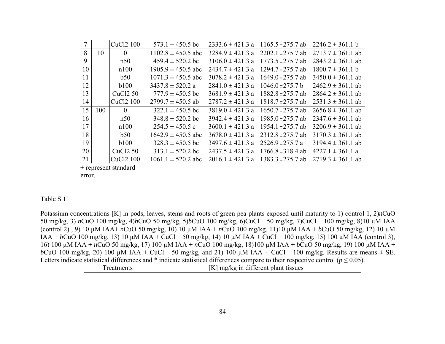| 7  |                          | CuC <sub>12</sub> 100 | $573.1 \pm 450.5$ bc   | $2333.6 \pm 421.3$ a | $1165.5 \pm 275.7$ ab | $2246.2 \pm 361.1 b$  |  |  |
|----|--------------------------|-----------------------|------------------------|----------------------|-----------------------|-----------------------|--|--|
| 8  | 10                       | $\theta$              | $1102.8 \pm 450.5$ abc | $3284.9 \pm 421.3$ a | $2202.1 \pm 275.7$ ab | $2713.7 \pm 361.1$ ab |  |  |
| 9  |                          | n50                   | $459.4 \pm 520.2$ bc   | $3106.0 \pm 421.3$ a | $1773.5 \pm 275.7$ ab | $2843.2 \pm 361.1$ ab |  |  |
| 10 |                          | n100                  | $1905.9 \pm 450.5$ abc | $2434.7 \pm 421.3$ a | 1294.7 $\pm$ 275.7 ab | $1800.7 \pm 361.1 b$  |  |  |
| 11 |                          | b50                   | $1071.3 \pm 450.5$ abc | $3078.2 \pm 421.3$ a | $1649.0 \pm 275.7$ ab | $3450.0 \pm 361.1$ ab |  |  |
| 12 |                          | b100                  | $3437.8 \pm 520.2$ a   | $2841.0 \pm 421.3$ a | $1046.0 \pm 275.7 b$  | $2462.9 \pm 361.1$ ab |  |  |
| 13 |                          | CuCl <sub>2</sub> 50  | $777.9 \pm 450.5$ bc   | $3681.9 \pm 421.3$ a | $1882.8 \pm 275.7$ ab | $2864.2 \pm 361.1$ ab |  |  |
| 14 |                          | CuC <sub>12</sub> 100 | $2799.7 \pm 450.5$ ab  | $2787.2 \pm 421.3$ a | $1818.7 \pm 275.7$ ab | $2531.3 \pm 361.1$ ab |  |  |
| 15 | 100                      | $\theta$              | $322.1 \pm 450.5$ bc   | $3819.0 \pm 421.3 a$ | $1650.7 \pm 275.7$ ab | $2656.8 \pm 361.1$ ab |  |  |
| 16 |                          | n50                   | $348.8 \pm 520.2$ bc   | $3942.4 \pm 421.3$ a | 1985.0 $\pm$ 275.7 ab | $2347.6 \pm 361.1$ ab |  |  |
| 17 |                          | n100                  | $254.5 \pm 450.5$ c    | $3600.1 \pm 421.3$ a | 1954 1 $\pm$ 275 7 ab | $3206.9 \pm 361.1$ ab |  |  |
| 18 |                          | b50                   | $1642.9 \pm 450.5$ abc | $3678.0 \pm 421.3$ a | $2312.8 \pm 275.7$ ab | $3170.3 \pm 361.1$ ab |  |  |
| 19 |                          | <b>b</b> 100          | $328.3 \pm 450.5$ bc   | $3497.6 \pm 421.3$ a | $2526.9 \pm 275.7$ a  | $3194.4 \pm 361.1$ ab |  |  |
| 20 |                          | CuC <sub>12</sub> 50  | $313.1 \pm 520.2$ bc   | $2437.5 \pm 421.3$ a | $1766.8 \pm 318.4$ ab | $4227.1 \pm 361.1$ a  |  |  |
| 21 |                          | CuCl <sub>2</sub> 100 | $1061.1 \pm 520.2$ abc | $2016.1 \pm 421.3$ a | 1383.3 $\pm$ 275.7 ab | $2719.3 \pm 361.1$ ab |  |  |
|    | $\pm$ represent standard |                       |                        |                      |                       |                       |  |  |

error.

### Table S 11

Potassium concentrations [K] in pods, leaves, stems and roots of green pea plants exposed until maturity to 1) control 1,  $2)nCuO$ 50 mg/kg, 3) nCuO 100 mg/kg, 4)bCuO 50 mg/kg, 5)bCuO 100 mg/kg, 6)CuCl 50 mg/kg, 7)CuCl 100 mg/kg, 8)10 μM IAA (control 2), 9) 10  $\mu$ M IAA+ nCuO 50 mg/kg, 10) 10  $\mu$ M IAA + nCuO 100 mg/kg, 11)10  $\mu$ M IAA + bCuO 50 mg/kg, 12) 10  $\mu$ M IAA + bCuO 100 mg/kg, 13) 10 μM IAA + CuCl 50 mg/kg, 14) 10 μM IAA + CuCl 100 mg/kg, 15) 100 μM IAA (control 3), 16) 100 μM IAA + nCuO 50 mg/kg, 17) 100 μM IAA + nCuO 100 mg/kg, 18) 100 μM IAA + bCuO 50 mg/kg, 19) 100 μM IAA + bCuO 100 mg/kg, 20) 100  $\mu$ M IAA + CuCl 50 mg/kg, and 21) 100  $\mu$ M IAA + CuCl 100 mg/kg. Results are means  $\pm$  SE. Letters indicate statistical differences and \* indicate statistical differences compare to their respective control ( $p \le 0.05$ ). Treatments [K] mg/kg in different plant tissues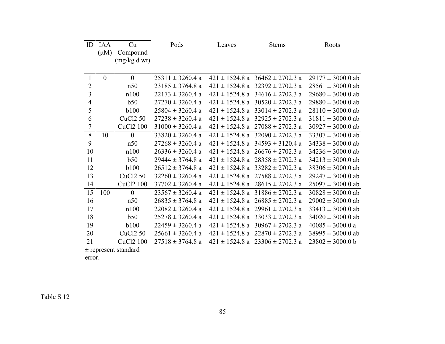| ID             | <b>IAA</b>     | Cu                       | Pods                 | Leaves             | <b>Stems</b>                            | Roots                 |
|----------------|----------------|--------------------------|----------------------|--------------------|-----------------------------------------|-----------------------|
|                | $(\mu M)$      | Compound                 |                      |                    |                                         |                       |
|                |                | (mg/kg dwt)              |                      |                    |                                         |                       |
|                |                |                          |                      |                    |                                         |                       |
| 1              | $\overline{0}$ | $\overline{0}$           | $25311 \pm 3260.4$ a |                    | $421 \pm 1524.8$ a $36462 \pm 2702.3$ a | $29177 \pm 3000.0$ ab |
| $\overline{c}$ |                | n50                      | $23185 \pm 3764.8$ a |                    | $421 \pm 1524.8$ a $32392 \pm 2702.3$ a | $28561 \pm 3000.0$ ab |
| $\overline{3}$ |                | n100                     | $22173 \pm 3260.4$ a |                    | $421 \pm 1524.8$ a $34616 \pm 2702.3$ a | $29680 \pm 3000.0$ ab |
| $\overline{4}$ |                | b50                      | $27270 \pm 3260.4$ a |                    | $421 \pm 1524.8$ a $30520 \pm 2702.3$ a | $29880 \pm 3000.0$ ab |
| 5              |                | <b>b</b> 100             | $25804 \pm 3260.4$ a |                    | $421 \pm 1524.8$ a $33014 \pm 2702.3$ a | $28110 \pm 3000.0$ ab |
| 6              |                | <b>CuCl2 50</b>          | $27238 \pm 3260.4$ a | $421 \pm 1524.8$ a | $32925 \pm 2702.3$ a                    | $31811 \pm 3000.0$ ab |
| $\overline{7}$ |                | CuCl <sub>2</sub> 100    | $31000 \pm 3260.4$ a |                    | $421 \pm 1524.8$ a $27088 \pm 2702.3$ a | $30927 \pm 3000.0$ ab |
| 8              | 10             | $\overline{0}$           | $33820 \pm 3260.4$ a | $421 \pm 1524.8$ a | $32090 \pm 2702.3$ a                    | $33307 \pm 3000.0$ ab |
| 9              |                | n50                      | $27268 \pm 3260.4$ a |                    | $421 \pm 1524.8$ a $34593 \pm 3120.4$ a | $34338 \pm 3000.0$ ab |
| 10             |                | n100                     | $26336 \pm 3260.4$ a |                    | $421 \pm 1524.8$ a $26676 \pm 2702.3$ a | $34236 \pm 3000.0$ ab |
| 11             |                | b50                      | $29444 \pm 3764.8$ a |                    | $421 \pm 1524.8$ a $28358 \pm 2702.3$ a | $34213 \pm 3000.0$ ab |
| 12             |                | <b>b</b> 100             | $26512 \pm 3764.8$ a |                    | $421 \pm 1524.8$ a $33282 \pm 2702.3$ a | $38306 \pm 3000.0$ ab |
| 13             |                | <b>CuCl2 50</b>          | $32260 \pm 3260.4$ a |                    | $421 \pm 1524.8$ a $27588 \pm 2702.3$ a | $29247 \pm 3000.0$ ab |
| 14             |                | CuCl2 100                | $37702 \pm 3260.4$ a |                    | $421 \pm 1524.8$ a $28615 \pm 2702.3$ a | $25097 \pm 3000.0$ ab |
| 15             | 100            | $\overline{0}$           | $23567 \pm 3260.4$ a |                    | $421 \pm 1524.8$ a $31886 \pm 2702.3$ a | $30828 \pm 3000.0$ ab |
| 16             |                | n50                      | $26835 \pm 3764.8$ a |                    | $421 \pm 1524.8$ a $26885 \pm 2702.3$ a | $29002 \pm 3000.0$ ab |
| 17             |                | n100                     | $22082 \pm 3260.4$ a |                    | $421 \pm 1524.8$ a $29961 \pm 2702.3$ a | $33413 \pm 3000.0$ ab |
| 18             |                | b50                      | $25278 \pm 3260.4$ a |                    | $421 \pm 1524.8$ a $33033 \pm 2702.3$ a | $34020 \pm 3000.0$ ab |
| 19             |                | <b>b</b> 100             | $22459 \pm 3260.4$ a |                    | $421 \pm 1524.8$ a $30967 \pm 2702.3$ a | $40085 \pm 3000.0$ a  |
| 20             |                | <b>CuCl2 50</b>          | $25661 \pm 3260.4$ a |                    | $421 \pm 1524.8$ a $22870 \pm 2702.3$ a | $38995 \pm 3000.0$ ab |
| 21             |                | CuCl <sub>2</sub> 100    | $27518 \pm 3764.8$ a |                    | $421 \pm 1524.8$ a $23306 \pm 2702.3$ a | $23802 \pm 3000.0 b$  |
|                |                | $\pm$ roprocent standard |                      |                    |                                         |                       |

 $\pm$  represent standard

error.

Table S 12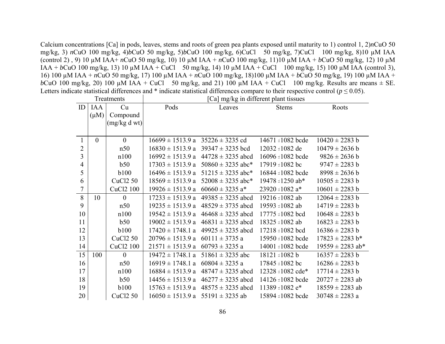Calcium concentrations [Ca] in pods, leaves, stems and roots of green pea plants exposed until maturity to 1) control 1, 2)*n*CuO 50 mg/kg, 3) *n*CuO 100 mg/kg, 4)*b*CuO 50 mg/kg, 5)*b*CuO 100 mg/kg, 6)CuCl 50 mg/kg, 7)CuCl 100 mg/kg, 8)10 µM IAA (control 2) , 9) 10 µM IAA+ *n*CuO 50 mg/kg, 10) 10 µM IAA + *n*CuO 100 mg/kg, 11)10 µM IAA + *b*CuO 50 mg/kg, 12) 10 µM IAA + *b*CuO 100 mg/kg, 13) 10 µM IAA + CuCl 50 mg/kg, 14) 10 µM IAA + CuCl 100 mg/kg, 15) 100 µM IAA (control 3), 16) 100 µM IAA + *n*CuO 50 mg/kg, 17) 100 µM IAA + *n*CuO 100 mg/kg, 18)100 µM IAA + *b*CuO 50 mg/kg, 19) 100 µM IAA + *b*CuO 100 mg/kg, 20) 100  $\mu$ M IAA + CuCl 50 mg/kg, and 21) 100  $\mu$ M IAA + CuCl 100 mg/kg. Results are means  $\pm$  SE. Letters indicate statistical differences and  $*$  indicate statistical differences compare to their respective control ( $p \le 0.05$ ).

| Treatments     |            |                       | Ca] mg/kg in different plant tissues    |                                            |                               |                      |  |  |
|----------------|------------|-----------------------|-----------------------------------------|--------------------------------------------|-------------------------------|----------------------|--|--|
| ID             | <b>IAA</b> | Cu                    | Pods                                    | Leaves                                     | <b>Stems</b>                  | Roots                |  |  |
|                | $(\mu M)$  | Compound              |                                         |                                            |                               |                      |  |  |
|                |            | (mg/kg dwt)           |                                         |                                            |                               |                      |  |  |
|                |            |                       |                                         |                                            |                               |                      |  |  |
| $\mathbf{1}$   | $\theta$   | $\mathbf{0}$          |                                         | $16699 \pm 1513.9$ a $35226 \pm 3235$ cd   | 14671 = 1082 bcde             | $10420 \pm 2283$ b   |  |  |
| $\overline{2}$ |            | n50                   |                                         | $16830 \pm 1513.9$ a 39347 $\pm$ 3235 bcd  | 12032 = 1082 de               | $10479 \pm 2636$ b   |  |  |
| 3              |            | n100                  | $16992 \pm 1513.9$ a                    | $44728 \pm 3235$ abcd                      | 16096=1082 bcde               | $9826 \pm 2636$ b    |  |  |
| $\overline{4}$ |            | b50                   |                                         | $17303 \pm 1513.9$ a 50860 $\pm$ 3235 abc* | 17919 = 1082 bc               | $9747 \pm 2283$ b    |  |  |
| 5              |            | <b>b100</b>           | $16496 \pm 1513.9$ a                    | $51215 \pm 3235$ abc*                      | 16844 = 1082 bcde             | $8998 \pm 2636$ b    |  |  |
| 6              |            | <b>CuCl2 50</b>       |                                         | $18569 \pm 1513.9$ a $52008 \pm 3235$ abc* | 19478 = 1250 ab*              | $10505 \pm 2283$ b   |  |  |
| 7              |            | CuCl2 100             | $19926 \pm 1513.9$ a                    | $60660 \pm 3235$ a*                        | 23920 = 1082 $a*$             | $10601 \pm 2283$ b   |  |  |
| 8              | 10         | $\overline{0}$        | $17233 \pm 1513.9$ a                    | $49385 \pm 3235$ abcd                      | 19216 = 1082 ab               | $12064 \pm 2283$ b   |  |  |
| 9              |            | n50                   | $19235 \pm 1513.9$ a                    | $48529 \pm 3735$ abcd                      | 19593 = 1082 ab               | $14719 \pm 2283$ b   |  |  |
| 10             |            | n100                  | $19542 \pm 1513.9$ a                    | $46468 \pm 3235$ abcd                      | 17775 = 1082 bcd              | $10648 \pm 2283$ b   |  |  |
| 11             |            | b50                   | $19002 \pm 1513.9$ a                    | $46831 \pm 3235$ abcd                      | 18325 = 1082 ab               | $16823 \pm 2283$ b   |  |  |
| 12             |            | <b>b100</b>           | $17420 \pm 1748.1$ a                    | $49925 \pm 3235$ abcd                      | 17218 = 1082 bcd              | $16386 \pm 2283$ b   |  |  |
| 13             |            | <b>CuCl2 50</b>       | $20796 \pm 1513.9$ a                    | $60111 \pm 3735$ a                         | 15950 = 1082 bcde             | $17823 \pm 2283$ b*  |  |  |
| 14             |            | CuCl <sub>2</sub> 100 | $21571 \pm 1513.9$ a 60793 $\pm$ 3235 a |                                            | 14001 = 1082 bcde             | $19559 \pm 2283$ ab* |  |  |
| 15             | 100        | $\theta$              | $19472 \pm 1748.1$ a                    | $51861 \pm 3235$ abc                       | $18121 = 1082 b$              | $16357 \pm 2283$ b   |  |  |
| 16             |            | n50                   | $16919 \pm 1748.1$ a $60804 \pm 3235$ a |                                            | 17845 = 1082 bc               | $16286 \pm 2283$ b   |  |  |
| 17             |            | n100                  | $16884 \pm 1513.9$ a                    | $48747 \pm 3235$ abcd                      | $12328 = 1082$ cde*           | $17714 \pm 2283$ b   |  |  |
| 18             |            | b50                   | $14456 \pm 1513.9$ a                    | $46277 \pm 3235$ abcd                      | 14126 = 1082 bcde             | $20727 \pm 2283$ ab  |  |  |
| 19             |            | <b>b100</b>           | $15763 \pm 1513.9$ a                    | $48575 \pm 3235$ abcd                      | $11389 = 1082$ e <sup>*</sup> | $18559 \pm 2283$ ab  |  |  |
| 20             |            | <b>CuCl2 50</b>       |                                         | $16050 \pm 1513.9$ a 55191 $\pm$ 3235 ab   | 15894 = 1082 bcde             | $30748 \pm 2283$ a   |  |  |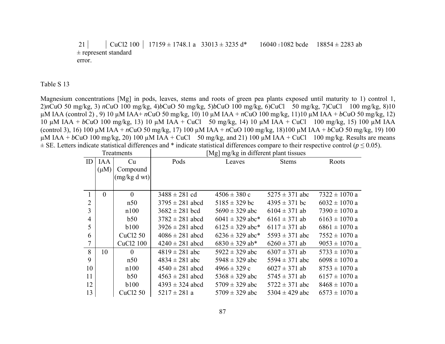21 CuCl2 100 17159 ± 1748.1 a  $33013 \pm 3235$  d\*  $16040 = 1082$  bcde  $18854 \pm 2283$  ab ± represent standard error.

Table S 13

Magnesium concentrations [Mg] in pods, leaves, stems and roots of green pea plants exposed until maturity to 1) control 1, 2)*n*CuO 50 mg/kg, 3) *n*CuO 100 mg/kg, 4)*b*CuO 50 mg/kg, 5)*b*CuO 100 mg/kg, 6)CuCl 50 mg/kg, 7)CuCl 100 mg/kg, 8)10 µM IAA (control 2) , 9) 10 µM IAA+ *n*CuO 50 mg/kg, 10) 10 µM IAA + *n*CuO 100 mg/kg, 11)10 µM IAA + *b*CuO 50 mg/kg, 12) 10 µM IAA + *b*CuO 100 mg/kg, 13) 10 µM IAA + CuCl 50 mg/kg, 14) 10 µM IAA + CuCl 100 mg/kg, 15) 100 µM IAA (control 3), 16) 100 µM IAA + *n*CuO 50 mg/kg, 17) 100 µM IAA + *n*CuO 100 mg/kg, 18)100 µM IAA + *b*CuO 50 mg/kg, 19) 100  $\mu$ M IAA + *b*CuO 100 mg/kg, 20) 100  $\mu$ M IAA + CuCl 50 mg/kg, and 21) 100  $\mu$ M IAA + CuCl 100 mg/kg. Results are means  $\pm$  SE. Letters indicate statistical differences and \* indicate statistical differences compare to their respective control ( $p \le 0.05$ ).

| Treatments     |            |                       | [Mg] mg/kg in different plant tissues |                     |                    |                   |  |
|----------------|------------|-----------------------|---------------------------------------|---------------------|--------------------|-------------------|--|
| ID             | <b>IAA</b> | Cu                    | Pods                                  | Leaves              | <b>Stems</b>       | Roots             |  |
|                | $(\mu M)$  | Compound              |                                       |                     |                    |                   |  |
|                |            | (mg/kg dwt)           |                                       |                     |                    |                   |  |
|                |            |                       |                                       |                     |                    |                   |  |
| 1              | $\theta$   | $\theta$              | $3488 \pm 281$ cd                     | $4506 \pm 380$ c    | $5275 \pm 371$ abc | $7322 \pm 1070$ a |  |
| $\overline{2}$ |            | n50                   | $3795 \pm 281$ abcd                   | $5185 \pm 329$ bc   | $4395 \pm 371$ bc  | $6032 \pm 1070$ a |  |
| 3              |            | n100                  | $3682 \pm 281$ bcd                    | $5690 \pm 329$ abc  | $6104 \pm 371$ ab  | $7390 \pm 1070$ a |  |
| $\overline{4}$ |            | b50                   | $3782 \pm 281$ abcd                   | $6041 \pm 329$ abc* | $6161 \pm 371$ ab  | $6163 \pm 1070$ a |  |
| 5              |            | <b>b</b> 100          | $3926 \pm 281$ abcd                   | $6125 \pm 329$ abc* | $6117 \pm 371$ ab  | $6861 \pm 1070$ a |  |
| 6              |            | <b>CuCl2 50</b>       | $4086 \pm 281$ abcd                   | $6236 \pm 329$ abc* | $5593 \pm 371$ abc | $7552 \pm 1070$ a |  |
| 7              |            | CuCl <sub>2</sub> 100 | $4240 \pm 281$ abcd                   | $6830 \pm 329$ ab*  | $6260 \pm 371$ ab  | $9053 \pm 1070$ a |  |
| 8              | 10         | $\theta$              | $4819 \pm 281$ abc                    | $5922 \pm 329$ abc  | $6307 \pm 371$ ab  | $5733 \pm 1070$ a |  |
| 9              |            | n50                   | $4834 \pm 281$ abc                    | 5948 $\pm$ 329 abc  | 5594 $\pm$ 371 abc | $6098 \pm 1070$ a |  |
| 10             |            | n100                  | $4540 \pm 281$ abcd                   | $4966 \pm 329$ c    | $6027 \pm 371$ ab  | $8753 \pm 1070$ a |  |
| 11             |            | b50                   | $4563 \pm 281$ abcd                   | $5368 \pm 329$ abc  | $5745 \pm 371$ ab  | $6157 \pm 1070$ a |  |
| 12             |            | <b>b</b> 100          | $4393 \pm 324$ abcd                   | $5709 \pm 329$ abc  | $5722 \pm 371$ abc | $8468 \pm 1070$ a |  |
| 13             |            | <b>CuCl2 50</b>       | $5217 \pm 281$ a                      | $5709 \pm 329$ abc  | 5304 $\pm$ 429 abc | $6573 \pm 1070$ a |  |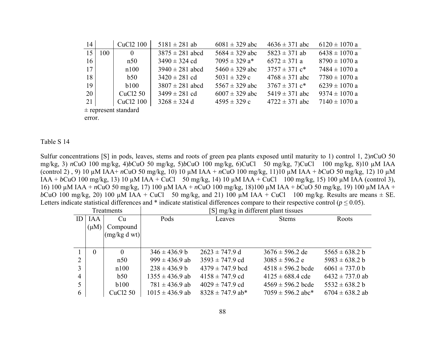| 14              |                          | CuC <sub>12</sub> 100 | $5181 \pm 281$ ab   | $6081 \pm 329$ abc            | $4636 \pm 371$ abc            | $6120 \pm 1070$ a |  |  |  |
|-----------------|--------------------------|-----------------------|---------------------|-------------------------------|-------------------------------|-------------------|--|--|--|
| 15              | 100                      | $\theta$              | $3875 \pm 281$ abcd | 5684 $\pm$ 329 abc            | $5823 \pm 371$ ab             | $6438 \pm 1070$ a |  |  |  |
| 16              |                          | n50                   | $3490 \pm 324$ cd   | $7095 \pm 329$ a <sup>*</sup> | $6572 \pm 371$ a              | $8790 \pm 1070$ a |  |  |  |
| 17 <sup>1</sup> |                          | n100                  | $3940 \pm 281$ abcd | $5460 \pm 329$ abc            | $3757 \pm 371$ c <sup>*</sup> | $7484 \pm 1070$ a |  |  |  |
| 18              |                          | b50                   | $3420 \pm 281$ cd   | $5031 \pm 329$ c              | $4768 \pm 371$ abc            | $7780 \pm 1070$ a |  |  |  |
| 19              |                          | b100                  | $3807 \pm 281$ abcd | $5567 \pm 329$ abc            | $3767 \pm 371$ c <sup>*</sup> | $6239 \pm 1070$ a |  |  |  |
| 20              |                          | CuC <sub>12</sub> 50  | $3499 \pm 281$ cd   | $6007 \pm 329$ abc            | $5419 \pm 371$ abc            | $9374 \pm 1070$ a |  |  |  |
| 21              |                          | CuCl <sub>2</sub> 100 | $3268 \pm 324$ d    | $4595 \pm 329$ c              | $4722 \pm 371$ abc            | $7140 \pm 1070$ a |  |  |  |
|                 | $\pm$ roprosont standard |                       |                     |                               |                               |                   |  |  |  |

 $\pm$  represent standard

error.

#### Table S 14

Sulfur concentrations [S] in pods, leaves, stems and roots of green pea plants exposed until maturity to 1) control 1, 2)*n*CuO 50 mg/kg, 3) *n*CuO 100 mg/kg, 4)*b*CuO 50 mg/kg, 5)*b*CuO 100 mg/kg, 6)CuCl 50 mg/kg, 7)CuCl 100 mg/kg, 8)10 µM IAA (control 2) , 9) 10 µM IAA+ *n*CuO 50 mg/kg, 10) 10 µM IAA + *n*CuO 100 mg/kg, 11)10 µM IAA + *b*CuO 50 mg/kg, 12) 10 µM IAA + *b*CuO 100 mg/kg, 13) 10 µM IAA + CuCl 50 mg/kg, 14) 10 µM IAA + CuCl 100 mg/kg, 15) 100 µM IAA (control 3), 16) 100 µM IAA + *n*CuO 50 mg/kg, 17) 100 µM IAA + *n*CuO 100 mg/kg, 18)100 µM IAA + *b*CuO 50 mg/kg, 19) 100 µM IAA + *b*CuO 100 mg/kg, 20) 100  $\mu$ M IAA + CuCl 50 mg/kg, and 21) 100  $\mu$ M IAA + CuCl 100 mg/kg. Results are means  $\pm$  SE. Letters indicate statistical differences and \* indicate statistical differences compare to their respective control ( $p \le 0.05$ ).

| Treatments |            |                 | [S] mg/kg in different plant tissues |                      |                       |                     |  |  |
|------------|------------|-----------------|--------------------------------------|----------------------|-----------------------|---------------------|--|--|
| ID         | <b>IAA</b> | Cu              | Pods                                 | Leaves               | <b>Stems</b>          | Roots               |  |  |
|            | $(\mu M)$  | Compound        |                                      |                      |                       |                     |  |  |
|            |            | (mg/kg dwt)     |                                      |                      |                       |                     |  |  |
|            |            |                 |                                      |                      |                       |                     |  |  |
|            | $\Omega$   | $\theta$        | $346 \pm 436.9 b$                    | $2623 \pm 747.9$ d   | $3676 \pm 596.2$ de   | $5565 \pm 638.2 b$  |  |  |
| 2          |            | n50             | $999 \pm 436.9$ ab                   | $3593 \pm 747.9$ cd  | $3085 \pm 596.2$ e    | $5983 \pm 638.2 b$  |  |  |
|            |            | n100            | $238 \pm 436.9 b$                    | $4379 \pm 747.9$ bcd | $4518 \pm 596.2$ bcde | $6061 \pm 737.0$ b  |  |  |
| 4          |            | b50             | $1355 \pm 436.9$ ab                  | $4158 \pm 747.9$ cd  | $4125 \pm 688.4$ cde  | $6432 \pm 737.0$ ab |  |  |
| 5          |            | b100            | $781 \pm 436.9$ ab                   | $4029 \pm 747.9$ cd  | $4569 \pm 596.2$ bcde | $5532 \pm 638.2 b$  |  |  |
| 6          |            | <b>CuCl2 50</b> | $1015 \pm 436.9$ ab                  | $8328 \pm 747.9$ ab* | $7059 \pm 596.2$ abc* | $6704 \pm 638.2$ ab |  |  |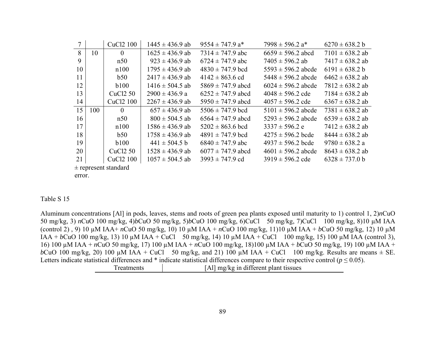|    |                        | CuC <sub>12</sub> 100 | $1445 \pm 436.9$ ab | $9554 \pm 747.9$ a*   | $7998 \pm 596.2$ a*    | $6270 \pm 638.2 b$  |  |
|----|------------------------|-----------------------|---------------------|-----------------------|------------------------|---------------------|--|
| 8  | 10                     | $\theta$              | $1625 \pm 436.9$ ab | $7314 \pm 747.9$ abc  | $6659 \pm 596.2$ abcd  | $7101 \pm 638.2$ ab |  |
| 9  |                        | n50                   | $923 \pm 436.9$ ab  | $6724 \pm 747.9$ abc  | $7405 \pm 596.2$ ab    | $7417 \pm 638.2$ ab |  |
| 10 |                        | n100                  | $1795 \pm 436.9$ ab | $4830 \pm 747.9$ bcd  | $5593 \pm 596.2$ abcde | $6191 \pm 638.2 b$  |  |
| 11 |                        | b50                   | $2417 \pm 436.9$ ab | $4142 \pm 863.6$ cd   | $5448 \pm 596.2$ abcde | $6462 \pm 638.2$ ab |  |
| 12 |                        | b100                  | $1416 \pm 504.5$ ab | $5869 \pm 747.9$ abcd | $6024 \pm 596.2$ abcde | $7812 \pm 638.2$ ab |  |
| 13 |                        | CuC <sub>12</sub> 50  | $2900 \pm 436.9 a$  | $6252 \pm 747.9$ abcd | $4048 \pm 596.2$ cde   | $7184 \pm 638.2$ ab |  |
| 14 |                        | CuC <sub>12</sub> 100 | $2267 \pm 436.9$ ab | $5950 \pm 747.9$ abcd | $4057 \pm 596.2$ cde   | $6367 \pm 638.2$ ab |  |
| 15 | 100                    | $\theta$              | $657 \pm 436.9$ ab  | $5506 \pm 747.9$ bcd  | $5101 \pm 596.2$ abcde | $7381 \pm 638.2$ ab |  |
| 16 |                        | n50                   | $800 \pm 504.5$ ab  | $6564 \pm 747.9$ abcd | $5293 \pm 596.2$ abcde | $6539 \pm 638.2$ ab |  |
| 17 |                        | n100                  | $1586 \pm 436.9$ ab | $5202 \pm 863.6$ bcd  | $3337 \pm 596.2$ e     | $7412 \pm 638.2$ ab |  |
| 18 |                        | b50                   | $1758 \pm 436.9$ ab | $4891 \pm 747.9$ bcd  | $4275 \pm 596.2$ bcde  | $8444 \pm 638.2$ ab |  |
| 19 |                        | b100                  | $441 \pm 504.5$ b   | $6840 \pm 747.9$ abc  | $4937 \pm 596.2$ bcde  | $9780 \pm 638.2$ a  |  |
| 20 |                        | CuC <sub>12</sub> 50  | $1528 \pm 436.9$ ab | $6077 \pm 747.9$ abcd | $4601 \pm 596.2$ abcde | $8643 \pm 638.2$ ab |  |
| 21 |                        | CuCl <sub>2</sub> 100 | $1057 \pm 504.5$ ab | $3993 \pm 747.9$ cd   | $3919 \pm 596.2$ cde   | $6328 \pm 737.0 b$  |  |
|    | $+$ represent standard |                       |                     |                       |                        |                     |  |

 $\pm$  represent standard

error.

### Table S<sub>15</sub>

Aluminum concentrations [Al] in pods, leaves, stems and roots of green pea plants exposed until maturity to 1) control 1,  $2)nCuO$ 50 mg/kg, 3) nCuO 100 mg/kg, 4)bCuO 50 mg/kg, 5)bCuO 100 mg/kg, 6)CuCl 50 mg/kg, 7)CuCl 100 mg/kg, 8)10 μM IAA (control 2), 9) 10  $\mu$ M IAA+ nCuO 50 mg/kg, 10) 10  $\mu$ M IAA + nCuO 100 mg/kg, 11)10  $\mu$ M IAA + bCuO 50 mg/kg, 12) 10  $\mu$ M IAA + bCuO 100 mg/kg, 13) 10 μM IAA + CuCl 50 mg/kg, 14) 10 μM IAA + CuCl 100 mg/kg, 15) 100 μM IAA (control 3), 16) 100 μM IAA + nCuO 50 mg/kg, 17) 100 μM IAA + nCuO 100 mg/kg, 18)100 μM IAA + bCuO 50 mg/kg, 19) 100 μM IAA + bCuO 100 mg/kg, 20) 100  $\mu$ M IAA + CuCl 50 mg/kg, and 21) 100  $\mu$ M IAA + CuCl 100 mg/kg. Results are means  $\pm$  SE. Letters indicate statistical differences and \* indicate statistical differences compare to their respective control ( $p \le 0.05$ ).

| Treatments | [Al] mg/kg in different plant tissues |
|------------|---------------------------------------|
|            |                                       |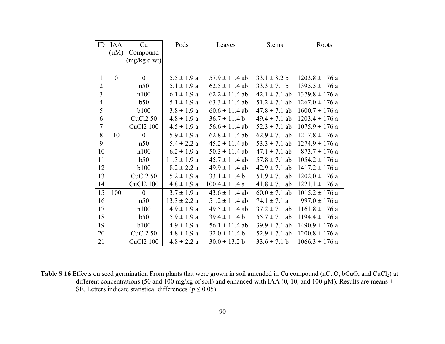| ID               | <b>IAA</b><br>$(\mu M)$ | Cu<br>Compound<br>(mg/kg dwt) | Pods             | Leaves             | <b>Stems</b>      | Roots              |
|------------------|-------------------------|-------------------------------|------------------|--------------------|-------------------|--------------------|
| $\mathbf{1}$     | $\overline{0}$          | $\overline{0}$                | $5.5 \pm 1.9 a$  | $57.9 \pm 11.4$ ab | $33.1 \pm 8.2 b$  | $1203.8 \pm 176$ a |
| $\overline{2}$   |                         | n50                           | $5.1 \pm 1.9 a$  | $62.5 \pm 11.4$ ab | $33.3 \pm 7.1 b$  | $1395.5 \pm 176$ a |
| $\overline{3}$   |                         | n100                          | $6.1 \pm 1.9 a$  | $62.2 \pm 11.4$ ab | $42.1 \pm 7.1$ ab | $1379.8 \pm 176$ a |
| $\overline{4}$   |                         | b50                           | $5.1 \pm 1.9 a$  | $63.3 \pm 11.4$ ab | $51.2 \pm 7.1$ ab | $1267.0 \pm 176$ a |
| 5                |                         | <b>b</b> 100                  | $3.8 \pm 1.9 a$  | $60.6 \pm 11.4$ ab | $47.8 \pm 7.1$ ab | $1600.7 \pm 176$ a |
| 6                |                         | <b>CuCl2 50</b>               | $4.8 \pm 1.9 a$  | $36.7 \pm 11.4 b$  | $49.4 \pm 7.1$ ab | $1203.4 \pm 176$ a |
| $\boldsymbol{7}$ |                         | CuCl2 100                     | $4.5 \pm 1.9 a$  | $56.6 \pm 11.4$ ab | $52.3 \pm 7.1$ ab | $1075.9 \pm 176$ a |
| 8                | 10                      | $\boldsymbol{0}$              | $5.9 \pm 1.9 a$  | $62.8 \pm 11.4$ ab | $62.9 \pm 7.1$ ab | $1217.8 \pm 176$ a |
| 9                |                         | n50                           | $5.4 \pm 2.2 a$  | $45.2 \pm 11.4$ ab | $53.3 \pm 7.1$ ab | $1274.9 \pm 176$ a |
| 10               |                         | n100                          | $6.2 \pm 1.9 a$  | $50.3 \pm 11.4$ ab | $47.1 \pm 7.1$ ab | $873.7 \pm 176$ a  |
| 11               |                         | b50                           | $11.3 \pm 1.9 a$ | $45.7 \pm 11.4$ ab | $57.8 \pm 7.1$ ab | $1054.2 \pm 176$ a |
| 12               |                         | <b>b100</b>                   | $8.2 \pm 2.2 a$  | $49.9 \pm 11.4$ ab | $42.9 \pm 7.1$ ab | $1417.2 \pm 176$ a |
| 13               |                         | <b>CuCl2 50</b>               | $5.2 \pm 1.9 a$  | $33.1 \pm 11.4 b$  | $51.9 \pm 7.1$ ab | $1202.0 \pm 176$ a |
| 14               |                         | CuCl2 100                     | $4.8 \pm 1.9 a$  | $100.4 \pm 11.4 a$ | $41.8 \pm 7.1$ ab | $1221.1 \pm 176$ a |
| 15               | 100                     | $\overline{0}$                | $3.7 \pm 1.9 a$  | $43.6 \pm 11.4$ ab | $60.0 \pm 7.1$ ab | $1015.2 \pm 176$ a |
| 16               |                         | n50                           | $13.3 \pm 2.2 a$ | $51.2 \pm 11.4$ ab | $74.1 \pm 7.1 a$  | $997.0 \pm 176$ a  |
| 17               |                         | n100                          | $4.9 \pm 1.9 a$  | $49.5 \pm 11.4$ ab | $37.2 \pm 7.1$ ab | $1161.8 \pm 176$ a |
| 18               |                         | b50                           | $5.9 \pm 1.9 a$  | $39.4 \pm 11.4 b$  | $55.7 \pm 7.1$ ab | $1194.4 \pm 176$ a |
| 19               |                         | <b>b100</b>                   | $4.9 \pm 1.9 a$  | $56.1 \pm 11.4$ ab | $39.9 \pm 7.1$ ab | $1490.9 \pm 176$ a |
| 20               |                         | CuCl2 50                      | $4.8 \pm 1.9 a$  | $32.0 \pm 11.4 b$  | $52.9 \pm 7.1$ ab | $1200.8 \pm 176$ a |
| 21               |                         | CuCl <sub>2</sub> 100         | $4.8 \pm 2.2 a$  | $30.0 \pm 13.2 b$  | $33.6 \pm 7.1 b$  | $1066.3 \pm 176$ a |

**Table S 16** Effects on seed germination From plants that were grown in soil amended in Cu compound (nCuO, bCuO, and CuCl<sub>2</sub>) at different concentrations (50 and 100 mg/kg of soil) and enhanced with IAA (0, 10, and 100  $\mu$ M). Results are means  $\pm$ SE. Letters indicate statistical differences ( $p \leq 0.05$ ).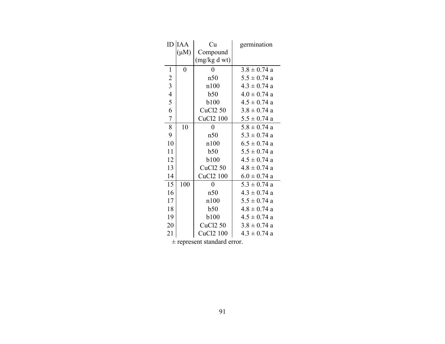| ID                      | <b>IAA</b>       | Cu              | germination      |
|-------------------------|------------------|-----------------|------------------|
|                         | $(\mu M)$        | Compound        |                  |
|                         |                  | (mg/kg dwt)     |                  |
| $\mathbf{1}$            | $\boldsymbol{0}$ | 0               | $3.8 \pm 0.74$ a |
| $\overline{c}$          |                  | n50             | $5.5 \pm 0.74$ a |
| $\overline{\mathbf{3}}$ |                  | n100            | $4.3 \pm 0.74$ a |
| $\overline{4}$          |                  | b50             | $4.0 \pm 0.74$ a |
| 5                       |                  | <b>b</b> 100    | $4.5 \pm 0.74$ a |
| 6                       |                  | <b>CuCl2 50</b> | $3.8 \pm 0.74$ a |
| $\sqrt{ }$              |                  | CuCl2 100       | $5.5 \pm 0.74$ a |
| $\,$ $\,$               | 10               | $\overline{0}$  | $5.8 \pm 0.74$ a |
| 9                       |                  | n50             | $5.3 \pm 0.74$ a |
| 10                      |                  | n100            | $6.5 \pm 0.74$ a |
| 11                      |                  | b50             | $5.5 \pm 0.74$ a |
| 12                      |                  | <b>b</b> 100    | $4.5 \pm 0.74$ a |
| 13                      |                  | <b>CuCl2 50</b> | $4.8 \pm 0.74$ a |
| 14                      |                  | CuCl2 100       | $6.0 \pm 0.74$ a |
| 15                      | 100              | $\overline{0}$  | $5.3 \pm 0.74$ a |
| 16                      |                  | n50             | $4.3 \pm 0.74$ a |
| 17                      |                  | n100            | $5.5 \pm 0.74$ a |
| 18                      |                  | b50             | $4.8 \pm 0.74$ a |
| 19                      |                  | <b>b</b> 100    | $4.5 \pm 0.74$ a |
| 20                      |                  | <b>CuCl2 50</b> | $3.8 \pm 0.74$ a |
| 21                      |                  | CuCl2 100       | $4.3 \pm 0.74$ a |

± represent standard error.